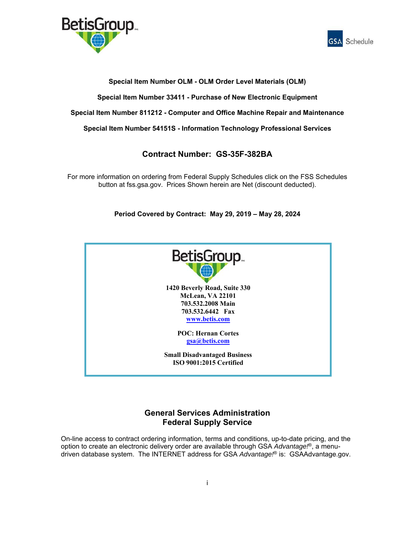



# **Special Item Number OLM - OLM Order Level Materials (OLM)**

**Special Item Number 33411 - Purchase of New Electronic Equipment**

**Special Item Number 811212 - Computer and Office Machine Repair and Maintenance** 

**Special Item Number 54151S - Information Technology Professional Services**

# **Contract Number: GS-35F-382BA**

For more information on ordering from Federal Supply Schedules click on the FSS Schedules button at fss.gsa.gov. Prices Shown herein are Net (discount deducted).

**Period Covered by Contract: May 29, 2019 – May 28, 2024** 

| <b>BetisGroup.</b>                                                                                           |  |
|--------------------------------------------------------------------------------------------------------------|--|
| 1420 Beverly Road, Suite 330<br>McLean, VA 22101<br>703.532.2008 Main<br>703.532.6442 Fax<br>www.betis.com   |  |
| <b>POC: Hernan Cortes</b><br>gsa@betis.com<br><b>Small Disadvantaged Business</b><br>ISO 9001:2015 Certified |  |

# **General Services Administration Federal Supply Service**

On-line access to contract ordering information, terms and conditions, up-to-date pricing, and the option to create an electronic delivery order are available through GSA *Advantage!*®, a menudriven database system. The INTERNET address for GSA *Advantage!*® is: GSAAdvantage.gov.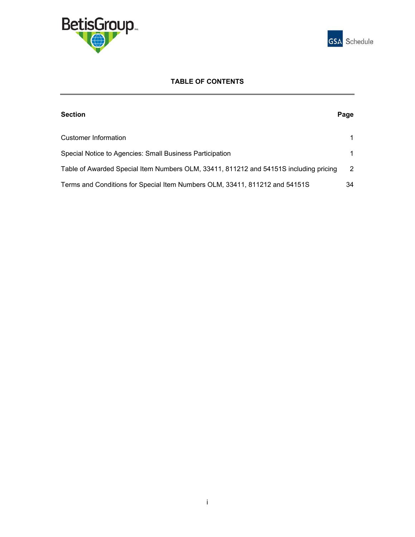



# **TABLE OF CONTENTS**

| Section                                                                               | Page |
|---------------------------------------------------------------------------------------|------|
| Customer Information.                                                                 | 1.   |
| Special Notice to Agencies: Small Business Participation                              | 1.   |
| Table of Awarded Special Item Numbers OLM, 33411, 811212 and 54151S including pricing | 2    |
| Terms and Conditions for Special Item Numbers OLM, 33411, 811212 and 54151S           | 34   |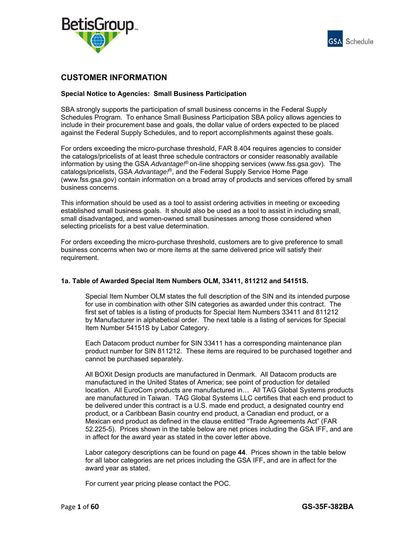



# **CUSTOMER INFORMATION**

### **Special Notice to Agencies: Small Business Participation**

SBA strongly supports the participation of small business concerns in the Federal Supply Schedules Program. To enhance Small Business Participation SBA policy allows agencies to include in their procurement base and goals, the dollar value of orders expected to be placed against the Federal Supply Schedules, and to report accomplishments against these goals.

For orders exceeding the micro-purchase threshold, FAR 8.404 requires agencies to consider the catalogs/pricelists of at least three schedule contractors or consider reasonably available information by using the GSA *Advantage!*® on-line shopping services (www.fss.gsa.gov). The catalogs/pricelists, GSA *Advantage!*®, and the Federal Supply Service Home Page (www.fss.gsa.gov) contain information on a broad array of products and services offered by small business concerns.

This information should be used as a tool to assist ordering activities in meeting or exceeding established small business goals. It should also be used as a tool to assist in including small, small disadvantaged, and women-owned small businesses among those considered when selecting pricelists for a best value determination.

For orders exceeding the micro-purchase threshold, customers are to give preference to small business concerns when two or more items at the same delivered price will satisfy their requirement.

### **1a. Table of Awarded Special Item Numbers OLM, 33411, 811212 and 54151S.**

 Special Item Number OLM states the full description of the SIN and its intended purpose for use in combination with other SIN categories as awarded under this contract. The first set of tables is a listing of products for Special Item Numbers 33411 and 811212 by Manufacturer in alphabetical order. The next table is a listing of services for Special Item Number 54151S by Labor Category.

 Each Datacom product number for SIN 33411 has a corresponding maintenance plan product number for SIN 811212. These items are required to be purchased together and cannot be purchased separately.

 All BOXit Design products are manufactured in Denmark. All Datacom products are manufactured in the United States of America; see point of production for detailed location. All EuroCom products are manufactured in… All TAG Global Systems products are manufactured in Taiwan. TAG Global Systems LLC certifies that each end product to be delivered under this contract is a U.S. made end product, a designated country end product, or a Caribbean Basin country end product, a Canadian end product, or a Mexican end product as defined in the clause entitled "Trade Agreements Act" (FAR 52.225-5). Prices shown in the table below are net prices including the GSA IFF, and are in affect for the award year as stated in the cover letter above.

 Labor category descriptions can be found on page **44**. Prices shown in the table below for all labor categories are net prices including the GSA IFF, and are in affect for the award year as stated.

For current year pricing please contact the POC.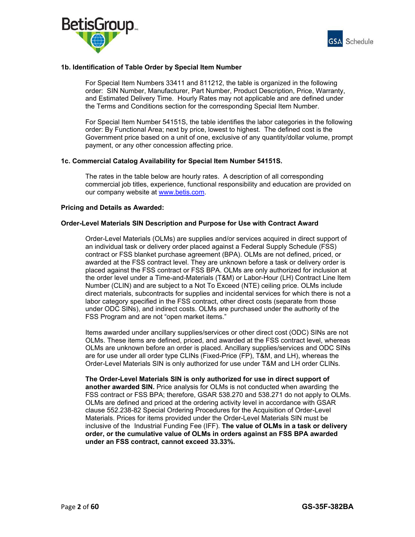



### **1b. Identification of Table Order by Special Item Number**

 For Special Item Numbers 33411 and 811212, the table is organized in the following order: SIN Number, Manufacturer, Part Number, Product Description, Price, Warranty, and Estimated Delivery Time. Hourly Rates may not applicable and are defined under the Terms and Conditions section for the corresponding Special Item Number.

 For Special Item Number 54151S, the table identifies the labor categories in the following order: By Functional Area; next by price, lowest to highest. The defined cost is the Government price based on a unit of one, exclusive of any quantity/dollar volume, prompt payment, or any other concession affecting price.

#### **1c. Commercial Catalog Availability for Special Item Number 54151S.**

The rates in the table below are hourly rates. A description of all corresponding commercial job titles, experience, functional responsibility and education are provided on our company website at www.betis.com.

#### **Pricing and Details as Awarded:**

### **Order-Level Materials SIN Description and Purpose for Use with Contract Award**

 Order-Level Materials (OLMs) are supplies and/or services acquired in direct support of an individual task or delivery order placed against a Federal Supply Schedule (FSS) contract or FSS blanket purchase agreement (BPA). OLMs are not defined, priced, or awarded at the FSS contract level. They are unknown before a task or delivery order is placed against the FSS contract or FSS BPA. OLMs are only authorized for inclusion at the order level under a Time-and-Materials (T&M) or Labor-Hour (LH) Contract Line Item Number (CLIN) and are subject to a Not To Exceed (NTE) ceiling price. OLMs include direct materials, subcontracts for supplies and incidental services for which there is not a labor category specified in the FSS contract, other direct costs (separate from those under ODC SINs), and indirect costs. OLMs are purchased under the authority of the FSS Program and are not "open market items."

 Items awarded under ancillary supplies/services or other direct cost (ODC) SINs are not OLMs. These items are defined, priced, and awarded at the FSS contract level, whereas OLMs are unknown before an order is placed. Ancillary supplies/services and ODC SINs are for use under all order type CLINs (Fixed-Price (FP), T&M, and LH), whereas the Order-Level Materials SIN is only authorized for use under T&M and LH order CLINs.

**The Order-Level Materials SIN is only authorized for use in direct support of another awarded SIN.** Price analysis for OLMs is not conducted when awarding the FSS contract or FSS BPA; therefore, GSAR 538.270 and 538.271 do not apply to OLMs. OLMs are defined and priced at the ordering activity level in accordance with GSAR clause 552.238-82 Special Ordering Procedures for the Acquisition of Order-Level Materials. Prices for items provided under the Order-Level Materials SIN must be inclusive of the Industrial Funding Fee (IFF). **The value of OLMs in a task or delivery order, or the cumulative value of OLMs in orders against an FSS BPA awarded under an FSS contract, cannot exceed 33.33%.**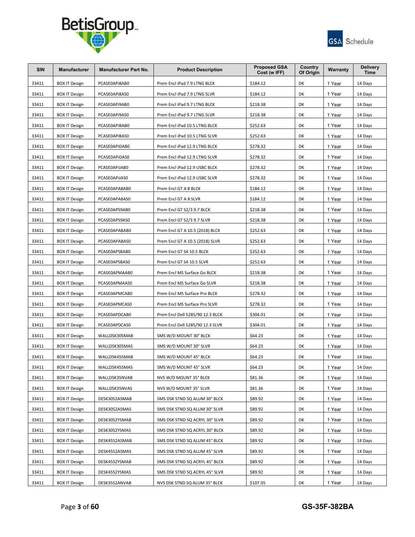



| <b>SIN</b> | <b>Manufacturer</b>  | <b>Manufacturer Part No.</b> | <b>Product Description</b>       | <b>Proposed GSA</b><br>Cost (w IFF) | Country<br>Of Origin | Warranty | <b>Delivery</b><br><b>Time</b> |
|------------|----------------------|------------------------------|----------------------------------|-------------------------------------|----------------------|----------|--------------------------------|
| 33411      | <b>BOX IT Design</b> | PCASE0APi8AB0                | Prem Encl iPad 7.9 LTNG BLCK     | \$184.12                            | DK                   | 1 Year   | 14 Days                        |
| 33411      | <b>BOX IT Design</b> | PCASE0APi8AS0                | Prem Encl iPad 7.9 LTNG SLVR     | \$184.12                            | DK                   | 1 Year   | 14 Days                        |
| 33411      | <b>BOX IT Design</b> | PCASE0APi9AB0                | Prem Encl iPad 9.7 LTNG BLCK     | \$218.38                            | DK                   | 1 Year   | 14 Days                        |
| 33411      | <b>BOX IT Design</b> | PCASE0APi9AS0                | Prem Encl iPad 9.7 LTNG SLVR     | \$218.38                            | DK                   | 1 Year   | 14 Days                        |
| 33411      | <b>BOX IT Design</b> | PCASE0APiBAB0                | Prem Encl iPad 10.5 LTNG BLCK    | \$252.63                            | DK                   | 1 Year   | 14 Days                        |
| 33411      | <b>BOX IT Design</b> | PCASE0APiBAS0                | Prem Encl iPad 10.5 LTNG SLVR    | \$252.63                            | DK                   | 1 Year   | 14 Days                        |
| 33411      | <b>BOX IT Design</b> | PCASE0APiDAB0                | Prem Encl iPad 12.9 LTNG BLCK    | \$278.32                            | DK                   | 1 Year   | 14 Days                        |
| 33411      | <b>BOX IT Design</b> | PCASE0APIDAS0                | Prem Encl iPad 12.9 LTNG SLVR    | \$278.32                            | DK                   | 1 Year   | 14 Days                        |
| 33411      | <b>BOX IT Design</b> | PCASE0APiJAB0                | Prem Encl iPad 12.9 USBC BLCK    | \$278.32                            | DK                   | 1 Year   | 14 Days                        |
| 33411      | <b>BOX IT Design</b> | PCASE0APiJAS0                | Prem Encl iPad 12.9 USBC SLVR    | \$278.32                            | DK                   | 1 Year   | 14 Days                        |
| 33411      | <b>BOX IT Design</b> | PCASE0APA8AB0                | Prem Encl GT A 8 BLCK            | \$184.12                            | DK                   | 1 Year   | 14 Days                        |
| 33411      | <b>BOX IT Design</b> | PCASE0APA8AS0                | Prem Encl GT A 8 SLVR            | \$184.12                            | DK                   | 1 Year   | 14 Days                        |
| 33411      | <b>BOX IT Design</b> | PCASE0APS9AB0                | Prem Encl GT S2/3 9.7 BLCK       | \$218.38                            | DK                   | 1 Year   | 14 Days                        |
| 33411      | <b>BOX IT Design</b> | PCASE0APS9AS0                | Prem Encl GT S2/3 9.7 SLVR       | \$218.38                            | DK                   | 1 Year   | 14 Days                        |
| 33411      | <b>BOX IT Design</b> | PCASE0APABAB0                | Prem Encl GT A 10.5 (2018) BLCK  | \$252.63                            | DK                   | 1 Year   | 14 Days                        |
| 33411      | <b>BOX IT Design</b> | PCASE0APABAS0                | Prem Encl GT A 10.5 (2018) SLVR  | \$252.63                            | DK                   | 1 Year   | 14 Days                        |
| 33411      | <b>BOX IT Design</b> | PCASE0APSBAB0                | Prem Encl GT S4 10.5 BLCK        | \$252.63                            | DK                   | 1 Year   | 14 Days                        |
| 33411      | <b>BOX IT Design</b> | PCASE0APSBAS0                | Prem Encl GT S4 10.5 SLVR        | \$252.63                            | DK                   | 1 Year   | 14 Days                        |
| 33411      | <b>BOX IT Design</b> | PCASE0APMAAB0                | Prem Encl MS Surface Go BLCK     | \$218.38                            | DK                   | 1 Year   | 14 Days                        |
| 33411      | <b>BOX IT Design</b> | PCASE0APMAAS0                | Prem Encl MS Surface Go SLVR     | \$218.38                            | DK                   | 1 Year   | 14 Days                        |
| 33411      | <b>BOX IT Design</b> | PCASE0APMCAB0                | Prem Encl MS Surface Pro BLCK    | \$278.32                            | DK                   | 1 Year   | 14 Days                        |
| 33411      | <b>BOX IT Design</b> | PCASE0APMCAS0                | Prem Encl MS Surface Pro SLVR    | \$278.32                            | DK                   | 1 Year   | 14 Days                        |
| 33411      | <b>BOX IT Design</b> | PCASE0APDCAB0                | Prem Encl Dell 5285/90 12.3 BLCK | \$304.01                            | DK                   | 1 Year   | 14 Days                        |
| 33411      | <b>BOX IT Design</b> | PCASE0APDCAS0                | Prem Encl Dell 5285/90 12.3 SLVR | \$304.01                            | DK                   | 1 Year   | 14 Days                        |
| 33411      | <b>BOX IT Design</b> | WALLDSK30SMAB                | SMS W/D MOUNT 30° BLCK           | \$64.23                             | DK                   | 1 Year   | 14 Days                        |
| 33411      | <b>BOX IT Design</b> | WALLDSK30SMAS                | SMS W/D MOUNT 30° SLVR           | \$64.23                             | DK                   | 1 Year   | 14 Days                        |
| 33411      | <b>BOX IT Design</b> | WALLDSK45SMAB                | SMS W/D MOUNT 45° BLCK           | \$64.23                             | DK                   | 1 Year   | 14 Days                        |
| 33411      | <b>BOX IT Design</b> | WALLDSK45SMAS                | SMS W/D MOUNT 45° SLVR           | \$64.23                             | DK                   | 1 Year   | 14 Days                        |
| 33411      | <b>BOX IT Design</b> | WALLDSK35NVAB                | NVS W/D MOUNT 35° BLCK           | \$81.36                             | DK                   | 1 Year   | 14 Days                        |
| 33411      | <b>BOX IT Design</b> | WALLDSK35NVAS                | NVS W/D MOUNT 35° SLVR           | \$81.36                             | DK                   | 1 Year   | 14 Days                        |
| 33411      | <b>BOX IT Design</b> | DESK30S2ASMAB                | SMS DSK STND SQ ALUM 30° BLCK    | \$89.92                             | DK                   | 1 Year   | 14 Days                        |
| 33411      | <b>BOX IT Design</b> | DESK30S2ASMAS                | SMS DSK STND SQ ALUM 30° SLVR    | \$89.92                             | DK                   | 1 Year   | 14 Days                        |
| 33411      | <b>BOX IT Design</b> | DESK30S2YSMAB                | SMS DSK STND SQ ACRYL 30° SLVR   | \$89.92                             | DK                   | 1 Year   | 14 Days                        |
| 33411      | <b>BOX IT Design</b> | DESK30S2YSMAS                | SMS DSK STND SQ ACRYL 30° BLCK   | \$89.92                             | DK                   | 1 Year   | 14 Days                        |
| 33411      | <b>BOX IT Design</b> | DESK45S2ASMAB                | SMS DSK STND SQ ALUM 45° BLCK    | \$89.92                             | DK                   | 1 Year   | 14 Days                        |
| 33411      | <b>BOX IT Design</b> | DESK45S2ASMAS                | SMS DSK STND SQ ALUM 45° SLVR    | \$89.92                             | DK                   | 1 Year   | 14 Days                        |
| 33411      | <b>BOX IT Design</b> | DESK45S2YSMAB                | SMS DSK STND SQ ACRYL 45° BLCK   | \$89.92                             | DK                   | 1 Year   | 14 Days                        |
| 33411      | <b>BOX IT Design</b> | DESK45S2YSMAS                | SMS DSK STND SQ ACRYL 45° SLVR   | \$89.92                             | DK                   | 1 Year   | 14 Days                        |
| 33411      | <b>BOX IT Design</b> | DESK35S2ANVAB                | NVS DSK STND SQ ALUM 35° BLCK    | \$107.05                            | DK                   | 1 Year   | 14 Days                        |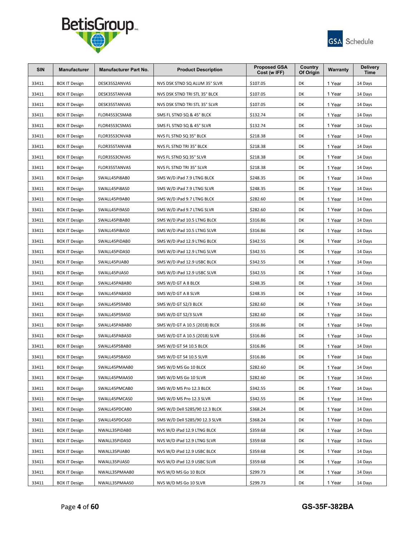



| <b>SIN</b> | <b>Manufacturer</b>  | <b>Manufacturer Part No.</b> | <b>Product Description</b>     | <b>Proposed GSA</b><br>Cost (w IFF) | Country<br>Of Origin | Warranty | <b>Delivery</b><br><b>Time</b> |
|------------|----------------------|------------------------------|--------------------------------|-------------------------------------|----------------------|----------|--------------------------------|
| 33411      | <b>BOX IT Design</b> | DESK35S2ANVAS                | NVS DSK STND SQ ALUM 35° SLVR  | \$107.05                            | DK                   | 1 Year   | 14 Days                        |
| 33411      | <b>BOX IT Design</b> | DESK35STANVAB                | NVS DSK STND TRI STL 35° BLCK  | \$107.05                            | DK                   | 1 Year   | 14 Days                        |
| 33411      | <b>BOX IT Design</b> | DESK35STANVAS                | NVS DSK STND TRI STL 35° SLVR  | \$107.05                            | DK                   | 1 Year   | 14 Days                        |
| 33411      | <b>BOX IT Design</b> | FLOR45S3CSMAB                | SMS FL STND SQ & 45° BLCK      | \$132.74                            | DK                   | 1 Year   | 14 Days                        |
| 33411      | <b>BOX IT Design</b> | FLOR45S3CSMAS                | SMS FL STND SQ & 45° SLVR      | \$132.74                            | DK                   | 1 Year   | 14 Days                        |
| 33411      | <b>BOX IT Design</b> | FLOR35S3CNVAB                | NVS FL STND SQ 35° BLCK        | \$218.38                            | DK                   | 1 Year   | 14 Days                        |
| 33411      | <b>BOX IT Design</b> | FLOR35STANVAB                | NVS FL STND TRI 35° BLCK       | \$218.38                            | DK                   | 1 Year   | 14 Days                        |
| 33411      | <b>BOX IT Design</b> | FLOR35S3CNVAS                | NVS FL STND SQ 35° SLVR        | \$218.38                            | DK                   | 1 Year   | 14 Days                        |
| 33411      | <b>BOX IT Design</b> | FLOR35STANVAS                | NVS FL STND TRI 35° SLVR       | \$218.38                            | DK                   | 1 Year   | 14 Days                        |
| 33411      | <b>BOX IT Design</b> | SWALL45Pi8AB0                | SMS W/D iPad 7.9 LTNG BLCK     | \$248.35                            | DK                   | 1 Year   | 14 Days                        |
| 33411      | <b>BOX IT Design</b> | SWALL45Pi8AS0                | SMS W/D iPad 7.9 LTNG SLVR     | \$248.35                            | DK                   | 1 Year   | 14 Days                        |
| 33411      | <b>BOX IT Design</b> | SWALL45Pi9AB0                | SMS W/D iPad 9.7 LTNG BLCK     | \$282.60                            | DK                   | 1 Year   | 14 Days                        |
| 33411      | <b>BOX IT Design</b> | SWALL45Pi9AS0                | SMS W/D iPad 9.7 LTNG SLVR     | \$282.60                            | DK                   | 1 Year   | 14 Days                        |
| 33411      | <b>BOX IT Design</b> | SWALL45PiBAB0                | SMS W/D iPad 10.5 LTNG BLCK    | \$316.86                            | DK                   | 1 Year   | 14 Days                        |
| 33411      | <b>BOX IT Design</b> | SWALL45PiBAS0                | SMS W/D iPad 10.5 LTNG SLVR    | \$316.86                            | DK                   | 1 Year   | 14 Days                        |
| 33411      | <b>BOX IT Design</b> | SWALL45PiDAB0                | SMS W/D iPad 12.9 LTNG BLCK    | \$342.55                            | DK                   | 1 Year   | 14 Days                        |
| 33411      | <b>BOX IT Design</b> | SWALL45PiDAS0                | SMS W/D iPad 12.9 LTNG SLVR    | \$342.55                            | DK                   | 1 Year   | 14 Days                        |
| 33411      | <b>BOX IT Design</b> | SWALL45PiJAB0                | SMS W/D iPad 12.9 USBC BLCK    | \$342.55                            | DK                   | 1 Year   | 14 Days                        |
| 33411      | <b>BOX IT Design</b> | SWALL45PiJAS0                | SMS W/D iPad 12.9 USBC SLVR    | \$342.55                            | DK                   | 1 Year   | 14 Days                        |
| 33411      | <b>BOX IT Design</b> | SWALL45PA8AB0                | SMS W/D GT A 8 BLCK            | \$248.35                            | DK                   | 1 Year   | 14 Days                        |
| 33411      | <b>BOX IT Design</b> | SWALL45PA8AS0                | SMS W/D GT A 8 SLVR            | \$248.35                            | DK                   | 1 Year   | 14 Days                        |
| 33411      | <b>BOX IT Design</b> | SWALL45PS9AB0                | SMS W/D GT S2/3 BLCK           | \$282.60                            | DK                   | 1 Year   | 14 Days                        |
| 33411      | <b>BOX IT Design</b> | SWALL45PS9AS0                | SMS W/D GT S2/3 SLVR           | \$282.60                            | DK                   | 1 Year   | 14 Days                        |
| 33411      | <b>BOX IT Design</b> | SWALL45PABAB0                | SMS W/D GT A 10.5 (2018) BLCK  | \$316.86                            | DK                   | 1 Year   | 14 Days                        |
| 33411      | <b>BOX IT Design</b> | SWALL45PABAS0                | SMS W/D GT A 10.5 (2018) SLVR  | \$316.86                            | DK                   | 1 Year   | 14 Days                        |
| 33411      | <b>BOX IT Design</b> | SWALL45PSBAB0                | SMS W/D GT S4 10.5 BLCK        | \$316.86                            | DK                   | 1 Year   | 14 Days                        |
| 33411      | <b>BOX IT Design</b> | SWALL45PSBAS0                | SMS W/D GT S4 10.5 SLVR        | \$316.86                            | DK                   | 1 Year   | 14 Days                        |
| 33411      | <b>BOX IT Design</b> | SWALL45PMAAB0                | SMS W/D MS Go 10 BLCK          | \$282.60                            | DK                   | 1 Year   | 14 Days                        |
| 33411      | <b>BOX IT Design</b> | SWALL45PMAAS0                | SMS W/D MS Go 10 SLVR          | \$282.60                            | DK                   | 1 Year   | 14 Days                        |
| 33411      | <b>BOX IT Design</b> | SWALL45PMCAB0                | SMS W/D MS Pro 12.3 BLCK       | \$342.55                            | DK                   | 1 Year   | 14 Days                        |
| 33411      | <b>BOX IT Design</b> | SWALL45PMCAS0                | SMS W/D MS Pro 12.3 SLVR       | \$342.55                            | DK                   | 1 Year   | 14 Days                        |
| 33411      | <b>BOX IT Design</b> | SWALL45PDCAB0                | SMS W/D Dell 5285/90 12.3 BLCK | \$368.24                            | DK                   | 1 Year   | 14 Days                        |
| 33411      | <b>BOX IT Design</b> | SWALL45PDCAS0                | SMS W/D Dell 5285/90 12.3 SLVR | \$368.24                            | DK                   | 1 Year   | 14 Days                        |
| 33411      | <b>BOX IT Design</b> | NWALL35PiDAB0                | NVS W/D iPad 12.9 LTNG BLCK    | \$359.68                            | DK                   | 1 Year   | 14 Days                        |
| 33411      | <b>BOX IT Design</b> | NWALL35PiDAS0                | NVS W/D iPad 12.9 LTNG SLVR    | \$359.68                            | DK                   | 1 Year   | 14 Days                        |
| 33411      | <b>BOX IT Design</b> | NWALL35PiJAB0                | NVS W/D iPad 12.9 USBC BLCK    | \$359.68                            | DK                   | 1 Year   | 14 Days                        |
| 33411      | <b>BOX IT Design</b> | NWALL35PiJAS0                | NVS W/D iPad 12.9 USBC SLVR    | \$359.68                            | DK                   | 1 Year   | 14 Days                        |
| 33411      | <b>BOX IT Design</b> | NWALL35PMAAB0                | NVS W/D MS Go 10 BLCK          | \$299.73                            | DK                   | 1 Year   | 14 Days                        |
| 33411      | <b>BOX IT Design</b> | NWALL35PMAAS0                | NVS W/D MS Go 10 SLVR          | \$299.73                            | DK                   | 1 Year   | 14 Days                        |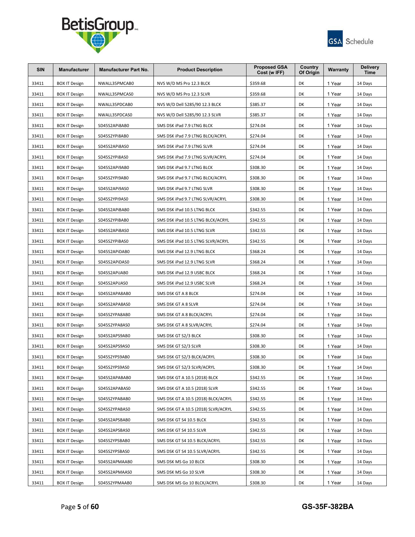



| <b>SIN</b> | <b>Manufacturer</b>  | <b>Manufacturer Part No.</b> | <b>Product Description</b>          | <b>Proposed GSA</b><br>Cost (w IFF) | Country<br>Of Origin | Warranty | <b>Delivery</b><br><b>Time</b> |
|------------|----------------------|------------------------------|-------------------------------------|-------------------------------------|----------------------|----------|--------------------------------|
| 33411      | <b>BOX IT Design</b> | NWALL35PMCAB0                | NVS W/D MS Pro 12.3 BLCK            | \$359.68                            | DK                   | 1 Year   | 14 Days                        |
| 33411      | <b>BOX IT Design</b> | NWALL35PMCAS0                | NVS W/D MS Pro 12.3 SLVR            | \$359.68                            | DK                   | 1 Year   | 14 Days                        |
| 33411      | <b>BOX IT Design</b> | NWALL35PDCAB0                | NVS W/D Dell 5285/90 12.3 BLCK      | \$385.37                            | DK                   | 1 Year   | 14 Days                        |
| 33411      | <b>BOX IT Design</b> | NWALL35PDCAS0                | NVS W/D Dell 5285/90 12.3 SLVR      | \$385.37                            | DK                   | 1 Year   | 14 Days                        |
| 33411      | <b>BOX IT Design</b> | SD45S2APi8AB0                | SMS DSK iPad 7.9 LTNG BLCK          | \$274.04                            | DK                   | 1 Year   | 14 Days                        |
| 33411      | <b>BOX IT Design</b> | SD45S2YPi8AB0                | SMS DSK iPad 7.9 LTNG BLCK/ACRYL    | \$274.04                            | DK                   | 1 Year   | 14 Days                        |
| 33411      | <b>BOX IT Design</b> | SD45S2APi8AS0                | SMS DSK iPad 7.9 LTNG SLVR          | \$274.04                            | DK                   | 1 Year   | 14 Days                        |
| 33411      | <b>BOX IT Design</b> | SD45S2YPi8AS0                | SMS DSK iPad 7.9 LTNG SLVR/ACRYL    | \$274.04                            | DK                   | 1 Year   | 14 Days                        |
| 33411      | <b>BOX IT Design</b> | SD45S2APi9AB0                | SMS DSK iPad 9.7 LTNG BLCK          | \$308.30                            | DK                   | 1 Year   | 14 Days                        |
| 33411      | <b>BOX IT Design</b> | SD45S2YPi9AB0                | SMS DSK iPad 9.7 LTNG BLCK/ACRYL    | \$308.30                            | DK                   | 1 Year   | 14 Days                        |
| 33411      | <b>BOX IT Design</b> | SD45S2APi9AS0                | SMS DSK iPad 9.7 LTNG SLVR          | \$308.30                            | DK                   | 1 Year   | 14 Days                        |
| 33411      | <b>BOX IT Design</b> | SD45S2YPi9AS0                | SMS DSK iPad 9.7 LTNG SLVR/ACRYL    | \$308.30                            | DK                   | 1 Year   | 14 Days                        |
| 33411      | <b>BOX IT Design</b> | SD45S2APiBAB0                | SMS DSK iPad 10.5 LTNG BLCK         | \$342.55                            | DK                   | 1 Year   | 14 Days                        |
| 33411      | <b>BOX IT Design</b> | SD45S2YPiBAB0                | SMS DSK iPad 10.5 LTNG BLCK/ACRYL   | \$342.55                            | DK                   | 1 Year   | 14 Days                        |
| 33411      | <b>BOX IT Design</b> | SD45S2APiBAS0                | SMS DSK iPad 10.5 LTNG SLVR         | \$342.55                            | DK                   | 1 Year   | 14 Days                        |
| 33411      | <b>BOX IT Design</b> | SD45S2YPiBAS0                | SMS DSK iPad 10.5 LTNG SLVR/ACRYL   | \$342.55                            | DK                   | 1 Year   | 14 Days                        |
| 33411      | <b>BOX IT Design</b> | SD45S2APiDAB0                | SMS DSK iPad 12.9 LTNG BLCK         | \$368.24                            | DK                   | 1 Year   | 14 Days                        |
| 33411      | <b>BOX IT Design</b> | SD45S2APiDAS0                | SMS DSK iPad 12.9 LTNG SLVR         | \$368.24                            | DK                   | 1 Year   | 14 Days                        |
| 33411      | <b>BOX IT Design</b> | SD45S2APiJAB0                | SMS DSK iPad 12.9 USBC BLCK         | \$368.24                            | DK                   | 1 Year   | 14 Days                        |
| 33411      | <b>BOX IT Design</b> | SD45S2APiJAS0                | SMS DSK iPad 12.9 USBC SLVR         | \$368.24                            | DK                   | 1 Year   | 14 Days                        |
| 33411      | <b>BOX IT Design</b> | SD45S2APA8AB0                | SMS DSK GT A 8 BLCK                 | \$274.04                            | DK                   | 1 Year   | 14 Days                        |
| 33411      | <b>BOX IT Design</b> | SD45S2APA8AS0                | SMS DSK GT A 8 SLVR                 | \$274.04                            | DK                   | 1 Year   | 14 Days                        |
| 33411      | <b>BOX IT Design</b> | SD45S2YPA8AB0                | SMS DSK GT A 8 BLCK/ACRYL           | \$274.04                            | DK                   | 1 Year   | 14 Days                        |
| 33411      | <b>BOX IT Design</b> | SD45S2YPA8AS0                | SMS DSK GT A 8 SLVR/ACRYL           | \$274.04                            | DK                   | 1 Year   | 14 Days                        |
| 33411      | <b>BOX IT Design</b> | SD45S2APS9AB0                | SMS DSK GT S2/3 BLCK                | \$308.30                            | DK                   | 1 Year   | 14 Days                        |
| 33411      | <b>BOX IT Design</b> | SD45S2APS9AS0                | SMS DSK GT S2/3 SLVR                | \$308.30                            | DK                   | 1 Year   | 14 Days                        |
| 33411      | <b>BOX IT Design</b> | SD45S2YPS9AB0                | SMS DSK GT S2/3 BLCK/ACRYL          | \$308.30                            | DK                   | 1 Year   | 14 Days                        |
| 33411      | <b>BOX IT Design</b> | SD45S2YPS9AS0                | SMS DSK GT S2/3 SLVR/ACRYL          | \$308.30                            | DK                   | 1 Year   | 14 Days                        |
| 33411      | <b>BOX IT Design</b> | SD45S2APABAB0                | SMS DSK GT A 10.5 (2018) BLCK       | \$342.55                            | DK                   | 1 Year   | 14 Days                        |
| 33411      | <b>BOX IT Design</b> | SD45S2APABAS0                | SMS DSK GT A 10.5 (2018) SLVR       | \$342.55                            | DK                   | 1 Year   | 14 Days                        |
| 33411      | <b>BOX IT Design</b> | SD45S2YPABAB0                | SMS DSK GT A 10.5 (2018) BLCK/ACRYL | \$342.55                            | DK                   | 1 Year   | 14 Days                        |
| 33411      | <b>BOX IT Design</b> | SD45S2YPABAS0                | SMS DSK GT A 10.5 (2018) SLVR/ACRYL | \$342.55                            | DK                   | 1 Year   | 14 Days                        |
| 33411      | <b>BOX IT Design</b> | SD45S2APSBAB0                | SMS DSK GT S4 10.5 BLCK             | \$342.55                            | DK                   | 1 Year   | 14 Days                        |
| 33411      | <b>BOX IT Design</b> | SD45S2APSBAS0                | SMS DSK GT S4 10.5 SLVR             | \$342.55                            | DK                   | 1 Year   | 14 Days                        |
| 33411      | <b>BOX IT Design</b> | SD45S2YPSBAB0                | SMS DSK GT S4 10.5 BLCK/ACRYL       | \$342.55                            | DK                   | 1 Year   | 14 Days                        |
| 33411      | <b>BOX IT Design</b> | SD45S2YPSBAS0                | SMS DSK GT S4 10.5 SLVR/ACRYL       | \$342.55                            | DK                   | 1 Year   | 14 Days                        |
| 33411      | <b>BOX IT Design</b> | SD45S2APMAAB0                | SMS DSK MS Go 10 BLCK               | \$308.30                            | DK                   | 1 Year   | 14 Days                        |
| 33411      | <b>BOX IT Design</b> | SD45S2APMAAS0                | SMS DSK MS Go 10 SLVR               | \$308.30                            | DK                   | 1 Year   | 14 Days                        |
| 33411      | <b>BOX IT Design</b> | SD45S2YPMAAB0                | SMS DSK MS Go 10 BLCK/ACRYL         | \$308.30                            | DK                   | 1 Year   | 14 Days                        |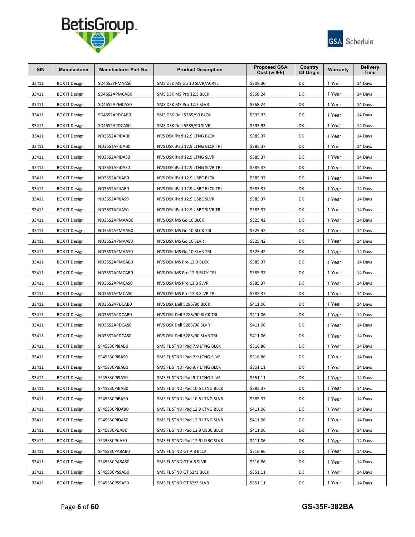



| <b>SIN</b> | <b>Manufacturer</b>  | <b>Manufacturer Part No.</b> | <b>Product Description</b>      | <b>Proposed GSA</b><br>Cost (w IFF) | Country<br>Of Origin | Warranty | <b>Delivery</b><br><b>Time</b> |
|------------|----------------------|------------------------------|---------------------------------|-------------------------------------|----------------------|----------|--------------------------------|
| 33411      | <b>BOX IT Design</b> | SD45S2YPMAAS0                | SMS DSK MS Go 10 SLVR/ACRYL     | \$308.30                            | DK                   | 1 Year   | 14 Days                        |
| 33411      | <b>BOX IT Design</b> | SD45S2APMCAB0                | SMS DSK MS Pro 12.3 BLCK        | \$368.24                            | DK                   | 1 Year   | 14 Days                        |
| 33411      | <b>BOX IT Design</b> | SD45S2APMCAS0                | SMS DSK MS Pro 12.3 SLVR        | \$368.24                            | DK                   | 1 Year   | 14 Days                        |
| 33411      | <b>BOX IT Design</b> | SD45S2APDCAB0                | SMS DSK Dell 5285/90 BLCK       | \$393.93                            | DK                   | 1 Year   | 14 Days                        |
| 33411      | <b>BOX IT Design</b> | SD45S2APDCAS0                | SMS DSK Dell 5285/90 SLVR       | \$393.93                            | DK                   | 1 Year   | 14 Days                        |
| 33411      | <b>BOX IT Design</b> | ND35S2APiDAB0                | NVS DSK iPad 12.9 LTNG BLCK     | \$385.37                            | DK                   | 1 Year   | 14 Days                        |
| 33411      | <b>BOX IT Design</b> | ND35STAPIDAB0                | NVS DSK iPad 12.9 LTNG BLCK TRI | \$385.37                            | DK                   | 1 Year   | 14 Days                        |
| 33411      | <b>BOX IT Design</b> | ND35S2APiDAS0                | NVS DSK iPad 12.9 LTNG SLVR     | \$385.37                            | DK                   | 1 Year   | 14 Days                        |
| 33411      | <b>BOX IT Design</b> | ND35STAPIDAS0                | NVS DSK iPad 12.9 LTNG SLVR TRI | \$385.37                            | DK                   | 1 Year   | 14 Days                        |
| 33411      | <b>BOX IT Design</b> | ND35S2APiJAB0                | NVS DSK iPad 12.9 USBC BLCK     | \$385.37                            | DK                   | 1 Year   | 14 Days                        |
| 33411      | <b>BOX IT Design</b> | ND35STAPIJAB0                | NVS DSK iPad 12.9 USBC BLCK TRI | \$385.37                            | DK                   | 1 Year   | 14 Days                        |
| 33411      | <b>BOX IT Design</b> | ND35S2APiJAS0                | NVS DSK iPad 12.9 USBC SLVR     | \$385.37                            | DK                   | 1 Year   | 14 Days                        |
| 33411      | <b>BOX IT Design</b> | ND35STAPIJAS0                | NVS DSK iPad 12.9 USBC SLVR TRI | \$385.37                            | DK                   | 1 Year   | 14 Days                        |
| 33411      | <b>BOX IT Design</b> | ND35S2APMAAB0                | NVS DSK MS Go 10 BLCK           | \$325.42                            | DK                   | 1 Year   | 14 Days                        |
| 33411      | <b>BOX IT Design</b> | ND35STAPMAAB0                | NVS DSK MS Go 10 BLCK TRI       | \$325.42                            | DK                   | 1 Year   | 14 Days                        |
| 33411      | <b>BOX IT Design</b> | ND35S2APMAAS0                | NVS DSK MS Go 10 SLVR           | \$325.42                            | DK                   | 1 Year   | 14 Days                        |
| 33411      | <b>BOX IT Design</b> | ND35STAPMAAS0                | NVS DSK MS Go 10 SLVR TRI       | \$325.42                            | DK                   | 1 Year   | 14 Days                        |
| 33411      | <b>BOX IT Design</b> | ND35S2APMCAB0                | NVS DSK MS Pro 12.3 BLCK        | \$385.37                            | DK                   | 1 Year   | 14 Days                        |
| 33411      | <b>BOX IT Design</b> | ND35STAPMCAB0                | NVS DSK MS Pro 12.3 BLCK TRI    | \$385.37                            | DK                   | 1 Year   | 14 Days                        |
| 33411      | <b>BOX IT Design</b> | ND35S2APMCAS0                | NVS DSK MS Pro 12.3 SLVR        | \$385.37                            | DK                   | 1 Year   | 14 Days                        |
| 33411      | <b>BOX IT Design</b> | ND35STAPMCAS0                | NVS DSK MS Pro 12.3 SLVR TRI    | \$385.37                            | DK                   | 1 Year   | 14 Days                        |
| 33411      | <b>BOX IT Design</b> | ND35S2APDCAB0                | NVS DSK Dell 5285/90 BLCK       | \$411.06                            | DK                   | 1 Year   | 14 Days                        |
| 33411      | <b>BOX IT Design</b> | ND35STAPDCAB0                | NVS DSK Dell 5285/90 BLCK TRI   | \$411.06                            | DK                   | 1 Year   | 14 Days                        |
| 33411      | <b>BOX IT Design</b> | ND35S2APDCAS0                | NVS DSK Dell 5285/90 SLVR       | \$411.06                            | DK                   | 1 Year   | 14 Days                        |
| 33411      | <b>BOX IT Design</b> | ND35STAPDCAS0                | NVS DSK Dell 5285/90 SLVR TRI   | \$411.06                            | DK                   | 1 Year   | 14 Days                        |
| 33411      | <b>BOX IT Design</b> | SF45S3CPi8AB0                | SMS FL STND iPad 7.9 LTNG BLCK  | \$316.86                            | DK                   | 1 Year   | 14 Days                        |
| 33411      | <b>BOX IT Design</b> | SF45S3CPi8AS0                | SMS FL STND iPad 7.9 LTNG SLVR  | \$316.86                            | DK                   | 1 Year   | 14 Days                        |
| 33411      | <b>BOX IT Design</b> | SF45S3CPi9AB0                | SMS FL STND iPad 9.7 LTNG BLCK  | \$351.11                            | DK                   | 1 Year   | 14 Days                        |
| 33411      | <b>BOX IT Design</b> | SF45S3CPi9AS0                | SMS FL STND iPad 9.7 LTNG SLVR  | \$351.11                            | DK                   | 1 Year   | 14 Days                        |
| 33411      | <b>BOX IT Design</b> | SF45S3CPiBAB0                | SMS FL STND iPad 10.5 LTNG BLCK | \$385.37                            | DK                   | 1 Year   | 14 Days                        |
| 33411      | <b>BOX IT Design</b> | SF45S3CPiBAS0                | SMS FL STND iPad 10.5 LTNG SLVR | \$385.37                            | DK                   | 1 Year   | 14 Days                        |
| 33411      | <b>BOX IT Design</b> | SF45S3CPiDAB0                | SMS FL STND iPad 12.9 LTNG BLCK | \$411.06                            | DK                   | 1 Year   | 14 Days                        |
| 33411      | <b>BOX IT Design</b> | SF45S3CPiDAS0                | SMS FL STND iPad 12.9 LTNG SLVR | \$411.06                            | DK                   | 1 Year   | 14 Days                        |
| 33411      | <b>BOX IT Design</b> | SF45S3CPiJAB0                | SMS FL STND iPad 12.9 USBC BLCK | \$411.06                            | DK                   | 1 Year   | 14 Days                        |
| 33411      | <b>BOX IT Design</b> | SF45S3CPiJAS0                | SMS FL STND iPad 12.9 USBC SLVR | \$411.06                            | DK                   | 1 Year   | 14 Days                        |
| 33411      | <b>BOX IT Design</b> | SF45S3CPA8AB0                | SMS FL STND GT A 8 BLCK         | \$316.86                            | DK                   | 1 Year   | 14 Days                        |
| 33411      | <b>BOX IT Design</b> | SF45S3CPA8AS0                | SMS FL STND GT A 8 SLVR         | \$316.86                            | DK                   | 1 Year   | 14 Days                        |
| 33411      | <b>BOX IT Design</b> | SF45S3CPS9AB0                | SMS FL STND GT S2/3 BLCK        | \$351.11                            | DK                   | 1 Year   | 14 Days                        |
| 33411      | <b>BOX IT Design</b> | SF45S3CPS9AS0                | SMS FL STND GT S2/3 SLVR        | \$351.11                            | DK                   | 1 Year   | 14 Days                        |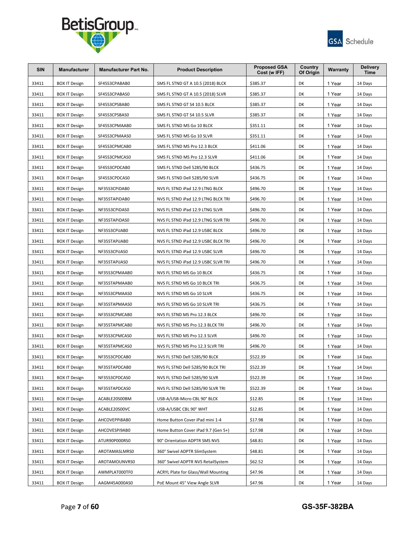



| <b>SIN</b> | <b>Manufacturer</b>  | <b>Manufacturer Part No.</b> | <b>Product Description</b>                 | <b>Proposed GSA</b><br>Cost (w IFF) | Country<br>Of Origin | Warranty | <b>Delivery</b><br><b>Time</b> |
|------------|----------------------|------------------------------|--------------------------------------------|-------------------------------------|----------------------|----------|--------------------------------|
| 33411      | <b>BOX IT Design</b> | SF45S3CPABAB0                | SMS FL STND GT A 10.5 (2018) BLCK          | \$385.37                            | DK                   | 1 Year   | 14 Days                        |
| 33411      | <b>BOX IT Design</b> | SF45S3CPABAS0                | SMS FL STND GT A 10.5 (2018) SLVR          | \$385.37                            | DK                   | 1 Year   | 14 Days                        |
| 33411      | <b>BOX IT Design</b> | SF45S3CPSBAB0                | SMS FL STND GT S4 10.5 BLCK                | \$385.37                            | DK                   | 1 Year   | 14 Days                        |
| 33411      | <b>BOX IT Design</b> | SF45S3CPSBAS0                | SMS FL STND GT S4 10.5 SLVR                | \$385.37                            | DK                   | 1 Year   | 14 Days                        |
| 33411      | <b>BOX IT Design</b> | SF45S3CPMAAB0                | SMS FL STND MS Go 10 BLCK                  | \$351.11                            | DK                   | 1 Year   | 14 Days                        |
| 33411      | <b>BOX IT Design</b> | SF45S3CPMAAS0                | SMS FL STND MS Go 10 SLVR                  | \$351.11                            | DK                   | 1 Year   | 14 Days                        |
| 33411      | <b>BOX IT Design</b> | SF45S3CPMCAB0                | SMS FL STND MS Pro 12.3 BLCK               | \$411.06                            | DK                   | 1 Year   | 14 Days                        |
| 33411      | <b>BOX IT Design</b> | SF45S3CPMCAS0                | SMS FL STND MS Pro 12.3 SLVR               | \$411.06                            | DK                   | 1 Year   | 14 Days                        |
| 33411      | <b>BOX IT Design</b> | SF45S3CPDCAB0                | SMS FL STND Dell 5285/90 BLCK              | \$436.75                            | DK                   | 1 Year   | 14 Days                        |
| 33411      | <b>BOX IT Design</b> | SF45S3CPDCAS0                | SMS FL STND Dell 5285/90 SLVR              | \$436.75                            | DK                   | 1 Year   | 14 Days                        |
| 33411      | <b>BOX IT Design</b> | NF35S3CPiDAB0                | NVS FL STND iPad 12.9 LTNG BLCK            | \$496.70                            | DK                   | 1 Year   | 14 Days                        |
| 33411      | <b>BOX IT Design</b> | NF35STAPIDAB0                | NVS FL STND iPad 12.9 LTNG BLCK TRI        | \$496.70                            | DK                   | 1 Year   | 14 Days                        |
| 33411      | <b>BOX IT Design</b> | NF35S3CPIDAS0                | NVS FL STND iPad 12.9 LTNG SLVR            | \$496.70                            | DK                   | 1 Year   | 14 Days                        |
| 33411      | <b>BOX IT Design</b> | NF35STAPIDAS0                | NVS FL STND iPad 12.9 LTNG SLVR TRI        | \$496.70                            | DK                   | 1 Year   | 14 Days                        |
| 33411      | <b>BOX IT Design</b> | NF35S3CPiJAB0                | NVS FL STND iPad 12.9 USBC BLCK            | \$496.70                            | DK                   | 1 Year   | 14 Days                        |
| 33411      | <b>BOX IT Design</b> | NF35STAPiJAB0                | NVS FL STND iPad 12.9 USBC BLCK TRI        | \$496.70                            | DK                   | 1 Year   | 14 Days                        |
| 33411      | <b>BOX IT Design</b> | NF35S3CPiJAS0                | NVS FL STND iPad 12.9 USBC SLVR            | \$496.70                            | DK                   | 1 Year   | 14 Days                        |
| 33411      | <b>BOX IT Design</b> | NF35STAPIJAS0                | NVS FL STND iPad 12.9 USBC SLVR TRI        | \$496.70                            | DK                   | 1 Year   | 14 Days                        |
| 33411      | <b>BOX IT Design</b> | NF35S3CPMAAB0                | NVS FL STND MS Go 10 BLCK                  | \$436.75                            | DK                   | 1 Year   | 14 Days                        |
| 33411      | <b>BOX IT Design</b> | NF35STAPMAAB0                | NVS FL STND MS Go 10 BLCK TRI              | \$436.75                            | DK                   | 1 Year   | 14 Days                        |
| 33411      | <b>BOX IT Design</b> | NF35S3CPMAAS0                | NVS FL STND MS Go 10 SLVR                  | \$436.75                            | DK                   | 1 Year   | 14 Days                        |
| 33411      | <b>BOX IT Design</b> | NF35STAPMAAS0                | NVS FL STND MS Go 10 SLVR TRI              | \$436.75                            | DK                   | 1 Year   | 14 Days                        |
| 33411      | <b>BOX IT Design</b> | NF35S3CPMCAB0                | NVS FL STND MS Pro 12.3 BLCK               | \$496.70                            | DK                   | 1 Year   | 14 Days                        |
| 33411      | <b>BOX IT Design</b> | NF35STAPMCAB0                | NVS FL STND MS Pro 12.3 BLCK TRI           | \$496.70                            | DK                   | 1 Year   | 14 Days                        |
| 33411      | <b>BOX IT Design</b> | NF35S3CPMCAS0                | NVS FL STND MS Pro 12.3 SLVR               | \$496.70                            | DK                   | 1 Year   | 14 Days                        |
| 33411      | <b>BOX IT Design</b> | NF35STAPMCAS0                | NVS FL STND MS Pro 12.3 SLVR TRI           | \$496.70                            | DK                   | 1 Year   | 14 Days                        |
| 33411      | <b>BOX IT Design</b> | NF35S3CPDCAB0                | NVS FL STND Dell 5285/90 BLCK              | \$522.39                            | DK                   | 1 Year   | 14 Days                        |
| 33411      | <b>BOX IT Design</b> | NF35STAPDCAB0                | NVS FL STND Dell 5285/90 BLCK TRI          | \$522.39                            | DK                   | 1 Year   | 14 Days                        |
| 33411      | <b>BOX IT Design</b> | NF35S3CPDCAS0                | NVS FL STND Dell 5285/90 SLVR              | \$522.39                            | DK                   | 1 Year   | 14 Days                        |
| 33411      | <b>BOX IT Design</b> | NF35STAPDCAS0                | NVS FL STND Dell 5285/90 SLVR TRI          | \$522.39                            | DK                   | 1 Year   | 14 Days                        |
| 33411      | <b>BOX IT Design</b> | ACABLE20S00BM                | USB-A/USB-Micro CBL 90° BLCK               | \$12.85                             | DK                   | 1 Year   | 14 Days                        |
| 33411      | <b>BOX IT Design</b> | ACABLE20S00VC                | USB-A/USBC CBL 90° WHT                     | \$12.85                             | DK                   | 1 Year   | 14 Days                        |
| 33411      | <b>BOX IT Design</b> | AHCOVEPPI8AB0                | Home Button Cover iPad mini 1-4            | \$17.98                             | DK                   | 1 Year   | 14 Days                        |
| 33411      | <b>BOX IT Design</b> | AHCOVESPI9AB0                | Home Button Cover iPad 9.7 (Gen 5+)        | \$17.98                             | DK                   | 1 Year   | 14 Days                        |
| 33411      | <b>BOX IT Design</b> | ATUR90P000RS0                | 90° Orientation ADPTR SMS NVS              | \$48.81                             | DK                   | 1 Year   | 14 Days                        |
| 33411      | <b>BOX IT Design</b> | AROTAMASLMRS0                | 360° Swivel ADPTR SlimSystem               | \$48.81                             | DK                   | 1 Year   | 14 Days                        |
| 33411      | <b>BOX IT Design</b> | AROTAMOUNVRS0                | 360° Swivel ADPTR NVS RetailSystem         | \$62.52                             | DK                   | 1 Year   | 14 Days                        |
| 33411      | <b>BOX IT Design</b> | AWMPLAT000TF0                | <b>ACRYL Plate for Glass/Wall Mounting</b> | \$47.96                             | DK                   | 1 Year   | 14 Days                        |
| 33411      | <b>BOX IT Design</b> | AAGM45A000AS0                | PoE Mount 45° View Angle SLVR              | \$47.96                             | DK                   | 1 Year   | 14 Days                        |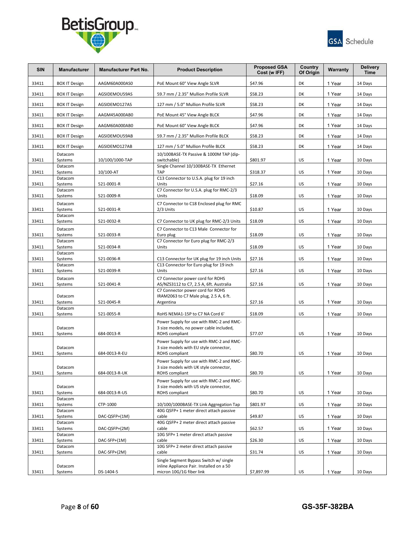



| <b>SIN</b> | <b>Manufacturer</b>  | <b>Manufacturer Part No.</b> | <b>Product Description</b>                                                             | <b>Proposed GSA</b><br>Cost (w IFF) | Country<br>Of Origin | Warranty | <b>Delivery</b><br><b>Time</b> |
|------------|----------------------|------------------------------|----------------------------------------------------------------------------------------|-------------------------------------|----------------------|----------|--------------------------------|
| 33411      | <b>BOX IT Design</b> | AAGM60A000AS0                | PoE Mount 60° View Angle SLVR                                                          | \$47.96                             | DK                   | 1 Year   | 14 Days                        |
| 33411      | <b>BOX IT Design</b> | AGSIDEMOU59AS                | 59.7 mm / 2.35" Mullion Profile SLVR                                                   | \$58.23                             | DK                   | 1 Year   | 14 Days                        |
| 33411      | <b>BOX IT Design</b> | AGSIDEMO127AS                | 127 mm / 5.0" Mullion Profile SLVR                                                     | \$58.23                             | DK                   | 1 Year   | 14 Days                        |
| 33411      | <b>BOX IT Design</b> | AAGM45A000AB0                | PoE Mount 45° View Angle BLCK                                                          | \$47.96                             | DK                   | 1 Year   | 14 Days                        |
| 33411      | <b>BOX IT Design</b> | AAGM60A000AB0                | PoE Mount 60° View Angle BLCK                                                          | \$47.96                             | DK                   | 1 Year   | 14 Days                        |
| 33411      | <b>BOX IT Design</b> | AGSIDEMOU59AB                | 59.7 mm / 2.35" Mullion Profile BLCK                                                   | \$58.23                             | DK                   | 1 Year   | 14 Days                        |
| 33411      | <b>BOX IT Design</b> | AGSIDEMO127AB                | 127 mm / 5.0" Mullion Profile BLCK                                                     | \$58.23                             | DK                   | 1 Year   | 14 Days                        |
|            | Datacom              |                              | 10/100BASE-TX Passive & 1000M TAP (dip-                                                | \$801.97                            | US                   |          |                                |
| 33411      | Systems<br>Datacom   | 10/100/1000-TAP              | switchable)<br>Single Channel 10/100BASE-TX Ethernet                                   |                                     |                      | 1 Year   | 10 Days                        |
| 33411      | Systems<br>Datacom   | 10/100-AT                    | <b>TAP</b><br>C13 Connector to U.S.A. plug for 19 inch                                 | \$318.37                            | US                   | 1 Year   | 10 Days                        |
| 33411      | Systems              | 521-0001-R                   | Units                                                                                  | \$27.16                             | US                   | 1 Year   | 10 Days                        |
| 33411      | Datacom<br>Systems   | 521-0009-R                   | C7 Connector for U.S.A. plug for RMC-2/3<br>Units                                      | \$18.09                             | US                   | 1 Year   | 10 Days                        |
|            | Datacom              |                              | C7 Connector to C18 Enclosed plug for RMC                                              |                                     |                      |          |                                |
| 33411      | Systems<br>Datacom   | 521-0031-R                   | 2/3 Units                                                                              | \$10.87                             | US                   | 1 Year   | 10 Days                        |
| 33411      | Systems              | 521-0032-R                   | C7 Connector to UK plug for RMC-2/3 Units                                              | \$18.09                             | US                   | 1 Year   | 10 Days                        |
| 33411      | Datacom<br>Systems   | 521-0033-R                   | C7 Connector to C13 Male Connector for<br>Euro plug                                    | \$18.09                             | US                   | 1 Year   | 10 Days                        |
| 33411      | Datacom<br>Systems   | 521-0034-R                   | C7 Connector for Euro plug for RMC-2/3<br>Units                                        | \$18.09                             | US                   | 1 Year   | 10 Days                        |
|            | Datacom              |                              |                                                                                        |                                     |                      |          |                                |
| 33411      | Systems<br>Datacom   | 521-0036-R                   | C13 Connector for UK plug for 19 inch Units<br>C13 Connector for Euro plug for 19 inch | \$27.16                             | US                   | 1 Year   | 10 Days                        |
| 33411      | Systems              | 521-0039-R                   | Units                                                                                  | \$27.16                             | US                   | 1 Year   | 10 Days                        |
| 33411      | Datacom<br>Systems   | 521-0041-R                   | C7 Connector power cord for ROHS<br>AS/NZS3112 to C7, 2.5 A, 6ft. Australia            | \$27.16                             | US                   | 1 Year   | 10 Days                        |
|            | Datacom              |                              | C7 Connector power cord for ROHS<br>IRAM2063 to C7 Male plug, 2.5 A, 6 ft.             |                                     |                      |          |                                |
| 33411      | Systems              | 521-0045-R                   | Argentina                                                                              | \$27.16                             | US                   | 1 Year   | 10 Days                        |
| 33411      | Datacom<br>Systems   | 521-0055-R                   | RoHS NEMA1-15P to C7 NA Cord 6'                                                        | \$18.09                             | US                   | 1 Year   | 10 Days                        |
|            |                      |                              | Power Supply for use with RMC-2 and RMC-                                               |                                     |                      |          |                                |
| 33411      | Datacom<br>Systems   | 684-0013-R                   | 3 size models, no power cable included,<br>ROHS compliant                              | \$77.07                             | US                   | 1 Year   | 10 Days                        |
|            |                      |                              | Power Supply for use with RMC-2 and RMC-                                               |                                     |                      |          |                                |
| 33411      | Datacom<br>Systems   | 684-0013-R-EU                | 3 size models with EU style connector,<br>ROHS compliant                               | \$80.70                             | US                   | 1 Year   | 10 Days                        |
|            |                      |                              | Power Supply for use with RMC-2 and RMC-                                               |                                     |                      |          |                                |
| 33411      | Datacom<br>Systems   | 684-0013-R-UK                | 3 size models with UK style connector,<br>ROHS compliant                               | \$80.70                             | US                   | 1 Year   | 10 Days                        |
|            |                      |                              | Power Supply for use with RMC-2 and RMC-                                               |                                     |                      |          |                                |
| 33411      | Datacom<br>Systems   | 684-0013-R-US                | 3 size models with US style connector,<br>ROHS compliant                               | \$80.70                             | US                   | 1 Year   | 10 Days                        |
|            | Datacom              |                              |                                                                                        |                                     |                      |          |                                |
| 33411      | Systems<br>Datacom   | CTP-1000                     | 10/100/1000BASE-TX Link Aggregation Tap<br>40G QSFP+ 1 meter direct attach passive     | \$801.97                            | US                   | 1 Year   | 10 Days                        |
| 33411      | Systems              | DAC-QSFP+(1M)                | cable                                                                                  | \$49.87                             | US                   | 1 Year   | 10 Days                        |
| 33411      | Datacom<br>Systems   | DAC-QSFP+(2M)                | 40G QSFP+ 2 meter direct attach passive<br>cable                                       | \$62.57                             | US                   | 1 Year   | 10 Days                        |
|            | Datacom              |                              | 10G SFP+ 1 meter direct attach passive                                                 |                                     |                      |          |                                |
| 33411      | Systems<br>Datacom   | DAC-SFP+(1M)                 | cable<br>10G SFP+ 2 meter direct attach passive                                        | \$26.30                             | US                   | 1 Year   | 10 Days                        |
| 33411      | Systems              | DAC-SFP+(2M)                 | cable                                                                                  | \$31.74                             | US                   | 1 Year   | 10 Days                        |
|            | Datacom              |                              | Single Segment Bypass Switch w/ single<br>inline Appliance Pair. Installed on a 50     |                                     |                      |          |                                |
| 33411      | Systems              | DS-1404-5                    | micron 10G/1G fiber link                                                               | \$7,897.99                          | US                   | 1 Year   | 10 Days                        |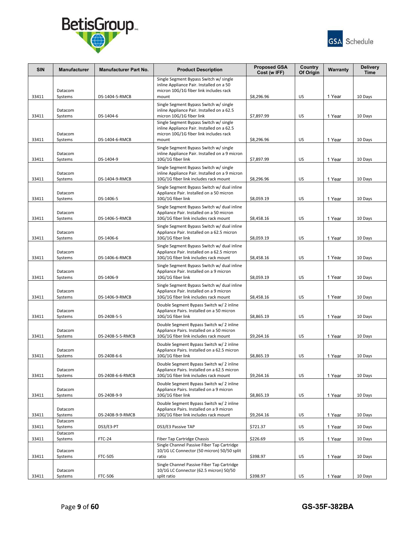



| <b>SIN</b> | <b>Manufacturer</b> | <b>Manufacturer Part No.</b> | <b>Product Description</b>                                                                                                              | <b>Proposed GSA</b><br>Cost (w IFF) | Country<br>Of Origin | Warranty | <b>Delivery</b><br><b>Time</b> |
|------------|---------------------|------------------------------|-----------------------------------------------------------------------------------------------------------------------------------------|-------------------------------------|----------------------|----------|--------------------------------|
| 33411      | Datacom<br>Systems  | DS-1404-5-RMCB               | Single Segment Bypass Switch w/ single<br>inline Appliance Pair. Installed on a 50<br>micron 10G/1G fiber link includes rack<br>mount   | \$8,296.96                          | US                   | 1 Year   | 10 Days                        |
| 33411      | Datacom<br>Systems  | DS-1404-6                    | Single Segment Bypass Switch w/ single<br>inline Appliance Pair. Installed on a 62.5<br>micron 10G/1G fiber link                        | \$7,897.99                          | US                   | 1 Year   | 10 Days                        |
| 33411      | Datacom<br>Systems  | DS-1404-6-RMCB               | Single Segment Bypass Switch w/ single<br>inline Appliance Pair. Installed on a 62.5<br>micron 10G/1G fiber link includes rack<br>mount | \$8,296.96                          | US                   | 1 Year   | 10 Days                        |
| 33411      | Datacom<br>Systems  | DS-1404-9                    | Single Segment Bypass Switch w/ single<br>inline Appliance Pair. Installed on a 9 micron<br>10G/1G fiber link                           | \$7,897.99                          | US                   | 1 Year   | 10 Days                        |
| 33411      | Datacom<br>Systems  | DS-1404-9-RMCB               | Single Segment Bypass Switch w/ single<br>inline Appliance Pair. Installed on a 9 micron<br>10G/1G fiber link includes rack mount       | \$8,296.96                          | US                   | 1 Year   | 10 Days                        |
| 33411      | Datacom<br>Systems  | DS-1406-5                    | Single Segment Bypass Switch w/ dual inline<br>Appliance Pair. Installed on a 50 micron<br>10G/1G fiber link                            | \$8,059.19                          | US                   | 1 Year   | 10 Days                        |
| 33411      | Datacom<br>Systems  | DS-1406-5-RMCB               | Single Segment Bypass Switch w/ dual inline<br>Appliance Pair. Installed on a 50 micron<br>10G/1G fiber link includes rack mount        | \$8,458.16                          | US                   | 1 Year   | 10 Days                        |
| 33411      | Datacom<br>Systems  | DS-1406-6                    | Single Segment Bypass Switch w/ dual inline<br>Appliance Pair. Installed on a 62.5 micron<br>10G/1G fiber link                          | \$8,059.19                          | US                   | 1 Year   | 10 Days                        |
| 33411      | Datacom<br>Systems  | DS-1406-6-RMCB               | Single Segment Bypass Switch w/ dual inline<br>Appliance Pair. Installed on a 62.5 micron<br>10G/1G fiber link includes rack mount      | \$8,458.16                          | US                   | 1 Year   | 10 Days                        |
| 33411      | Datacom<br>Systems  | DS-1406-9                    | Single Segment Bypass Switch w/ dual inline<br>Appliance Pair. Installed on a 9 micron<br>10G/1G fiber link                             | \$8,059.19                          | US                   | 1 Year   | 10 Days                        |
| 33411      | Datacom<br>Systems  | DS-1406-9-RMCB               | Single Segment Bypass Switch w/ dual inline<br>Appliance Pair. Installed on a 9 micron<br>10G/1G fiber link includes rack mount         | \$8,458.16                          | US                   | 1 Year   | 10 Days                        |
| 33411      | Datacom<br>Systems  | DS-2408-5-5                  | Double Segment Bypass Switch w/ 2 inline<br>Appliance Pairs. Installed on a 50 micron<br>10G/1G fiber link                              | \$8,865.19                          | US                   | 1 Year   | 10 Days                        |
| 33411      | Datacom<br>Systems  | DS-2408-5-5-RMCB             | Double Segment Bypass Switch w/ 2 inline<br>Appliance Pairs. Installed on a 50 micron<br>10G/1G fiber link includes rack mount          | \$9,264.16                          | US                   | 1 Year   | 10 Days                        |
| 33411      | Datacom<br>Systems  | DS-2408-6-6                  | Double Segment Bypass Switch w/2 inline<br>Appliance Pairs. Installed on a 62.5 micron<br>10G/1G fiber link                             | \$8,865.19                          | US                   | 1 Year   | 10 Days                        |
| 33411      | Datacom<br>Systems  | DS-2408-6-6-RMCB             | Double Segment Bypass Switch w/ 2 inline<br>Appliance Pairs. Installed on a 62.5 micron<br>10G/1G fiber link includes rack mount        | \$9,264.16                          | US                   | 1 Year   | 10 Days                        |
| 33411      | Datacom<br>Systems  | DS-2408-9-9                  | Double Segment Bypass Switch w/ 2 inline<br>Appliance Pairs. Installed on a 9 micron<br>10G/1G fiber link                               | \$8,865.19                          | US                   | 1 Year   | 10 Days                        |
| 33411      | Datacom<br>Systems  | DS-2408-9-9-RMCB             | Double Segment Bypass Switch w/2 inline<br>Appliance Pairs. Installed on a 9 micron<br>10G/1G fiber link includes rack mount            | \$9,264.16                          | US                   | 1 Year   | 10 Days                        |
| 33411      | Datacom<br>Systems  | DS3/E3-PT                    | DS3/E3 Passive TAP                                                                                                                      | \$721.37                            | US                   | 1 Year   | 10 Days                        |
| 33411      | Datacom<br>Systems  | FTC-24                       | <b>Fiber Tap Cartridge Chassis</b><br>Single Channel Passive Fiber Tap Cartridge                                                        | \$226.69                            | US                   | 1 Year   | 10 Days                        |
| 33411      | Datacom<br>Systems  | FTC-505                      | 10/1G LC Connector (50 micron) 50/50 split<br>ratio                                                                                     | \$398.97                            | US                   | 1 Year   | 10 Days                        |
| 33411      | Datacom<br>Systems  | FTC-506                      | Single Channel Passive Fiber Tap Cartridge<br>10/1G LC Connector (62.5 micron) 50/50<br>split ratio                                     | \$398.97                            | US                   | 1 Year   | 10 Days                        |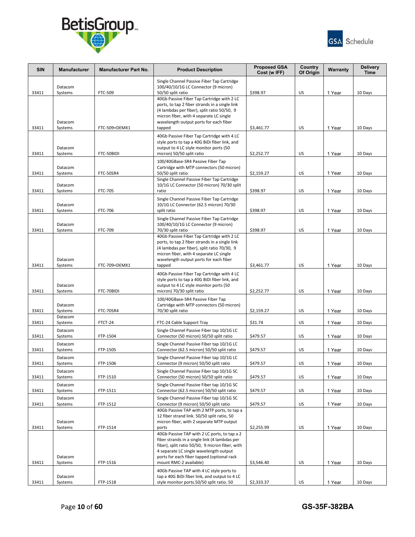



| <b>SIN</b> | <b>Manufacturer</b> | <b>Manufacturer Part No.</b> | <b>Product Description</b>                                                                    | <b>Proposed GSA</b><br>Cost (w IFF) | Country<br>Of Origin | Warranty | <b>Delivery</b><br><b>Time</b> |
|------------|---------------------|------------------------------|-----------------------------------------------------------------------------------------------|-------------------------------------|----------------------|----------|--------------------------------|
|            |                     |                              | Single Channel Passive Fiber Tap Cartridge                                                    |                                     |                      |          |                                |
|            | Datacom             |                              | 100/40/10/1G LC Connector (9 micron)                                                          |                                     |                      |          |                                |
| 33411      | Systems             | <b>FTC-509</b>               | 50/50 split ratio<br>40Gb Passive Fiber Tap Cartridge with 2 LC                               | \$398.97                            | US                   | 1 Year   | 10 Days                        |
|            |                     |                              | ports, to tap 2 fiber strands in a single link                                                |                                     |                      |          |                                |
|            |                     |                              | (4 lambdas per fiber), split ratio 50/50, 9                                                   |                                     |                      |          |                                |
|            | Datacom             |                              | micron fiber, with 4 separate LC single<br>wavelength output ports for each fiber             |                                     |                      |          |                                |
| 33411      | Systems             | FTC-509+DEMX1                | tapped                                                                                        | \$3,461.77                          | US                   | 1 Year   | 10 Days                        |
|            |                     |                              | 40Gb Passive Fiber Tap Cartridge with 4 LC                                                    |                                     |                      |          |                                |
|            | Datacom             |                              | style ports to tap a 40G BiDi fiber link, and<br>output to 4 LC style monitor ports (50       |                                     |                      |          |                                |
| 33411      | Systems             | FTC-50BIDI                   | micron) 50/50 split ratio                                                                     | \$2,252.77                          | US                   | 1 Year   | 10 Days                        |
|            |                     |                              | 100/40GBase-SR4 Passive Fiber Tap                                                             |                                     |                      |          |                                |
|            | Datacom             |                              | Cartridge with MTP connectors (50 micron)                                                     |                                     |                      |          |                                |
| 33411      | Systems             | FTC-50SR4                    | 50/50 split ratio<br>Single Channel Passive Fiber Tap Cartridge                               | \$2,159.27                          | US                   | 1 Year   | 10 Days                        |
|            | Datacom             |                              | 10/1G LC Connector (50 micron) 70/30 split                                                    |                                     |                      |          |                                |
| 33411      | Systems             | FTC-705                      | ratio                                                                                         | \$398.97                            | US                   | 1 Year   | 10 Days                        |
|            |                     |                              | Single Channel Passive Fiber Tap Cartridge                                                    |                                     |                      |          |                                |
| 33411      | Datacom<br>Systems  | FTC-706                      | 10/1G LC Connector (62.5 micron) 70/30<br>split ratio                                         | \$398.97                            | US                   | 1 Year   | 10 Days                        |
|            |                     |                              | Single Channel Passive Fiber Tap Cartridge                                                    |                                     |                      |          |                                |
|            | Datacom             |                              | 100/40/10/1G LC Connector (9 micron)                                                          |                                     |                      |          |                                |
| 33411      | Systems             | FTC-709                      | 70/30 split ratio                                                                             | \$398.97                            | US                   | 1 Year   | 10 Days                        |
|            |                     |                              | 40Gb Passive Fiber Tap Cartridge with 2 LC<br>ports, to tap 2 fiber strands in a single link  |                                     |                      |          |                                |
|            |                     |                              | (4 lambdas per fiber), split ratio 70/30, 9                                                   |                                     |                      |          |                                |
|            |                     |                              | micron fiber, with 4 separate LC single                                                       |                                     |                      |          |                                |
| 33411      | Datacom<br>Systems  | FTC-709+DEMX1                | wavelength output ports for each fiber<br>tapped                                              | \$3,461.77                          | US                   | 1 Year   | 10 Days                        |
|            |                     |                              | 40Gb Passive Fiber Tap Cartridge with 4 LC                                                    |                                     |                      |          |                                |
|            |                     |                              | style ports to tap a 40G BiDi fiber link, and                                                 |                                     |                      |          |                                |
|            | Datacom             |                              | output to 4 LC style monitor ports (50                                                        |                                     |                      |          |                                |
| 33411      | Systems             | FTC-70BIDI                   | micron) 70/30 split ratio                                                                     | \$2,252.77                          | US                   | 1 Year   | 10 Days                        |
|            | Datacom             |                              | 100/40GBase-SR4 Passive Fiber Tap<br>Cartridge with MTP connectors (50 micron)                |                                     |                      |          |                                |
| 33411      | Systems             | FTC-70SR4                    | 70/30 split ratio                                                                             | \$2,159.27                          | US                   | 1 Year   | 10 Days                        |
|            | Datacom             |                              |                                                                                               |                                     |                      |          |                                |
| 33411      | Systems             | FTCT-24                      | FTC-24 Cable Support Tray                                                                     | \$31.74                             | US                   | 1 Year   | 10 Days                        |
| 33411      | Datacom<br>Systems  | FTP-1504                     | Single Channel Passive Fiber tap 10/1G LC<br>Connector (50 micron) 50/50 split ratio          | \$479.57                            | US                   | 1 Year   | 10 Days                        |
|            | Datacom             |                              | Single Channel Passive Fiber tap 10/1G LC                                                     |                                     |                      |          |                                |
| 33411      | Systems             | FTP-1505                     | Connector (62.5 micron) 50/50 split ratio                                                     | \$479.57                            | US                   | 1 Year   | 10 Days                        |
|            | Datacom             |                              | Single Channel Passive Fiber tap 10/1G LC                                                     |                                     |                      |          |                                |
| 33411      | Systems             | FTP-1506                     | Connector (9 micron) 50/50 split ratio                                                        | \$479.57                            | US                   | 1 Year   | 10 Days                        |
| 33411      | Datacom<br>Systems  | FTP-1510                     | Single Channel Passive Fiber tap 10/1G SC<br>Connector (50 micron) 50/50 split ratio          | \$479.57                            | US                   | 1 Year   | 10 Days                        |
|            | Datacom             |                              | Single Channel Passive Fiber tap 10/1G SC                                                     |                                     |                      |          |                                |
| 33411      | Systems             | FTP-1511                     | Connector (62.5 micron) 50/50 split ratio                                                     | \$479.57                            | US                   | 1 Year   | 10 Days                        |
|            | Datacom             |                              | Single Channel Passive Fiber tap 10/1G SC                                                     |                                     |                      |          |                                |
| 33411      | Systems             | FTP-1512                     | Connector (9 micron) 50/50 split ratio                                                        | \$479.57                            | US                   | 1 Year   | 10 Days                        |
|            |                     |                              | 40Gb Passive TAP with 2 MTP ports, to tap a<br>12 fiber strand link. 50/50 split ratio, 50    |                                     |                      |          |                                |
|            | Datacom             |                              | micron fiber, with 2 separate MTP output                                                      |                                     |                      |          |                                |
| 33411      | Systems             | FTP-1514                     | ports                                                                                         | \$2,255.99                          | US                   | 1 Year   | 10 Days                        |
|            |                     |                              | 40Gb Passive TAP with 2 LC ports, to tap a 2<br>fiber strands in a single link (4 lambdas per |                                     |                      |          |                                |
|            |                     |                              | fiber), split ratio 50/50, 9 micron fiber, with                                               |                                     |                      |          |                                |
|            |                     |                              | 4 separate LC single wavelength output                                                        |                                     |                      |          |                                |
| 33411      | Datacom<br>Systems  | FTP-1516                     | ports for each fiber tapped (optional rack<br>mount RMC-2 available)                          | \$3,546.40                          | US                   | 1 Year   | 10 Days                        |
|            |                     |                              | 40Gb Passive TAP with 4 LC style ports to                                                     |                                     |                      |          |                                |
|            | Datacom             |                              | tap a 40G BiDi fiber link, and output to 4 LC                                                 |                                     |                      |          |                                |
| 33411      | Systems             | FTP-1518                     | style monitor ports.50/50 split ratio. 50                                                     | \$2,333.37                          | US                   | 1 Year   | 10 Days                        |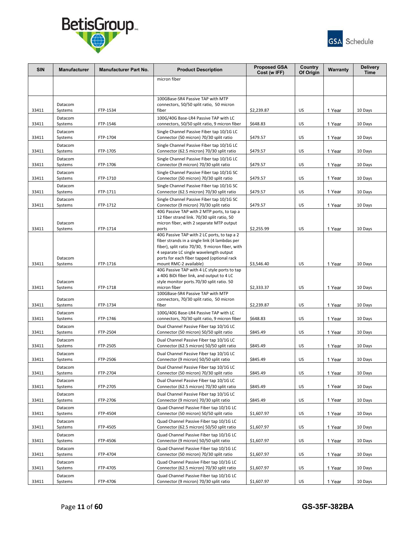



| <b>SIN</b> | <b>Manufacturer</b> | <b>Manufacturer Part No.</b> | <b>Product Description</b>                                                                                                                                                                                                              | <b>Proposed GSA</b><br>Cost (w IFF) | Country<br>Of Origin | Warranty | <b>Delivery</b><br><b>Time</b> |
|------------|---------------------|------------------------------|-----------------------------------------------------------------------------------------------------------------------------------------------------------------------------------------------------------------------------------------|-------------------------------------|----------------------|----------|--------------------------------|
|            |                     |                              | micron fiber                                                                                                                                                                                                                            |                                     |                      |          |                                |
| 33411      | Datacom<br>Systems  | FTP-1534                     | 100GBase-SR4 Passive TAP with MTP<br>connectors, 50/50 split ratio, 50 micron<br>fiber                                                                                                                                                  | \$2,239.87                          | US                   | 1 Year   | 10 Days                        |
| 33411      | Datacom<br>Systems  | FTP-1546                     | 100G/40G Base-LR4 Passive TAP with LC<br>connectors, 50/50 split ratio, 9 micron fiber                                                                                                                                                  | \$648.83                            | US                   | 1 Year   | 10 Days                        |
| 33411      | Datacom<br>Systems  | FTP-1704                     | Single Channel Passive Fiber tap 10/1G LC<br>Connector (50 micron) 70/30 split ratio                                                                                                                                                    | \$479.57                            | US                   | 1 Year   | 10 Days                        |
| 33411      | Datacom<br>Systems  | FTP-1705                     | Single Channel Passive Fiber tap 10/1G LC<br>Connector (62.5 micron) 70/30 split ratio                                                                                                                                                  | \$479.57                            | US                   | 1 Year   | 10 Days                        |
| 33411      | Datacom<br>Systems  | FTP-1706                     | Single Channel Passive Fiber tap 10/1G LC<br>Connector (9 micron) 70/30 split ratio                                                                                                                                                     | \$479.57                            | US                   | 1 Year   | 10 Days                        |
| 33411      | Datacom<br>Systems  | FTP-1710                     | Single Channel Passive Fiber tap 10/1G SC<br>Connector (50 micron) 70/30 split ratio                                                                                                                                                    | \$479.57                            | US                   | 1 Year   | 10 Days                        |
| 33411      | Datacom<br>Systems  | FTP-1711                     | Single Channel Passive Fiber tap 10/1G SC<br>Connector (62.5 micron) 70/30 split ratio                                                                                                                                                  | \$479.57                            | US                   | 1 Year   | 10 Days                        |
| 33411      | Datacom<br>Systems  | FTP-1712                     | Single Channel Passive Fiber tap 10/1G SC<br>Connector (9 micron) 70/30 split ratio                                                                                                                                                     | \$479.57                            | US                   | 1 Year   | 10 Days                        |
| 33411      | Datacom<br>Systems  | FTP-1714                     | 40G Passive TAP with 2 MTP ports, to tap a<br>12 fiber strand link. 70/30 split ratio, 50<br>micron fiber, with 2 separate MTP output<br>ports                                                                                          | \$2,255.99                          | US                   | 1 Year   | 10 Days                        |
|            | Datacom             |                              | 40G Passive TAP with 2 LC ports, to tap a 2<br>fiber strands in a single link (4 lambdas per<br>fiber), split ratio 70/30, 9 micron fiber, with<br>4 separate LC single wavelength output<br>ports for each fiber tapped (optional rack |                                     |                      |          |                                |
| 33411      | Systems<br>Datacom  | FTP-1716                     | mount RMC-2 available)<br>40G Passive TAP with 4 LC style ports to tap<br>a 40G BiDi fiber link, and output to 4 LC<br>style monitor ports.70/30 split ratio. 50                                                                        | \$3,546.40                          | US                   | 1 Year   | 10 Days                        |
| 33411      | Systems             | FTP-1718                     | micron fiber<br>100GBase-SR4 Passive TAP with MTP                                                                                                                                                                                       | \$2,333.37                          | US                   | 1 Year   | 10 Days                        |
| 33411      | Datacom<br>Systems  | FTP-1734                     | connectors, 70/30 split ratio, 50 micron<br>fiber                                                                                                                                                                                       | \$2,239.87                          | US                   | 1 Year   | 10 Days                        |
| 33411      | Datacom<br>Systems  | FTP-1746                     | 100G/40G Base-LR4 Passive TAP with LC<br>connectors, 70/30 split ratio, 9 micron fiber                                                                                                                                                  | \$648.83                            | US                   | 1 Year   | 10 Days                        |
| 33411      | Datacom<br>Systems  | FTP-2504                     | Dual Channel Passive Fiber tap 10/1G LC<br>Connector (50 micron) 50/50 split ratio                                                                                                                                                      | \$845.49                            | US                   | 1 Year   | 10 Days                        |
| 33411      | Datacom<br>Systems  | FTP-2505                     | Dual Channel Passive Fiber tap 10/1G LC<br>Connector (62.5 micron) 50/50 split ratio                                                                                                                                                    | \$845.49                            | US                   | 1 Year   | 10 Days                        |
| 33411      | Datacom<br>Systems  | FTP-2506                     | Dual Channel Passive Fiber tap 10/1G LC<br>Connector (9 micron) 50/50 split ratio                                                                                                                                                       | \$845.49                            | US                   | 1 Year   | 10 Days                        |
| 33411      | Datacom<br>Systems  | FTP-2704                     | Dual Channel Passive Fiber tap 10/1G LC<br>Connector (50 micron) 70/30 split ratio                                                                                                                                                      | \$845.49                            | US                   | 1 Year   | 10 Days                        |
| 33411      | Datacom<br>Systems  | FTP-2705                     | Dual Channel Passive Fiber tap 10/1G LC<br>Connector (62.5 micron) 70/30 split ratio                                                                                                                                                    | \$845.49                            | US                   | 1 Year   | 10 Days                        |
| 33411      | Datacom<br>Systems  | FTP-2706                     | Dual Channel Passive Fiber tap 10/1G LC<br>Connector (9 micron) 70/30 split ratio                                                                                                                                                       | \$845.49                            | US                   | 1 Year   | 10 Days                        |
| 33411      | Datacom<br>Systems  | FTP-4504                     | Quad Channel Passive Fiber tap 10/1G LC<br>Connector (50 micron) 50/50 split ratio                                                                                                                                                      | \$1,607.97                          | US                   | 1 Year   | 10 Days                        |
| 33411      | Datacom<br>Systems  | FTP-4505                     | Quad Channel Passive Fiber tap 10/1G LC<br>Connector (62.5 micron) 50/50 split ratio                                                                                                                                                    | \$1,607.97                          | US                   | 1 Year   | 10 Days                        |
| 33411      | Datacom<br>Systems  | FTP-4506                     | Quad Channel Passive Fiber tap 10/1G LC<br>Connector (9 micron) 50/50 split ratio                                                                                                                                                       | \$1,607.97                          | US                   | 1 Year   | 10 Days                        |
| 33411      | Datacom<br>Systems  | FTP-4704                     | Quad Channel Passive Fiber tap 10/1G LC<br>Connector (50 micron) 70/30 split ratio                                                                                                                                                      | \$1,607.97                          | US                   | 1 Year   | 10 Days                        |
| 33411      | Datacom<br>Systems  | FTP-4705                     | Quad Channel Passive Fiber tap 10/1G LC<br>Connector (62.5 micron) 70/30 split ratio                                                                                                                                                    | \$1,607.97                          | US                   | 1 Year   | 10 Days                        |
| 33411      | Datacom<br>Systems  | FTP-4706                     | Quad Channel Passive Fiber tap 10/1G LC<br>Connector (9 micron) 70/30 split ratio                                                                                                                                                       | \$1,607.97                          | US                   | 1 Year   | 10 Days                        |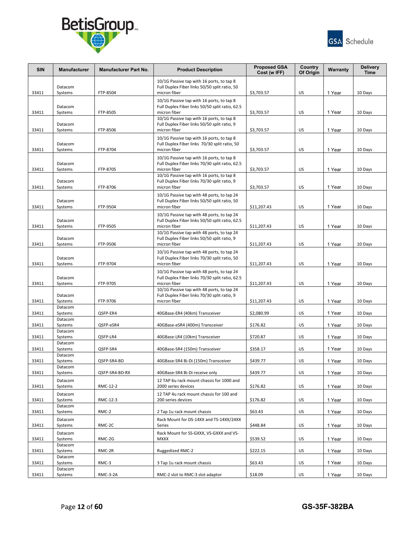



| <b>SIN</b> | <b>Manufacturer</b> | <b>Manufacturer Part No.</b> | <b>Product Description</b>                                                                   | <b>Proposed GSA</b><br>Cost (w IFF) | Country<br>Of Origin | Warranty | <b>Delivery</b><br><b>Time</b> |
|------------|---------------------|------------------------------|----------------------------------------------------------------------------------------------|-------------------------------------|----------------------|----------|--------------------------------|
|            |                     |                              | 10/1G Passive tap with 16 ports, to tap 8                                                    |                                     |                      |          |                                |
|            | Datacom             |                              | Full Duplex Fiber links 50/50 split ratio, 50                                                |                                     |                      |          |                                |
| 33411      | Systems             | FTP-8504                     | micron fiber                                                                                 | \$3,703.57                          | US                   | 1 Year   | 10 Days                        |
|            | Datacom             |                              | 10/1G Passive tap with 16 ports, to tap 8<br>Full Duplex Fiber links 50/50 split ratio, 62.5 |                                     |                      |          |                                |
| 33411      | Systems             | FTP-8505                     | micron fiber                                                                                 | \$3,703.57                          | US                   | 1 Year   | 10 Days                        |
|            |                     |                              | 10/1G Passive tap with 16 ports, to tap 8                                                    |                                     |                      |          |                                |
| 33411      | Datacom<br>Systems  | FTP-8506                     | Full Duplex Fiber links 50/50 split ratio, 9<br>micron fiber                                 | \$3,703.57                          | US                   | 1 Year   | 10 Days                        |
|            |                     |                              | 10/1G Passive tap with 16 ports, to tap 8                                                    |                                     |                      |          |                                |
|            | Datacom             |                              | Full Duplex Fiber links 70/30 split ratio, 50                                                |                                     |                      |          |                                |
| 33411      | Systems             | FTP-8704                     | micron fiber                                                                                 | \$3,703.57                          | US                   | 1 Year   | 10 Days                        |
|            |                     |                              | 10/1G Passive tap with 16 ports, to tap 8                                                    |                                     |                      |          |                                |
| 33411      | Datacom<br>Systems  | FTP-8705                     | Full Duplex Fiber links 70/30 split ratio, 62.5<br>micron fiber                              | \$3,703.57                          | US                   | 1 Year   | 10 Days                        |
|            |                     |                              | 10/1G Passive tap with 16 ports, to tap 8                                                    |                                     |                      |          |                                |
|            | Datacom             |                              | Full Duplex Fiber links 70/30 split ratio, 9                                                 |                                     |                      |          |                                |
| 33411      | Systems             | FTP-8706                     | micron fiber                                                                                 | \$3,703.57                          | US                   | 1 Year   | 10 Days                        |
|            |                     |                              | 10/1G Passive tap with 48 ports, to tap 24                                                   |                                     |                      |          |                                |
| 33411      | Datacom<br>Systems  | FTP-9504                     | Full Duplex Fiber links 50/50 split ratio, 50<br>micron fiber                                | \$11,207.43                         | US                   | 1 Year   | 10 Days                        |
|            |                     |                              | 10/1G Passive tap with 48 ports, to tap 24                                                   |                                     |                      |          |                                |
|            | Datacom             |                              | Full Duplex Fiber links 50/50 split ratio, 62.5                                              |                                     |                      |          |                                |
| 33411      | Systems             | FTP-9505                     | micron fiber                                                                                 | \$11,207.43                         | US                   | 1 Year   | 10 Days                        |
|            |                     |                              | 10/1G Passive tap with 48 ports, to tap 24<br>Full Duplex Fiber links 50/50 split ratio, 9   |                                     |                      |          |                                |
| 33411      | Datacom<br>Systems  | FTP-9506                     | micron fiber                                                                                 | \$11,207.43                         | US                   | 1 Year   | 10 Days                        |
|            |                     |                              | 10/1G Passive tap with 48 ports, to tap 24                                                   |                                     |                      |          |                                |
|            | Datacom             |                              | Full Duplex Fiber links 70/30 split ratio, 50                                                |                                     |                      |          |                                |
| 33411      | Systems             | FTP-9704                     | micron fiber                                                                                 | \$11,207.43                         | US                   | 1 Year   | 10 Days                        |
|            |                     |                              | 10/1G Passive tap with 48 ports, to tap 24                                                   |                                     |                      |          |                                |
| 33411      | Datacom<br>Systems  | FTP-9705                     | Full Duplex Fiber links 70/30 split ratio, 62.5<br>micron fiber                              | \$11,207.43                         | US                   | 1 Year   | 10 Days                        |
|            |                     |                              | 10/1G Passive tap with 48 ports, to tap 24                                                   |                                     |                      |          |                                |
|            | Datacom             |                              | Full Duplex Fiber links 70/30 split ratio, 9                                                 |                                     |                      |          |                                |
| 33411      | Systems             | FTP-9706                     | micron fiber                                                                                 | \$11,207.43                         | US                   | 1 Year   | 10 Days                        |
| 33411      | Datacom<br>Systems  | QSFP-ER4                     | 40GBase-ER4 (40km) Transceiver                                                               | \$2,080.99                          | US                   | 1 Year   | 10 Days                        |
|            | Datacom             |                              |                                                                                              |                                     |                      |          |                                |
| 33411      | Systems             | QSFP-eSR4                    | 40GBase-eSR4 (400m) Transceiver                                                              | \$176.82                            | US                   | 1 Year   | 10 Days                        |
| 33411      | Datacom<br>Systems  | QSFP-LR4                     | 40GBase-LR4 (10km) Transceiver                                                               | \$720.87                            | US                   | 1 Year   | 10 Days                        |
|            | Datacom             |                              |                                                                                              |                                     |                      |          |                                |
| 33411      | Systems             | QSFP-SR4                     | 40GBase-SR4 (150m) Transceiver                                                               | \$358.17                            | US                   | 1 Year   | 10 Days                        |
| 33411      | Datacom<br>Systems  | QSFP-SR4-BD                  | 40GBase-SR4 Bi-Di (150m) Transceiver                                                         | \$439.77                            | US                   | 1 Year   | 10 Days                        |
|            | Datacom             |                              |                                                                                              |                                     |                      |          |                                |
| 33411      | Systems             | QSFP-SR4-BD-RX               | 40GBase-SR4 Bi-Di receive only                                                               | \$439.77                            | US                   | 1 Year   | 10 Days                        |
|            | Datacom             |                              | 12 TAP 6u rack mount chassis for 1000 and                                                    |                                     |                      |          |                                |
| 33411      | Systems             | RMC-12-2                     | 2000 series devices                                                                          | \$176.82                            | US                   | 1 Year   | 10 Days                        |
|            | Datacom<br>Systems  |                              | 12 TAP 4u rack mount chassis for 100 and<br>200 series devices                               |                                     |                      |          |                                |
| 33411      | Datacom             | RMC-12-3                     |                                                                                              | \$176.82                            | US                   | 1 Year   | 10 Days                        |
| 33411      | Systems             | RMC-2                        | 2 Tap 1u rack mount chassis                                                                  | \$63.43                             | US                   | 1 Year   | 10 Days                        |
|            | Datacom             |                              | Rack Mount for DS-14XX and TS-14XX/24XX                                                      |                                     |                      |          |                                |
| 33411      | Systems             | RMC-2C                       | Series                                                                                       | \$448.84                            | US                   | 1 Year   | 10 Days                        |
|            | Datacom             |                              | Rack Mount for SS-GXXX, VS-GXXX and VS-                                                      |                                     |                      |          |                                |
| 33411      | Systems<br>Datacom  | RMC-2G                       | <b>MXXX</b>                                                                                  | \$539.52                            | US                   | 1 Year   | 10 Days                        |
| 33411      | Systems             | RMC-2R                       | Ruggedized RMC-2                                                                             | \$222.15                            | US                   | 1 Year   | 10 Days                        |
|            | Datacom             |                              |                                                                                              |                                     |                      |          |                                |
| 33411      | Systems             | RMC-3                        | 3 Tap 1u rack mount chassis                                                                  | \$63.43                             | US                   | 1 Year   | 10 Days                        |
| 33411      | Datacom<br>Systems  | <b>RMC-3-2A</b>              | RMC-2 slot to RMC-3 slot adaptor                                                             | \$18.09                             | US                   | 1 Year   | 10 Days                        |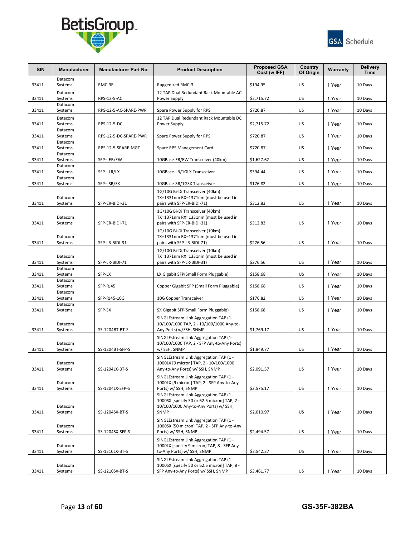



| <b>SIN</b> | <b>Manufacturer</b> | <b>Manufacturer Part No.</b> | <b>Product Description</b>                                                                                         | <b>Proposed GSA</b><br>Cost (w IFF) | Country<br>Of Origin | Warranty | <b>Delivery</b><br><b>Time</b> |
|------------|---------------------|------------------------------|--------------------------------------------------------------------------------------------------------------------|-------------------------------------|----------------------|----------|--------------------------------|
| 33411      | Datacom<br>Systems  | RMC-3R                       | Ruggedized RMC-3                                                                                                   | \$194.95                            | US                   | 1 Year   | 10 Days                        |
| 33411      | Datacom<br>Systems  | RPS-12-5-AC                  | 12 TAP Dual Redundant Rack Mountable AC<br>Power Supply                                                            | \$2,715.72                          | US                   | 1 Year   | 10 Days                        |
| 33411      | Datacom<br>Systems  | RPS-12-5-AC-SPARE-PWR        | Spare Power Supply for RPS                                                                                         | \$720.87                            | US                   | 1 Year   | 10 Days                        |
| 33411      | Datacom<br>Systems  | RPS-12-5-DC                  | 12 TAP Dual Redundant Rack Mountable DC<br>Power Supply                                                            | \$2,715.72                          | US                   | 1 Year   | 10 Days                        |
| 33411      | Datacom<br>Systems  | RPS-12-5-DC-SPARE-PWR        | Spare Power Supply for RPS                                                                                         | \$720.87                            | US                   | 1 Year   | 10 Days                        |
| 33411      | Datacom<br>Systems  | RPS-12-5-SPARE-MGT           | Spare RPS Management Card                                                                                          | \$720.87                            | US                   | 1 Year   | 10 Days                        |
| 33411      | Datacom<br>Systems  | SFP+-ER/EW                   | 10GBase-ER/EW Transceiver (40km)                                                                                   | \$1,627.62                          | US                   | 1 Year   | 10 Days                        |
| 33411      | Datacom<br>Systems  | SFP+-LR/LX                   | 10GBase-LR/1GLX Transceiver                                                                                        | \$394.44                            | US                   | 1 Year   | 10 Days                        |
| 33411      | Datacom<br>Systems  | SFP+-SR/SX                   | 10GBase-SR/1GSX Transceiver                                                                                        | \$176.82                            | US                   | 1 Year   | 10 Days                        |
|            | Datacom             |                              | 1G/10G Bi-Di Transceiver (40km)<br>TX=1331nm RX=1371nm (must be used in                                            |                                     |                      |          |                                |
| 33411      | Systems             | SFP-ER-BIDI-31               | pairs with SFP-ER-BIDI-71)                                                                                         | \$312.83                            | US                   | 1 Year   | 10 Days                        |
| 33411      | Datacom<br>Systems  | SFP-ER-BIDI-71               | 1G/10G Bi-Di Transceiver (40km)<br>TX=1371nm RX=1331nm (must be used in<br>pairs with SFP-ER-BIDI-31)              | \$312.83                            | US                   | 1 Year   | 10 Days                        |
| 33411      | Datacom<br>Systems  | SFP-LR-BIDI-31               | 1G/10G Bi-Di Transceiver (10km)<br>TX=1331nm RX=1371nm (must be used in<br>pairs with SFP-LR-BIDI-71)              | \$276.56                            | US                   | 1 Year   | 10 Days                        |
|            | Datacom             |                              | 1G/10G Bi-Di Transceiver (10km)<br>TX=1371nm RX=1331nm (must be used in                                            |                                     |                      |          |                                |
| 33411      | Systems<br>Datacom  | SFP-LR-BIDI-71               | pairs with SFP-LR-BIDI-31)                                                                                         | \$276.56                            | US                   | 1 Year   | 10 Days                        |
| 33411      | Systems<br>Datacom  | SFP-LX                       | LX Gigabit SFP(Small Form Pluggable)                                                                               | \$158.68                            | US                   | 1 Year   | 10 Days                        |
| 33411      | Systems<br>Datacom  | SFP-RJ45                     | Copper Gigabit SFP (Small Form Pluggable)                                                                          | \$158.68                            | US                   | 1 Year   | 10 Days                        |
| 33411      | Systems             | SFP-RJ45-10G                 | 10G Copper Transceiver                                                                                             | \$176.82                            | US                   | 1 Year   | 10 Days                        |
| 33411      | Datacom<br>Systems  | SFP-SX                       | SX Gigabit SFP(Small Form Pluggable)                                                                               | \$158.68                            | US                   | 1 Year   | 10 Days                        |
| 33411      | Datacom<br>Systems  | SS-1204BT-BT-S               | SINGLEstream Link Aggregation TAP (1-<br>10/100/1000 TAP, 2 - 10/100/1000 Any-to-<br>Any Ports) w/SSH, SNMP        | \$1,769.17                          | US                   | 1 Year   | 10 Days                        |
|            | Datacom             |                              | SINGLEstream Link Aggregation TAP (1-<br>10/100/1000 TAP, 2 - SFP Any-to-Any Ports)                                |                                     |                      |          |                                |
| 33411      | Systems             | SS-1204BT-SFP-S              | w/ SSH, SNMP                                                                                                       | \$1,849.77                          | US                   | 1 Year   | 10 Days                        |
| 33411      | Datacom<br>Systems  | SS-1204LX-BT-S               | SINGLEstream Link Aggregation TAP (1 -<br>1000LX [9 micron] TAP, 2 - 10/100/1000<br>Any-to-Any Ports) w/ SSH, SNMP | \$2,091.57                          | US                   | 1 Year   | 10 Days                        |
|            | Datacom<br>Systems  |                              | SINGLEstream Link Aggregation TAP (1 -<br>1000LX [9 micron] TAP, 2 - SFP Any-to-Any                                |                                     |                      |          |                                |
| 33411      |                     | SS-1204LX-SFP-S              | Ports) w/ SSH, SNMP<br>SINGLEstream Link Aggregation TAP (1 -<br>1000SX [specify 50 or 62.5 micron] TAP, 2 -       | \$2,575.17                          | US                   | 1 Year   | 10 Days                        |
| 33411      | Datacom<br>Systems  | SS-1204SX-BT-S               | 10/100/1000 Any-to-Any Ports) w/ SSH,<br>SNMP                                                                      | \$2,010.97                          | US                   | 1 Year   | 10 Days                        |
| 33411      | Datacom<br>Systems  | SS-1204SX-SFP-S              | SINGLEstream Link Aggregation TAP (1 -<br>1000SX [50 micron] TAP, 2 - SFP Any-to-Any<br>Ports) w/ SSH, SNMP        | \$2,494.57                          | US                   | 1 Year   | 10 Days                        |
|            |                     |                              | SINGLEstream Link Aggregation TAP (1 -                                                                             |                                     |                      |          |                                |
| 33411      | Datacom<br>Systems  | SS-1210LX-BT-S               | 1000LX [specify 9 micron] TAP, 8 - SFP Any-<br>to-Any Ports) w/ SSH, SNMP                                          | \$3,542.37                          | US                   | 1 Year   | 10 Days                        |
|            | Datacom             |                              | SINGLEstream Link Aggregation TAP (1 -<br>1000SX [specify 50 or 62.5 micron] TAP, 8 -                              |                                     |                      |          |                                |
| 33411      | Systems             | SS-1210SX-BT-S               | SFP Any-to-Any Ports) w/ SSH, SNMP                                                                                 | \$3,461.77                          | US                   | 1 Year   | 10 Days                        |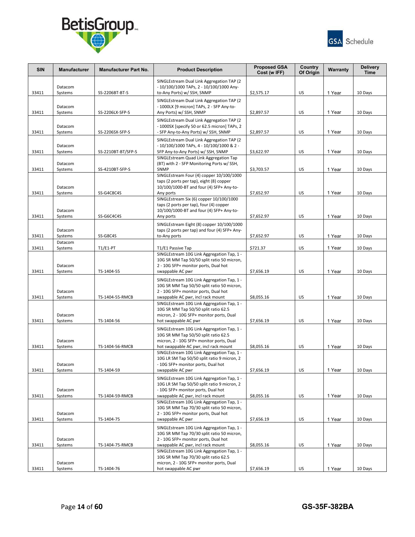



| <b>SIN</b> | <b>Manufacturer</b> | <b>Manufacturer Part No.</b> | <b>Product Description</b>                                                                | <b>Proposed GSA</b><br>Cost (w IFF) | Country<br>Of Origin | Warranty | <b>Delivery</b><br><b>Time</b> |
|------------|---------------------|------------------------------|-------------------------------------------------------------------------------------------|-------------------------------------|----------------------|----------|--------------------------------|
|            |                     |                              | SINGLEstream Dual Link Aggregation TAP (2)                                                |                                     |                      |          |                                |
|            | Datacom             |                              | - 10/100/1000 TAPs, 2 - 10/100/1000 Any-                                                  |                                     |                      |          |                                |
| 33411      | Systems             | SS-2206BT-BT-S               | to-Any Ports) w/ SSH, SNMP                                                                | \$2,575.17                          | US                   | 1 Year   | 10 Days                        |
|            | Datacom             |                              | SINGLEstream Dual Link Aggregation TAP (2)<br>- 1000LX [9 micron] TAPs, 2 - SFP Any-to-   |                                     |                      |          |                                |
| 33411      | Systems             | SS-2206LX-SFP-S              | Any Ports) w/ SSH, SNMP                                                                   | \$2,897.57                          | US                   | 1 Year   | 10 Days                        |
|            |                     |                              | SINGLEstream Dual Link Aggregation TAP (2)                                                |                                     |                      |          |                                |
|            | Datacom             |                              | - 1000SX [specify 50 or 62.5 micron] TAPs, 2                                              |                                     |                      |          |                                |
| 33411      | Systems             | SS-2206SX-SFP-S              | - SFP Any-to-Any Ports) w/ SSH, SNMP                                                      | \$2,897.57                          | US                   | 1 Year   | 10 Days                        |
|            |                     |                              | SINGLEstream Dual Link Aggregation TAP (2)                                                |                                     |                      |          |                                |
| 33411      | Datacom<br>Systems  | SS-2210BT-BT/SFP-S           | $-10/100/1000$ TAPs, 4 $-10/100/1000$ & 2 $-$<br>SFP Any-to-Any Ports) w/ SSH, SNMP       | \$3,622.97                          | US                   | 1 Year   | 10 Days                        |
|            |                     |                              | SINGLEstream Quad Link Aggregation Tap                                                    |                                     |                      |          |                                |
|            | Datacom             |                              | (BT) with 2 - SFP Monitoring Ports w/ SSH,                                                |                                     |                      |          |                                |
| 33411      | Systems             | SS-4210BT-SFP-S              | SNMP                                                                                      | \$3,703.57                          | US                   | 1 Year   | 10 Days                        |
|            |                     |                              | SINGLEstream Four (4) copper 10/100/1000<br>taps (2 ports per tap), eight (8) copper      |                                     |                      |          |                                |
|            | Datacom             |                              | 10/100/1000-BT and four (4) SFP+ Any-to-                                                  |                                     |                      |          |                                |
| 33411      | Systems             | SS-G4C8C4S                   | Any ports                                                                                 | \$7,652.97                          | US                   | 1 Year   | 10 Days                        |
|            |                     |                              | SINGLEstream Six (6) copper 10/100/1000<br>taps (2 ports per tap), four (4) copper        |                                     |                      |          |                                |
|            | Datacom             |                              | 10/100/1000-BT and four (4) SFP+ Any-to-                                                  |                                     |                      |          |                                |
| 33411      | Systems             | SS-G6C4C4S                   | Any ports                                                                                 | \$7,652.97                          | US                   | 1 Year   | 10 Days                        |
|            |                     |                              | SINGLEstream Eight (8) copper 10/100/1000                                                 |                                     |                      |          |                                |
|            | Datacom             |                              | taps (2 ports per tap) and four (4) SFP+ Any-                                             |                                     |                      |          |                                |
| 33411      | Systems             | SS-G8C4S                     | to-Any ports                                                                              | \$7,652.97                          | US                   | 1 Year   | 10 Days                        |
| 33411      | Datacom<br>Systems  | T1/E1-PT                     | T1/E1 Passive Tap                                                                         | \$721.37                            | US                   | 1 Year   | 10 Days                        |
|            |                     |                              | SINGLEstream 10G Link Aggregation Tap, 1 -                                                |                                     |                      |          |                                |
|            |                     |                              | 10G SR MM Tap 50/50 split ratio 50 micron,                                                |                                     |                      |          |                                |
| 33411      | Datacom<br>Systems  | TS-1404-55                   | 2 - 10G SFP+ monitor ports, Dual hot<br>swappable AC pwr                                  | \$7,656.19                          | US                   | 1 Year   | 10 Days                        |
|            |                     |                              |                                                                                           |                                     |                      |          |                                |
|            |                     |                              | SINGLEstream 10G Link Aggregation Tap, 1 -<br>10G SR MM Tap 50/50 split ratio 50 micron,  |                                     |                      |          |                                |
|            | Datacom             |                              | 2 - 10G SFP+ monitor ports, Dual hot                                                      |                                     |                      |          |                                |
| 33411      | Systems             | TS-1404-55-RMCB              | swappable AC pwr, incl rack mount                                                         | \$8,055.16                          | US                   | 1 Year   | 10 Days                        |
|            |                     |                              | SINGLEstream 10G Link Aggregation Tap, 1 -<br>10G SR MM Tap 50/50 split ratio 62.5        |                                     |                      |          |                                |
|            | Datacom             |                              | micron, 2 - 10G SFP+ monitor ports, Dual                                                  |                                     |                      |          |                                |
| 33411      | Systems             | TS-1404-56                   | hot swappable AC pwr                                                                      | \$7,656.19                          | US                   | 1 Year   | 10 Days                        |
|            |                     |                              | SINGLEstream 10G Link Aggregation Tap, 1 -                                                |                                     |                      |          |                                |
|            |                     |                              | 10G SR MM Tap 50/50 split ratio 62.5                                                      |                                     |                      |          |                                |
| 33411      | Datacom<br>Systems  | TS-1404-56-RMCB              | micron, 2 - 10G SFP+ monitor ports, Dual<br>hot swappable AC pwr, incl rack mount         | \$8,055.16                          | US                   | 1 Year   | 10 Days                        |
|            |                     |                              | SINGLEstream 10G Link Aggregation Tap, 1 -                                                |                                     |                      |          |                                |
|            |                     |                              | 10G LR SM Tap 50/50 split ratio 9 micron, 2                                               |                                     |                      |          |                                |
| 33411      | Datacom<br>Systems  | TS-1404-59                   | - 10G SFP+ monitor ports, Dual hot                                                        | \$7,656.19                          | US                   | 1 Year   |                                |
|            |                     |                              | swappable AC pwr                                                                          |                                     |                      |          | 10 Days                        |
|            |                     |                              | SINGLEstream 10G Link Aggregation Tap, 1 -<br>10G LR SM Tap 50/50 split ratio 9 micron, 2 |                                     |                      |          |                                |
|            | Datacom             |                              | - 10G SFP+ monitor ports, Dual hot                                                        |                                     |                      |          |                                |
| 33411      | Systems             | TS-1404-59-RMCB              | swappable AC pwr, incl rack mount                                                         | \$8,055.16                          | US                   | 1 Year   | 10 Days                        |
|            |                     |                              | SINGLEstream 10G Link Aggregation Tap, 1 -<br>10G SR MM Tap 70/30 split ratio 50 micron,  |                                     |                      |          |                                |
|            | Datacom             |                              | 2 - 10G SFP+ monitor ports, Dual hot                                                      |                                     |                      |          |                                |
| 33411      | Systems             | TS-1404-75                   | swappable AC pwr                                                                          | \$7,656.19                          | US                   | 1 Year   | 10 Days                        |
|            |                     |                              | SINGLEstream 10G Link Aggregation Tap, 1 -                                                |                                     |                      |          |                                |
|            |                     |                              | 10G SR MM Tap 70/30 split ratio 50 micron,                                                |                                     |                      |          |                                |
| 33411      | Datacom             | TS-1404-75-RMCB              | 2 - 10G SFP+ monitor ports, Dual hot                                                      | \$8,055.16                          | US                   |          |                                |
|            | Systems             |                              | swappable AC pwr, incl rack mount<br>SINGLEstream 10G Link Aggregation Tap, 1 -           |                                     |                      | 1 Year   | 10 Days                        |
|            |                     |                              | 10G SR MM Tap 70/30 split ratio 62.5                                                      |                                     |                      |          |                                |
|            | Datacom             |                              | micron, 2 - 10G SFP+ monitor ports, Dual                                                  |                                     |                      |          |                                |
| 33411      | Systems             | TS-1404-76                   | hot swappable AC pwr                                                                      | \$7,656.19                          | US                   | 1 Year   | 10 Days                        |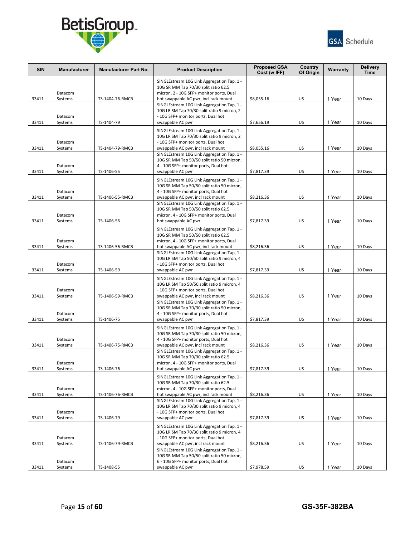



| <b>SIN</b> | <b>Manufacturer</b> | <b>Manufacturer Part No.</b> | <b>Product Description</b>                                                                                                       | <b>Proposed GSA</b><br>Cost (w IFF) | Country<br>Of Origin | Warranty | <b>Delivery</b><br>Time |
|------------|---------------------|------------------------------|----------------------------------------------------------------------------------------------------------------------------------|-------------------------------------|----------------------|----------|-------------------------|
|            |                     |                              | SINGLEstream 10G Link Aggregation Tap, 1 -<br>10G SR MM Tap 70/30 split ratio 62.5                                               |                                     |                      |          |                         |
| 33411      | Datacom<br>Systems  | TS-1404-76-RMCB              | micron, 2 - 10G SFP+ monitor ports, Dual<br>hot swappable AC pwr, incl rack mount                                                | \$8,055.16                          | US                   | 1 Year   | 10 Days                 |
|            |                     |                              | SINGLEstream 10G Link Aggregation Tap, 1 -<br>10G LR SM Tap 70/30 split ratio 9 micron, 2                                        |                                     |                      |          |                         |
| 33411      | Datacom<br>Systems  | TS-1404-79                   | - 10G SFP+ monitor ports, Dual hot<br>swappable AC pwr                                                                           | \$7,656.19                          | US                   | 1 Year   | 10 Days                 |
|            |                     |                              | SINGLEstream 10G Link Aggregation Tap, 1 -                                                                                       |                                     |                      |          |                         |
| 33411      | Datacom<br>Systems  | TS-1404-79-RMCB              | 10G LR SM Tap 70/30 split ratio 9 micron, 2<br>- 10G SFP+ monitor ports, Dual hot<br>swappable AC pwr, incl rack mount           | \$8,055.16                          | US                   | 1 Year   | 10 Days                 |
|            | Datacom             |                              | SINGLEstream 10G Link Aggregation Tap, 1 -<br>10G SR MM Tap 50/50 split ratio 50 micron,<br>4 - 10G SFP+ monitor ports, Dual hot |                                     |                      |          |                         |
| 33411      | Systems             | TS-1406-55                   | swappable AC pwr                                                                                                                 | \$7,817.39                          | <b>US</b>            | 1 Year   | 10 Days                 |
|            | Datacom             |                              | SINGLEstream 10G Link Aggregation Tap, 1 -<br>10G SR MM Tap 50/50 split ratio 50 micron,<br>4 - 10G SFP+ monitor ports, Dual hot |                                     |                      |          |                         |
| 33411      | Systems             | TS-1406-55-RMCB              | swappable AC pwr, incl rack mount<br>SINGLEstream 10G Link Aggregation Tap, 1 -<br>10G SR MM Tap 50/50 split ratio 62.5          | \$8,216.36                          | US                   | 1 Year   | 10 Days                 |
|            | Datacom             |                              | micron, 4 - 10G SFP+ monitor ports, Dual                                                                                         |                                     |                      |          |                         |
| 33411      | Systems             | TS-1406-56                   | hot swappable AC pwr<br>SINGLEstream 10G Link Aggregation Tap, 1 -                                                               | \$7,817.39                          | US                   | 1 Year   | 10 Days                 |
|            | Datacom             |                              | 10G SR MM Tap 50/50 split ratio 62.5<br>micron, 4 - 10G SFP+ monitor ports, Dual                                                 |                                     |                      |          |                         |
| 33411      | Systems             | TS-1406-56-RMCB              | hot swappable AC pwr, incl rack mount<br>SINGLEstream 10G Link Aggregation Tap, 1 -                                              | \$8,216.36                          | US                   | 1 Year   | 10 Days                 |
|            | Datacom             |                              | 10G LR SM Tap 50/50 split ratio 9 micron, 4<br>- 10G SFP+ monitor ports, Dual hot                                                |                                     |                      |          |                         |
| 33411      | Systems             | TS-1406-59                   | swappable AC pwr                                                                                                                 | \$7,817.39                          | US                   | 1 Year   | 10 Days                 |
|            | Datacom             |                              | SINGLEstream 10G Link Aggregation Tap, 1 -<br>10G LR SM Tap 50/50 split ratio 9 micron, 4<br>- 10G SFP+ monitor ports, Dual hot  |                                     |                      |          |                         |
| 33411      | Systems             | TS-1406-59-RMCB              | swappable AC pwr, incl rack mount                                                                                                | \$8,216.36                          | US                   | 1 Year   | 10 Days                 |
|            | Datacom             |                              | SINGLEstream 10G Link Aggregation Tap, 1 -<br>10G SR MM Tap 70/30 split ratio 50 micron,<br>4 - 10G SFP+ monitor ports, Dual hot |                                     |                      |          |                         |
| 33411      | Systems             | TS-1406-75                   | swappable AC pwr                                                                                                                 | \$7,817.39                          | US                   | 1 Year   | 10 Days                 |
|            | Datacom             |                              | SINGLEstream 10G Link Aggregation Tap, 1 -<br>10G SR MM Tap 70/30 split ratio 50 micron,<br>4 - 10G SFP+ monitor ports, Dual hot |                                     |                      |          |                         |
| 33411      | Systems             | TS-1406-75-RMCB              | swappable AC pwr, incl rack mount                                                                                                | \$8,216.36                          | US                   | 1 Year   | 10 Days                 |
|            | Datacom             |                              | SINGLEstream 10G Link Aggregation Tap, 1 -<br>10G SR MM Tap 70/30 split ratio 62.5<br>micron, 4 - 10G SFP+ monitor ports, Dual   |                                     |                      |          |                         |
| 33411      | Systems             | TS-1406-76                   | hot swappable AC pwr                                                                                                             | \$7,817.39                          | US                   | 1 Year   | 10 Days                 |
|            | Datacom             |                              | SINGLEstream 10G Link Aggregation Tap, 1 -<br>10G SR MM Tap 70/30 split ratio 62.5<br>micron, 4 - 10G SFP+ monitor ports, Dual   |                                     |                      |          |                         |
| 33411      | Systems             | TS-1406-76-RMCB              | hot swappable AC pwr, incl rack mount                                                                                            | \$8,216.36                          | US                   | 1 Year   | 10 Days                 |
|            | Datacom             |                              | SINGLEstream 10G Link Aggregation Tap, 1 -<br>10G LR SM Tap 70/30 split ratio 9 micron, 4<br>- 10G SFP+ monitor ports, Dual hot  |                                     |                      |          |                         |
| 33411      | Systems             | TS-1406-79                   | swappable AC pwr<br>SINGLEstream 10G Link Aggregation Tap, 1 -                                                                   | \$7,817.39                          | US                   | 1 Year   | 10 Days                 |
|            | Datacom             |                              | 10G LR SM Tap 70/30 split ratio 9 micron, 4<br>- 10G SFP+ monitor ports, Dual hot                                                |                                     |                      |          |                         |
| 33411      | Systems             | TS-1406-79-RMCB              | swappable AC pwr, incl rack mount<br>SINGLEstream 10G Link Aggregation Tap, 1 -                                                  | \$8,216.36                          | US                   | 1 Year   | 10 Days                 |
|            | Datacom             |                              | 10G SR MM Tap 50/50 split ratio 50 micron,<br>6 - 10G SFP+ monitor ports, Dual hot                                               |                                     |                      |          |                         |
| 33411      | Systems             | TS-1408-55                   | swappable AC pwr                                                                                                                 | \$7,978.59                          | US                   | 1 Year   | 10 Days                 |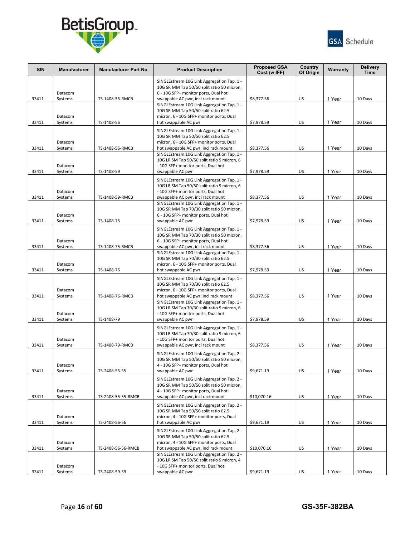



| <b>SIN</b> | <b>Manufacturer</b> | <b>Manufacturer Part No.</b> | <b>Product Description</b>                                                                                                                                                                                         | <b>Proposed GSA</b><br>Cost (w IFF) | Country<br>Of Origin | Warranty | <b>Delivery</b><br><b>Time</b> |
|------------|---------------------|------------------------------|--------------------------------------------------------------------------------------------------------------------------------------------------------------------------------------------------------------------|-------------------------------------|----------------------|----------|--------------------------------|
|            | Datacom             |                              | SINGLEstream 10G Link Aggregation Tap, 1 -<br>10G SR MM Tap 50/50 split ratio 50 micron,<br>6 - 10G SFP+ monitor ports, Dual hot                                                                                   |                                     |                      |          |                                |
| 33411      | Systems             | TS-1408-55-RMCB              | swappable AC pwr, incl rack mount                                                                                                                                                                                  | \$8,377.56                          | US                   | 1 Year   | 10 Days                        |
| 33411      | Datacom<br>Systems  | TS-1408-56                   | SINGLEstream 10G Link Aggregation Tap, 1 -<br>10G SR MM Tap 50/50 split ratio 62.5<br>micron, 6 - 10G SFP+ monitor ports, Dual<br>hot swappable AC pwr                                                             | \$7,978.59                          | US                   | 1 Year   | 10 Days                        |
| 33411      | Datacom<br>Systems  | TS-1408-56-RMCB              | SINGLEstream 10G Link Aggregation Tap, 1 -<br>10G SR MM Tap 50/50 split ratio 62.5<br>micron, 6 - 10G SFP+ monitor ports, Dual<br>hot swappable AC pwr, incl rack mount                                            | \$8,377.56                          | US                   | 1 Year   | 10 Days                        |
|            | Datacom             |                              | SINGLEstream 10G Link Aggregation Tap, 1 -<br>10G LR SM Tap 50/50 split ratio 9 micron, 6<br>- 10G SFP+ monitor ports, Dual hot                                                                                    |                                     |                      |          |                                |
| 33411      | Systems             | TS-1408-59                   | swappable AC pwr                                                                                                                                                                                                   | \$7,978.59                          | US                   | 1 Year   | 10 Days                        |
| 33411      | Datacom<br>Systems  | TS-1408-59-RMCB              | SINGLEstream 10G Link Aggregation Tap, 1 -<br>10G LR SM Tap 50/50 split ratio 9 micron, 6<br>- 10G SFP+ monitor ports, Dual hot<br>swappable AC pwr, incl rack mount<br>SINGLEstream 10G Link Aggregation Tap, 1 - | \$8,377.56                          | US                   | 1 Year   | 10 Days                        |
| 33411      | Datacom<br>Systems  | TS-1408-75                   | 10G SR MM Tap 70/30 split ratio 50 micron,<br>6 - 10G SFP+ monitor ports, Dual hot<br>swappable AC pwr                                                                                                             | \$7,978.59                          | US                   | 1 Year   | 10 Days                        |
|            |                     |                              | SINGLEstream 10G Link Aggregation Tap, 1 -                                                                                                                                                                         |                                     |                      |          |                                |
|            | Datacom             |                              | 10G SR MM Tap 70/30 split ratio 50 micron,<br>6 - 10G SFP+ monitor ports, Dual hot                                                                                                                                 |                                     |                      |          |                                |
| 33411      | Systems             | TS-1408-75-RMCB              | swappable AC pwr, incl rack mount<br>SINGLEstream 10G Link Aggregation Tap, 1 -                                                                                                                                    | \$8,377.56                          | US                   | 1 Year   | 10 Days                        |
| 33411      | Datacom<br>Systems  | TS-1408-76                   | 10G SR MM Tap 70/30 split ratio 62.5<br>micron, 6 - 10G SFP+ monitor ports, Dual<br>hot swappable AC pwr                                                                                                           | \$7,978.59                          | US                   | 1 Year   | 10 Days                        |
|            | Datacom             |                              | SINGLEstream 10G Link Aggregation Tap, 1 -<br>10G SR MM Tap 70/30 split ratio 62.5<br>micron, 6 - 10G SFP+ monitor ports, Dual                                                                                     |                                     |                      |          |                                |
| 33411      | Systems<br>Datacom  | TS-1408-76-RMCB              | hot swappable AC pwr, incl rack mount<br>SINGLEstream 10G Link Aggregation Tap, 1 -<br>10G LR SM Tap 70/30 split ratio 9 micron, 6<br>- 10G SFP+ monitor ports, Dual hot                                           | \$8,377.56                          | US                   | 1 Year   | 10 Days                        |
| 33411      | Systems             | TS-1408-79                   | swappable AC pwr                                                                                                                                                                                                   | \$7,978.59                          | US                   | 1 Year   | 10 Days                        |
| 33411      | Datacom<br>Systems  | TS-1408-79-RMCB              | SINGLEstream 10G Link Aggregation Tap, 1 -<br>10G LR SM Tap 70/30 split ratio 9 micron, 6<br>- 10G SFP+ monitor ports, Dual hot<br>swappable AC pwr, incl rack mount                                               | \$8,377.56                          | US                   | 1 Year   | 10 Days                        |
| 33411      | Datacom<br>Systems  | TS-2408-55-55                | SINGLEstream 10G Link Aggregation Tap, 2 -<br>10G SR MM Tap 50/50 split ratio 50 micron,<br>4 - 10G SFP+ monitor ports, Dual hot<br>swappable AC pwr                                                               | \$9,671.19                          | US                   | 1 Year   | 10 Days                        |
| 33411      | Datacom             |                              | SINGLEstream 10G Link Aggregation Tap, 2 -<br>10G SR MM Tap 50/50 split ratio 50 micron,<br>4 - 10G SFP+ monitor ports, Dual hot                                                                                   |                                     | US                   |          |                                |
|            | Systems<br>Datacom  | TS-2408-55-55-RMCB           | swappable AC pwr, incl rack mount<br>SINGLEstream 10G Link Aggregation Tap, 2 -<br>10G SR MM Tap 50/50 split ratio 62.5<br>micron, 4 - 10G SFP+ monitor ports, Dual                                                | \$10,070.16                         |                      | 1 Year   | 10 Days                        |
| 33411      | Systems             | TS-2408-56-56                | hot swappable AC pwr                                                                                                                                                                                               | \$9,671.19                          | US                   | 1 Year   | 10 Days                        |
| 33411      | Datacom<br>Systems  | TS-2408-56-56-RMCB           | SINGLEstream 10G Link Aggregation Tap, 2 -<br>10G SR MM Tap 50/50 split ratio 62.5<br>micron, 4 - 10G SFP+ monitor ports, Dual<br>hot swappable AC pwr, incl rack mount                                            | \$10,070.16                         | US                   | 1 Year   | 10 Days                        |
| 33411      | Datacom<br>Systems  | TS-2408-59-59                | SINGLEstream 10G Link Aggregation Tap, 2 -<br>10G LR SM Tap 50/50 split ratio 9 micron, 4<br>- 10G SFP+ monitor ports, Dual hot<br>swappable AC pwr                                                                | \$9,671.19                          | US                   | 1 Year   | 10 Days                        |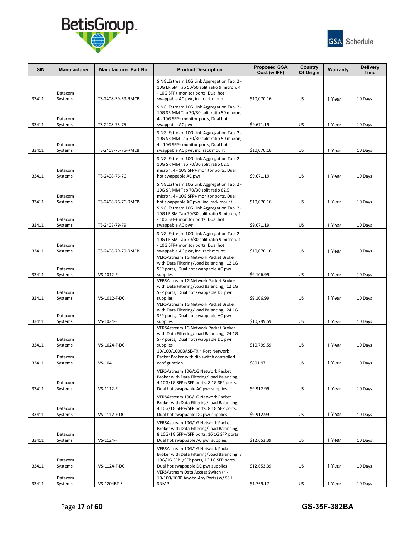



| <b>SIN</b>     | Manufacturer                  | <b>Manufacturer Part No.</b> | <b>Product Description</b>                                                                                                                                                                                            | <b>Proposed GSA</b><br>Cost (w IFF) | Country<br>Of Origin | Warranty         | <b>Delivery</b><br><b>Time</b> |
|----------------|-------------------------------|------------------------------|-----------------------------------------------------------------------------------------------------------------------------------------------------------------------------------------------------------------------|-------------------------------------|----------------------|------------------|--------------------------------|
| 33411          | Datacom<br>Systems            | TS-2408-59-59-RMCB           | SINGLEstream 10G Link Aggregation Tap, 2 -<br>10G LR SM Tap 50/50 split ratio 9 micron, 4<br>- 10G SFP+ monitor ports, Dual hot<br>swappable AC pwr, incl rack mount                                                  | \$10,070.16                         | US                   | 1 Year           | 10 Days                        |
| 33411          | Datacom<br>Systems            | TS-2408-75-75                | SINGLEstream 10G Link Aggregation Tap, 2 -<br>10G SR MM Tap 70/30 split ratio 50 micron,<br>4 - 10G SFP+ monitor ports, Dual hot<br>swappable AC pwr                                                                  | \$9,671.19                          | US                   | 1 Year           | 10 Days                        |
| 33411          | Datacom<br>Systems            | TS-2408-75-75-RMCB           | SINGLEstream 10G Link Aggregation Tap, 2 -<br>10G SR MM Tap 70/30 split ratio 50 micron,<br>4 - 10G SFP+ monitor ports, Dual hot<br>swappable AC pwr, incl rack mount                                                 | \$10,070.16                         | US                   | 1 Year           | 10 Days                        |
| 33411          | Datacom<br>Systems            | TS-2408-76-76                | SINGLEstream 10G Link Aggregation Tap, 2 -<br>10G SR MM Tap 70/30 split ratio 62.5<br>micron, 4 - 10G SFP+ monitor ports, Dual<br>hot swappable AC pwr                                                                | \$9,671.19                          | US                   | 1 Year           | 10 Days                        |
| 33411          | Datacom<br>Systems            | TS-2408-76-76-RMCB           | SINGLEstream 10G Link Aggregation Tap, 2 -<br>10G SR MM Tap 70/30 split ratio 62.5<br>micron, 4 - 10G SFP+ monitor ports, Dual<br>hot swappable AC pwr, incl rack mount<br>SINGLEstream 10G Link Aggregation Tap, 2 - | \$10,070.16                         | US                   | 1 Year           | 10 Days                        |
| 33411          | Datacom<br>Systems            | TS-2408-79-79                | 10G LR SM Tap 70/30 split ratio 9 micron, 4<br>- 10G SFP+ monitor ports, Dual hot<br>swappable AC pwr                                                                                                                 | \$9,671.19                          | US                   | 1 Year           | 10 Days                        |
|                | Datacom                       |                              | SINGLEstream 10G Link Aggregation Tap, 2 -<br>10G LR SM Tap 70/30 split ratio 9 micron, 4<br>- 10G SFP+ monitor ports, Dual hot                                                                                       |                                     |                      |                  |                                |
| 33411          | Systems                       | TS-2408-79-79-RMCB           | swappable AC pwr, incl rack mount<br>VERSAstream 1G Network Packet Broker<br>with Data Filtering/Load Balancing, 12 1G                                                                                                | \$10,070.16                         | US                   | 1 Year           | 10 Days                        |
| 33411          | Datacom<br>Systems            | VS-1012-F                    | SFP ports, Dual hot swappable AC pwr<br>supplies<br>VERSAstream 1G Network Packet Broker                                                                                                                              | \$9,106.99                          | US                   | 1 Year           | 10 Days                        |
| 33411          | Datacom<br>Systems            | VS-1012-F-DC                 | with Data Filtering/Load Balancing, 12 1G<br>SFP ports, Dual hot swappable DC pwr<br>supplies                                                                                                                         | \$9,106.99                          | US                   | 1 Year           | 10 Days                        |
| 33411          | Datacom<br>Systems            | VS-1024-F                    | VERSAstream 1G Network Packet Broker<br>with Data Filtering/Load Balancing, 24 1G<br>SFP ports, Dual hot swappable AC pwr<br>supplies                                                                                 | \$10,799.59                         | US                   | 1 Year           | 10 Days                        |
| 33411          | Datacom<br>Systems            | VS-1024-F-DC                 | VERSAstream 1G Network Packet Broker<br>with Data Filtering/Load Balancing, 24 1G<br>SFP ports, Dual hot swappable DC pwr<br>supplies                                                                                 | \$10,799.59                         | US                   | 1 Year           | 10 Days                        |
| 33411          | Datacom<br>Systems            | $VS-104$                     | 10/100/1000BASE-TX 4 Port Network<br>Packet Broker with dip switch controlled<br>configuration                                                                                                                        | \$801.97                            | US                   | 1 Year           | 10 Days                        |
| 33411          | Datacom<br>Systems            | VS-1112-F                    | VERSAstream 10G/1G Network Packet<br>Broker with Data Filtering/Load Balancing,<br>4 10G/1G SFP+/SFP ports, 8 1G SFP ports,<br>Dual hot swappable AC pwr supplies                                                     | \$9,912.99                          | US                   | 1 Year           | 10 Days                        |
|                | Datacom                       |                              | VERSAstream 10G/1G Network Packet<br>Broker with Data Filtering/Load Balancing,<br>4 10G/1G SFP+/SFP ports, 8 1G SFP ports,                                                                                           |                                     |                      |                  |                                |
| 33411<br>33411 | Systems<br>Datacom<br>Systems | VS-1112-F-DC<br>VS-1124-F    | Dual hot swappable DC pwr supplies<br>VERSAstream 10G/1G Network Packet<br>Broker with Data Filtering/Load Balancing,<br>8 10G/1G SFP+/SFP ports, 16 1G SFP ports,<br>Dual hot swappable AC pwr supplies              | \$9,912.99<br>\$12,653.39           | US<br>US             | 1 Year<br>1 Year | 10 Days<br>10 Days             |
|                | Datacom                       |                              | VERSAstream 10G/1G Network Packet<br>Broker with Data Filtering/Load Balancing, 8<br>10G/1G SFP+/SFP ports, 16 1G SFP ports,                                                                                          |                                     |                      |                  |                                |
| 33411          | Systems<br>Datacom            | VS-1124-F-DC                 | Dual hot swappable DC pwr supplies<br>VERSAstream Data Access Switch (4 -<br>10/100/1000 Any-to-Any Ports) w/ SSH,                                                                                                    | \$12,653.39                         | US                   | 1 Year           | 10 Days                        |
| 33411          | Systems                       | VS-1204BT-S                  | SNMP                                                                                                                                                                                                                  | \$1,769.17                          | US                   | 1 Year           | 10 Days                        |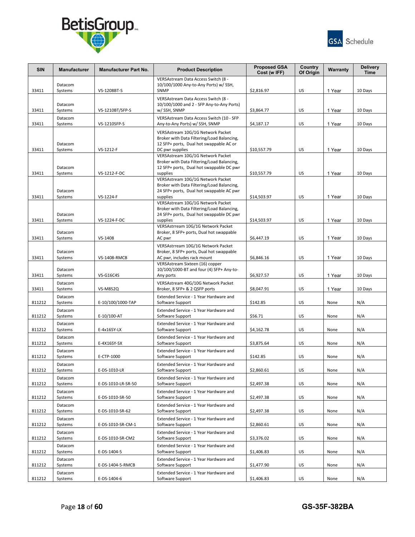



| <b>SIN</b> | <b>Manufacturer</b> | <b>Manufacturer Part No.</b> | <b>Product Description</b>                                                             | <b>Proposed GSA</b><br>Cost (w IFF) | Country<br>Of Origin | <b>Warranty</b> | <b>Delivery</b><br><b>Time</b> |
|------------|---------------------|------------------------------|----------------------------------------------------------------------------------------|-------------------------------------|----------------------|-----------------|--------------------------------|
|            |                     |                              | VERSAstream Data Access Switch (8 -                                                    |                                     |                      |                 |                                |
| 33411      | Datacom<br>Systems  | VS-1208BT-S                  | 10/100/1000 Any-to-Any Ports) w/ SSH,<br>SNMP                                          | \$2,816.97                          | US                   | 1 Year          | 10 Days                        |
|            |                     |                              | VERSAstream Data Access Switch (8 -                                                    |                                     |                      |                 |                                |
|            | Datacom             | VS-1210BT/SFP-S              | 10/100/1000 and 2 - SFP Any-to-Any Ports)                                              |                                     |                      |                 |                                |
| 33411      | Systems<br>Datacom  |                              | w/ SSH, SNMP<br>VERSAstream Data Access Switch (10 - SFP                               | \$3,864.77                          | US                   | 1 Year          | 10 Days                        |
| 33411      | Systems             | VS-1210SFP-S                 | Any-to-Any Ports) w/ SSH, SNMP                                                         | \$4,187.17                          | US                   | 1 Year          | 10 Days                        |
|            |                     |                              | VERSAstream 10G/1G Network Packet                                                      |                                     |                      |                 |                                |
|            | Datacom             |                              | Broker with Data Filtering/Load Balancing,<br>12 SFP+ ports, Dual hot swappable AC or  |                                     |                      |                 |                                |
| 33411      | Systems             | VS-1212-F                    | DC pwr supplies                                                                        | \$10,557.79                         | US                   | 1 Year          | 10 Days                        |
|            |                     |                              | VERSAstream 10G/1G Network Packet                                                      |                                     |                      |                 |                                |
|            | Datacom             |                              | Broker with Data Filtering/Load Balancing,<br>12 SFP+ ports, Dual hot swappable DC pwr |                                     |                      |                 |                                |
| 33411      | Systems             | VS-1212-F-DC                 | supplies                                                                               | \$10,557.79                         | US                   | 1 Year          | 10 Days                        |
|            |                     |                              | VERSAstream 10G/1G Network Packet<br>Broker with Data Filtering/Load Balancing,        |                                     |                      |                 |                                |
|            | Datacom             |                              | 24 SFP+ ports, Dual hot swappable AC pwr                                               |                                     |                      |                 |                                |
| 33411      | Systems             | VS-1224-F                    | supplies<br>VERSAstream 10G/1G Network Packet                                          | \$14,503.97                         | US                   | 1 Year          | 10 Days                        |
|            |                     |                              | Broker with Data Filtering/Load Balancing,                                             |                                     |                      |                 |                                |
|            | Datacom             |                              | 24 SFP+ ports, Dual hot swappable DC pwr                                               |                                     |                      |                 |                                |
| 33411      | Systems             | VS-1224-F-DC                 | supplies<br>VERSAstrream 10G/1G Network Packet                                         | \$14,503.97                         | US                   | 1 Year          | 10 Days                        |
|            | Datacom             |                              | Broker, 8 SFP+ ports, Dual hot swappable                                               |                                     |                      |                 |                                |
| 33411      | Systems             | VS-1408                      | AC pwr                                                                                 | \$6,447.19                          | US                   | 1 Year          | 10 Days                        |
|            | Datacom             |                              | VERSAstrream 10G/1G Network Packet<br>Broker, 8 SFP+ ports, Dual hot swappable         |                                     |                      |                 |                                |
| 33411      | Systems             | <b>VS-1408-RMCB</b>          | AC pwr, includes rack mount                                                            | \$6,846.16                          | US                   | 1 Year          | 10 Days                        |
|            |                     |                              | VERSAstream Sixteen (16) copper                                                        |                                     |                      |                 |                                |
| 33411      | Datacom<br>Systems  | <b>VS-G16C4S</b>             | 10/100/1000-BT and four (4) SFP+ Any-to-<br>Any ports                                  | \$6,927.57                          | US                   | 1 Year          | 10 Days                        |
|            | Datacom             |                              | VERSAstream 40G/10G Network Packet                                                     |                                     |                      |                 |                                |
| 33411      | Systems             | VS-M8S2Q                     | Broker, 8 SFP+ & 2 QSFP ports                                                          | \$8,047.91                          | US                   | 1 Year          | 10 Days                        |
| 811212     | Datacom<br>Systems  | E-10/100/1000-TAP            | Extended Service - 1 Year Hardware and<br>Software Support                             | \$142.85                            | US                   | None            | N/A                            |
|            | Datacom             |                              | Extended Service - 1 Year Hardware and                                                 |                                     |                      |                 |                                |
| 811212     | Systems             | E-10/100-AT                  | Software Support                                                                       | \$56.71                             | US                   | None            | N/A                            |
|            | Datacom             |                              | Extended Service - 1 Year Hardware and                                                 |                                     |                      |                 |                                |
| 811212     | Systems             | E-4x16SY-LX                  | Software Support                                                                       | \$4,162.78                          | US                   | None            | N/A                            |
| 811212     | Datacom<br>Systems  | E-4X16SY-SX                  | Extended Service - 1 Year Hardware and<br>Software Support                             | \$3,875.64                          | US                   | None            | N/A                            |
|            | Datacom             |                              | Extended Service - 1 Year Hardware and                                                 |                                     |                      |                 |                                |
| 811212     | Systems             | E-CTP-1000                   | Software Support                                                                       | \$142.85                            | US                   | None            | N/A                            |
| 811212     | Datacom             | E-DS-1010-LR                 | Extended Service - 1 Year Hardware and<br>Software Support                             | \$2,860.61                          | US                   | None            | N/A                            |
|            | Systems<br>Datacom  |                              | Extended Service - 1 Year Hardware and                                                 |                                     |                      |                 |                                |
| 811212     | Systems             | E-DS-1010-LR-SR-50           | Software Support                                                                       | \$2,497.38                          | US                   | None            | N/A                            |
|            | Datacom             |                              | Extended Service - 1 Year Hardware and                                                 |                                     |                      |                 |                                |
| 811212     | Systems             | E-DS-1010-SR-50              | Software Support                                                                       | \$2,497.38                          | US                   | None            | N/A                            |
| 811212     | Datacom<br>Systems  | E-DS-1010-SR-62              | Extended Service - 1 Year Hardware and<br>Software Support                             | \$2,497.38                          | US                   | None            | N/A                            |
|            | Datacom             |                              | Extended Service - 1 Year Hardware and                                                 |                                     |                      |                 |                                |
| 811212     | Systems             | E-DS-1010-SR-CM-1            | Software Support                                                                       | \$2,860.61                          | US                   | None            | N/A                            |
|            | Datacom             |                              | Extended Service - 1 Year Hardware and                                                 |                                     |                      |                 |                                |
| 811212     | Systems<br>Datacom  | E-DS-1010-SR-CM2             | Software Support<br>Extended Service - 1 Year Hardware and                             | \$3,376.02                          | US                   | None            | N/A                            |
| 811212     | Systems             | E-DS-1404-5                  | Software Support                                                                       | \$1,406.83                          | US                   | None            | N/A                            |
|            | Datacom             |                              | Extended Service - 1 Year Hardware and                                                 |                                     |                      |                 |                                |
| 811212     | Systems             | E-DS-1404-5-RMCB             | Software Support                                                                       | \$1,477.90                          | US                   | None            | N/A                            |
| 811212     | Datacom<br>Systems  | E-DS-1404-6                  | Extended Service - 1 Year Hardware and<br>Software Support                             | \$1,406.83                          | US                   | None            | N/A                            |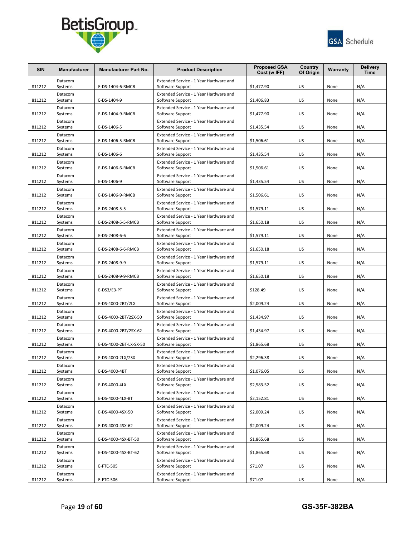



| <b>SIN</b> | <b>Manufacturer</b> | <b>Manufacturer Part No.</b> | <b>Product Description</b>                                 | <b>Proposed GSA</b><br>Cost (w IFF) | Country<br>Of Origin | Warranty | <b>Delivery</b><br><b>Time</b> |
|------------|---------------------|------------------------------|------------------------------------------------------------|-------------------------------------|----------------------|----------|--------------------------------|
| 811212     | Datacom<br>Systems  | E-DS-1404-6-RMCB             | Extended Service - 1 Year Hardware and<br>Software Support | \$1,477.90                          | US                   | None     | N/A                            |
| 811212     | Datacom<br>Systems  | E-DS-1404-9                  | Extended Service - 1 Year Hardware and<br>Software Support | \$1,406.83                          | US                   | None     | N/A                            |
| 811212     | Datacom<br>Systems  | E-DS-1404-9-RMCB             | Extended Service - 1 Year Hardware and<br>Software Support | \$1,477.90                          | US                   | None     | N/A                            |
| 811212     | Datacom<br>Systems  | E-DS-1406-5                  | Extended Service - 1 Year Hardware and<br>Software Support | \$1,435.54                          | US                   | None     | N/A                            |
| 811212     | Datacom<br>Systems  | E-DS-1406-5-RMCB             | Extended Service - 1 Year Hardware and<br>Software Support | \$1,506.61                          | US                   | None     | N/A                            |
| 811212     | Datacom<br>Systems  | E-DS-1406-6                  | Extended Service - 1 Year Hardware and<br>Software Support | \$1,435.54                          | US                   | None     | N/A                            |
| 811212     | Datacom<br>Systems  | E-DS-1406-6-RMCB             | Extended Service - 1 Year Hardware and<br>Software Support | \$1,506.61                          | US                   | None     | N/A                            |
| 811212     | Datacom<br>Systems  | E-DS-1406-9                  | Extended Service - 1 Year Hardware and<br>Software Support | \$1,435.54                          | US                   | None     | N/A                            |
| 811212     | Datacom<br>Systems  | E-DS-1406-9-RMCB             | Extended Service - 1 Year Hardware and<br>Software Support | \$1,506.61                          | US                   | None     | N/A                            |
| 811212     | Datacom<br>Systems  | E-DS-2408-5-5                | Extended Service - 1 Year Hardware and<br>Software Support | \$1,579.11                          | US                   | None     | N/A                            |
| 811212     | Datacom<br>Systems  | E-DS-2408-5-5-RMCB           | Extended Service - 1 Year Hardware and<br>Software Support | \$1,650.18                          | US                   | None     | N/A                            |
| 811212     | Datacom<br>Systems  | E-DS-2408-6-6                | Extended Service - 1 Year Hardware and<br>Software Support | \$1,579.11                          | US                   | None     | N/A                            |
| 811212     | Datacom<br>Systems  | E-DS-2408-6-6-RMCB           | Extended Service - 1 Year Hardware and<br>Software Support | \$1,650.18                          | US                   | None     | N/A                            |
| 811212     | Datacom             | E-DS-2408-9-9                | Extended Service - 1 Year Hardware and                     | \$1,579.11                          | US                   |          |                                |
| 811212     | Systems<br>Datacom  |                              | Software Support<br>Extended Service - 1 Year Hardware and |                                     | US                   | None     | N/A                            |
|            | Systems<br>Datacom  | E-DS-2408-9-9-RMCB           | Software Support<br>Extended Service - 1 Year Hardware and | \$1,650.18                          |                      | None     | N/A                            |
| 811212     | Systems<br>Datacom  | E-DS3/E3-PT                  | Software Support<br>Extended Service - 1 Year Hardware and | \$128.49                            | US                   | None     | N/A                            |
| 811212     | Systems<br>Datacom  | E-DS-4000-2BT/2LX            | Software Support<br>Extended Service - 1 Year Hardware and | \$2,009.24                          | US                   | None     | N/A                            |
| 811212     | Systems<br>Datacom  | E-DS-4000-2BT/2SX-50         | Software Support<br>Extended Service - 1 Year Hardware and | \$1,434.97                          | US                   | None     | N/A                            |
| 811212     | Systems<br>Datacom  | E-DS-4000-2BT/2SX-62         | Software Support<br>Extended Service - 1 Year Hardware and | \$1,434.97                          | US                   | None     | N/A                            |
| 811212     | Systems<br>Datacom  | E-DS-4000-2BT-LX-SX-50       | Software Support<br>Extended Service - 1 Year Hardware and | \$1,865.68                          | US                   | None     | N/A                            |
| 811212     | Systems<br>Datacom  | E-DS-4000-2LX/2SX            | Software Support<br>Extended Service - 1 Year Hardware and | \$2,296.38                          | US                   | None     | N/A                            |
| 811212     | Systems<br>Datacom  | E-DS-4000-4BT                | Software Support<br>Extended Service - 1 Year Hardware and | \$1,076.05                          | US                   | None     | N/A                            |
| 811212     | Systems             | E-DS-4000-4LX                | Software Support                                           | \$2,583.52                          | US                   | None     | N/A                            |
| 811212     | Datacom<br>Systems  | E-DS-4000-4LX-BT             | Extended Service - 1 Year Hardware and<br>Software Support | \$2,152.81                          | US                   | None     | N/A                            |
| 811212     | Datacom<br>Systems  | E-DS-4000-4SX-50             | Extended Service - 1 Year Hardware and<br>Software Support | \$2,009.24                          | US                   | None     | N/A                            |
| 811212     | Datacom<br>Systems  | E-DS-4000-4SX-62             | Extended Service - 1 Year Hardware and<br>Software Support | \$2,009.24                          | US                   | None     | N/A                            |
| 811212     | Datacom<br>Systems  | E-DS-4000-4SX-BT-50          | Extended Service - 1 Year Hardware and<br>Software Support | \$1,865.68                          | US                   | None     | N/A                            |
| 811212     | Datacom<br>Systems  | E-DS-4000-4SX-BT-62          | Extended Service - 1 Year Hardware and<br>Software Support | \$1,865.68                          | US                   | None     | N/A                            |
| 811212     | Datacom<br>Systems  | E-FTC-505                    | Extended Service - 1 Year Hardware and<br>Software Support | \$71.07                             | US                   | None     | N/A                            |
| 811212     | Datacom<br>Systems  | E-FTC-506                    | Extended Service - 1 Year Hardware and<br>Software Support | \$71.07                             | US                   | None     | N/A                            |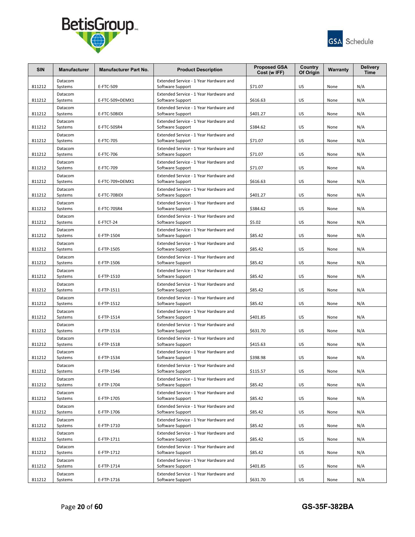



| <b>SIN</b> | <b>Manufacturer</b> | <b>Manufacturer Part No.</b> | <b>Product Description</b>                                 | <b>Proposed GSA</b><br>Cost (w IFF) | Country<br>Of Origin | Warranty | <b>Delivery</b><br><b>Time</b> |
|------------|---------------------|------------------------------|------------------------------------------------------------|-------------------------------------|----------------------|----------|--------------------------------|
| 811212     | Datacom<br>Systems  | E-FTC-509                    | Extended Service - 1 Year Hardware and<br>Software Support | \$71.07                             | US                   | None     | N/A                            |
| 811212     | Datacom<br>Systems  | E-FTC-509+DEMX1              | Extended Service - 1 Year Hardware and<br>Software Support | \$616.63                            | US                   | None     | N/A                            |
| 811212     | Datacom<br>Systems  | E-FTC-50BIDI                 | Extended Service - 1 Year Hardware and<br>Software Support | \$401.27                            | US                   | None     | N/A                            |
| 811212     | Datacom<br>Systems  | E-FTC-50SR4                  | Extended Service - 1 Year Hardware and<br>Software Support | \$384.62                            | US                   | None     | N/A                            |
| 811212     | Datacom<br>Systems  | E-FTC-705                    | Extended Service - 1 Year Hardware and<br>Software Support | \$71.07                             | US                   | None     | N/A                            |
| 811212     | Datacom<br>Systems  | E-FTC-706                    | Extended Service - 1 Year Hardware and<br>Software Support | \$71.07                             | US                   | None     | N/A                            |
| 811212     | Datacom<br>Systems  | E-FTC-709                    | Extended Service - 1 Year Hardware and<br>Software Support | \$71.07                             | US                   | None     | N/A                            |
| 811212     | Datacom<br>Systems  | E-FTC-709+DEMX1              | Extended Service - 1 Year Hardware and<br>Software Support | \$616.63                            | US                   | None     | N/A                            |
| 811212     | Datacom<br>Systems  | E-FTC-70BIDI                 | Extended Service - 1 Year Hardware and<br>Software Support | \$401.27                            | US                   | None     | N/A                            |
| 811212     | Datacom<br>Systems  | E-FTC-70SR4                  | Extended Service - 1 Year Hardware and<br>Software Support | \$384.62                            | US                   | None     | N/A                            |
| 811212     | Datacom<br>Systems  | E-FTCT-24                    | Extended Service - 1 Year Hardware and<br>Software Support | \$5.02                              | US                   | None     | N/A                            |
| 811212     | Datacom<br>Systems  | E-FTP-1504                   | Extended Service - 1 Year Hardware and<br>Software Support | \$85.42                             | US                   | None     | N/A                            |
| 811212     | Datacom             | E-FTP-1505                   | Extended Service - 1 Year Hardware and<br>Software Support | \$85.42                             | US                   | None     | N/A                            |
|            | Systems<br>Datacom  |                              | Extended Service - 1 Year Hardware and                     | \$85.42                             | US                   |          | N/A                            |
| 811212     | Systems<br>Datacom  | E-FTP-1506                   | Software Support<br>Extended Service - 1 Year Hardware and |                                     |                      | None     |                                |
| 811212     | Systems<br>Datacom  | E-FTP-1510                   | Software Support<br>Extended Service - 1 Year Hardware and | \$85.42                             | US                   | None     | N/A                            |
| 811212     | Systems<br>Datacom  | E-FTP-1511                   | Software Support<br>Extended Service - 1 Year Hardware and | \$85.42                             | US                   | None     | N/A                            |
| 811212     | Systems<br>Datacom  | E-FTP-1512                   | Software Support<br>Extended Service - 1 Year Hardware and | \$85.42                             | US                   | None     | N/A                            |
| 811212     | Systems<br>Datacom  | E-FTP-1514                   | Software Support<br>Extended Service - 1 Year Hardware and | \$401.85                            | US                   | None     | N/A                            |
| 811212     | Systems<br>Datacom  | E-FTP-1516                   | Software Support<br>Extended Service - 1 Year Hardware and | \$631.70                            | US                   | None     | N/A                            |
| 811212     | Systems<br>Datacom  | E-FTP-1518                   | Software Support<br>Extended Service - 1 Year Hardware and | \$415.63                            | US                   | None     | N/A                            |
| 811212     | Systems             | E-FTP-1534                   | Software Support                                           | \$398.98                            | US                   | None     | N/A                            |
| 811212     | Datacom<br>Systems  | E-FTP-1546                   | Extended Service - 1 Year Hardware and<br>Software Support | \$115.57                            | US                   | None     | N/A                            |
| 811212     | Datacom<br>Systems  | E-FTP-1704                   | Extended Service - 1 Year Hardware and<br>Software Support | \$85.42                             | US                   | None     | N/A                            |
| 811212     | Datacom<br>Systems  | E-FTP-1705                   | Extended Service - 1 Year Hardware and<br>Software Support | \$85.42                             | US                   | None     | N/A                            |
| 811212     | Datacom<br>Systems  | E-FTP-1706                   | Extended Service - 1 Year Hardware and<br>Software Support | \$85.42                             | US                   | None     | N/A                            |
| 811212     | Datacom<br>Systems  | E-FTP-1710                   | Extended Service - 1 Year Hardware and<br>Software Support | \$85.42                             | US                   | None     | N/A                            |
| 811212     | Datacom<br>Systems  | E-FTP-1711                   | Extended Service - 1 Year Hardware and<br>Software Support | \$85.42                             | US                   | None     | N/A                            |
|            | Datacom             |                              | Extended Service - 1 Year Hardware and                     |                                     |                      |          |                                |
| 811212     | Systems<br>Datacom  | E-FTP-1712                   | Software Support<br>Extended Service - 1 Year Hardware and | \$85.42                             | US                   | None     | N/A                            |
| 811212     | Systems<br>Datacom  | E-FTP-1714                   | Software Support<br>Extended Service - 1 Year Hardware and | \$401.85                            | US                   | None     | N/A                            |
| 811212     | Systems             | E-FTP-1716                   | Software Support                                           | \$631.70                            | US                   | None     | N/A                            |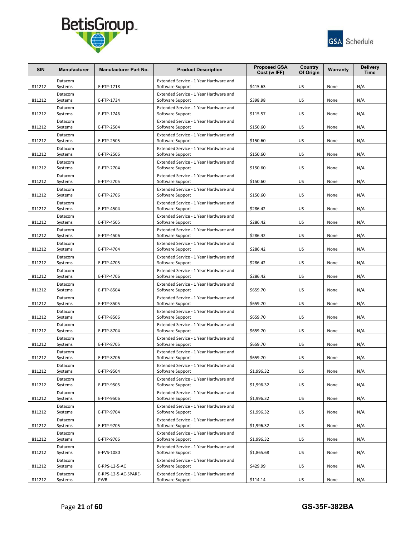



| <b>SIN</b> | <b>Manufacturer</b> | <b>Manufacturer Part No.</b>       | <b>Product Description</b>                                 | <b>Proposed GSA</b><br>Cost (w IFF) | Country<br>Of Origin | Warranty | <b>Delivery</b><br><b>Time</b> |
|------------|---------------------|------------------------------------|------------------------------------------------------------|-------------------------------------|----------------------|----------|--------------------------------|
| 811212     | Datacom<br>Systems  | E-FTP-1718                         | Extended Service - 1 Year Hardware and<br>Software Support | \$415.63                            | US                   | None     | N/A                            |
| 811212     | Datacom<br>Systems  | E-FTP-1734                         | Extended Service - 1 Year Hardware and<br>Software Support | \$398.98                            | US                   | None     | N/A                            |
| 811212     | Datacom<br>Systems  | E-FTP-1746                         | Extended Service - 1 Year Hardware and<br>Software Support | \$115.57                            | US                   | None     | N/A                            |
| 811212     | Datacom<br>Systems  | E-FTP-2504                         | Extended Service - 1 Year Hardware and<br>Software Support | \$150.60                            | US                   | None     | N/A                            |
| 811212     | Datacom<br>Systems  | E-FTP-2505                         | Extended Service - 1 Year Hardware and<br>Software Support | \$150.60                            | US                   | None     | N/A                            |
| 811212     | Datacom<br>Systems  | E-FTP-2506                         | Extended Service - 1 Year Hardware and<br>Software Support | \$150.60                            | US                   | None     | N/A                            |
| 811212     | Datacom<br>Systems  | E-FTP-2704                         | Extended Service - 1 Year Hardware and<br>Software Support | \$150.60                            | US                   | None     | N/A                            |
| 811212     | Datacom<br>Systems  | E-FTP-2705                         | Extended Service - 1 Year Hardware and<br>Software Support | \$150.60                            | US                   | None     | N/A                            |
| 811212     | Datacom<br>Systems  | E-FTP-2706                         | Extended Service - 1 Year Hardware and<br>Software Support | \$150.60                            | US                   | None     | N/A                            |
| 811212     | Datacom<br>Systems  | E-FTP-4504                         | Extended Service - 1 Year Hardware and<br>Software Support | \$286.42                            | US                   | None     | N/A                            |
| 811212     | Datacom<br>Systems  | E-FTP-4505                         | Extended Service - 1 Year Hardware and<br>Software Support | \$286.42                            | US                   | None     | N/A                            |
| 811212     | Datacom<br>Systems  | E-FTP-4506                         | Extended Service - 1 Year Hardware and<br>Software Support | \$286.42                            | US                   | None     | N/A                            |
| 811212     | Datacom<br>Systems  | E-FTP-4704                         | Extended Service - 1 Year Hardware and<br>Software Support | \$286.42                            | US                   | None     | N/A                            |
| 811212     | Datacom<br>Systems  | E-FTP-4705                         | Extended Service - 1 Year Hardware and<br>Software Support | \$286.42                            | US                   | None     | N/A                            |
| 811212     | Datacom<br>Systems  | E-FTP-4706                         | Extended Service - 1 Year Hardware and<br>Software Support | \$286.42                            | US                   | None     | N/A                            |
| 811212     | Datacom<br>Systems  | E-FTP-8504                         | Extended Service - 1 Year Hardware and<br>Software Support | \$659.70                            | US                   | None     | N/A                            |
| 811212     | Datacom<br>Systems  | E-FTP-8505                         | Extended Service - 1 Year Hardware and<br>Software Support | \$659.70                            | US                   | None     | N/A                            |
| 811212     | Datacom<br>Systems  | E-FTP-8506                         | Extended Service - 1 Year Hardware and<br>Software Support | \$659.70                            | US                   | None     | N/A                            |
| 811212     | Datacom<br>Systems  | E-FTP-8704                         | Extended Service - 1 Year Hardware and<br>Software Support | \$659.70                            | US                   | None     | N/A                            |
| 811212     | Datacom<br>Systems  | E-FTP-8705                         | Extended Service - 1 Year Hardware and<br>Software Support | \$659.70                            | US                   | None     | N/A                            |
| 811212     | Datacom<br>Systems  | E-FTP-8706                         | Extended Service - 1 Year Hardware and<br>Software Support | \$659.70                            | US                   | None     | N/A                            |
| 811212     | Datacom<br>Systems  | E-FTP-9504                         | Extended Service - 1 Year Hardware and<br>Software Support | \$1,996.32                          | US                   | None     | N/A                            |
| 811212     | Datacom<br>Systems  | E-FTP-9505                         | Extended Service - 1 Year Hardware and<br>Software Support | \$1,996.32                          | US                   | None     | N/A                            |
| 811212     | Datacom<br>Systems  | E-FTP-9506                         | Extended Service - 1 Year Hardware and<br>Software Support | \$1,996.32                          | US                   | None     | N/A                            |
| 811212     | Datacom<br>Systems  | E-FTP-9704                         | Extended Service - 1 Year Hardware and<br>Software Support | \$1,996.32                          | US                   | None     | N/A                            |
| 811212     | Datacom<br>Systems  | E-FTP-9705                         | Extended Service - 1 Year Hardware and<br>Software Support | \$1,996.32                          | US                   | None     | N/A                            |
| 811212     | Datacom<br>Systems  | E-FTP-9706                         | Extended Service - 1 Year Hardware and<br>Software Support | \$1,996.32                          | US                   | None     | N/A                            |
| 811212     | Datacom<br>Systems  | E-FVS-1080                         | Extended Service - 1 Year Hardware and<br>Software Support | \$1,865.68                          | US                   | None     | N/A                            |
| 811212     | Datacom<br>Systems  | E-RPS-12-5-AC                      | Extended Service - 1 Year Hardware and<br>Software Support | \$429.99                            | US                   | None     | N/A                            |
| 811212     | Datacom<br>Systems  | E-RPS-12-5-AC-SPARE-<br><b>PWR</b> | Extended Service - 1 Year Hardware and<br>Software Support | \$114.14                            | US                   | None     | N/A                            |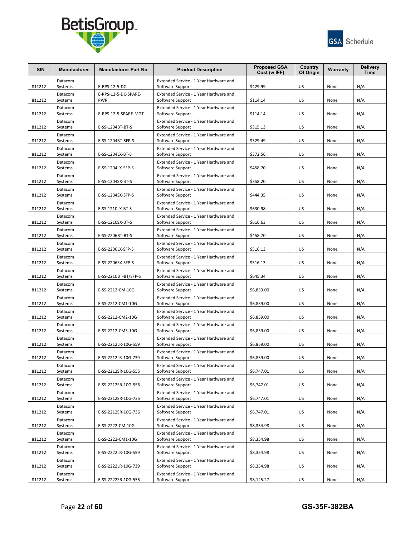



| <b>SIN</b> | <b>Manufacturer</b> | <b>Manufacturer Part No.</b> | <b>Product Description</b>                                 | <b>Proposed GSA</b><br>Cost (w IFF) | Country<br>Of Origin | Warranty | <b>Delivery</b><br><b>Time</b> |
|------------|---------------------|------------------------------|------------------------------------------------------------|-------------------------------------|----------------------|----------|--------------------------------|
| 811212     | Datacom<br>Systems  | E-RPS-12-5-DC                | Extended Service - 1 Year Hardware and<br>Software Support | \$429.99                            | US                   | None     | N/A                            |
|            | Datacom             | E-RPS-12-5-DC-SPARE-         | Extended Service - 1 Year Hardware and                     |                                     |                      |          |                                |
| 811212     | Systems<br>Datacom  | <b>PWR</b>                   | Software Support<br>Extended Service - 1 Year Hardware and | \$114.14                            | US                   | None     | N/A                            |
| 811212     | Systems             | E-RPS-12-5-SPARE-MGT         | Software Support                                           | \$114.14                            | US                   | None     | N/A                            |
| 811212     | Datacom<br>Systems  | E-SS-1204BT-BT-S             | Extended Service - 1 Year Hardware and<br>Software Support | \$315.13                            | US                   | None     | N/A                            |
| 811212     | Datacom<br>Systems  | E-SS-1204BT-SFP-S            | Extended Service - 1 Year Hardware and<br>Software Support | \$329.49                            | US                   | None     | N/A                            |
| 811212     | Datacom<br>Systems  | E-SS-1204LX-BT-S             | Extended Service - 1 Year Hardware and<br>Software Support | \$372.56                            | US                   | None     | N/A                            |
| 811212     | Datacom<br>Systems  | E-SS-1204LX-SFP-S            | Extended Service - 1 Year Hardware and<br>Software Support | \$458.70                            | US                   | None     | N/A                            |
| 811212     | Datacom<br>Systems  | E-SS-1204SX-BT-S             | Extended Service - 1 Year Hardware and<br>Software Support | \$358.20                            | US                   | None     | N/A                            |
|            | Datacom             |                              | Extended Service - 1 Year Hardware and                     |                                     |                      |          |                                |
| 811212     | Systems<br>Datacom  | E-SS-1204SX-SFP-S            | Software Support<br>Extended Service - 1 Year Hardware and | \$444.35                            | US                   | None     | N/A                            |
| 811212     | Systems             | E-SS-1210LX-BT-S             | Software Support                                           | \$630.98                            | US                   | None     | N/A                            |
| 811212     | Datacom<br>Systems  | E-SS-1210SX-BT-S             | Extended Service - 1 Year Hardware and<br>Software Support | \$616.63                            | US                   | None     | N/A                            |
| 811212     | Datacom<br>Systems  | E-SS-2206BT-BT-S             | Extended Service - 1 Year Hardware and<br>Software Support | \$458.70                            | US                   | None     | N/A                            |
| 811212     | Datacom<br>Systems  | E-SS-2206LX-SFP-S            | Extended Service - 1 Year Hardware and<br>Software Support | \$516.13                            | US                   | None     | N/A                            |
| 811212     | Datacom<br>Systems  | E-SS-2206SX-SFP-S            | Extended Service - 1 Year Hardware and<br>Software Support | \$516.13                            | US                   | None     | N/A                            |
|            | Datacom             |                              | Extended Service - 1 Year Hardware and                     |                                     |                      |          |                                |
| 811212     | Systems<br>Datacom  | E-SS-2210BT-BT/SFP-S         | Software Support<br>Extended Service - 1 Year Hardware and | \$645.34                            | US                   | None     | N/A                            |
| 811212     | Systems             | E-SS-2212-CM-10G             | Software Support                                           | \$6,859.00                          | US                   | None     | N/A                            |
| 811212     | Datacom<br>Systems  | E-SS-2212-CM1-10G            | Extended Service - 1 Year Hardware and<br>Software Support | \$6,859.00                          | US                   | None     | N/A                            |
| 811212     | Datacom<br>Systems  | E-SS-2212-CM2-10G            | Extended Service - 1 Year Hardware and<br>Software Support | \$6,859.00                          | US                   | None     | N/A                            |
| 811212     | Datacom<br>Systems  | E-SS-2212-CM3-10G            | Extended Service - 1 Year Hardware and<br>Software Support | \$6,859.00                          | US                   | None     | N/A                            |
|            | Datacom             | E-SS-2212LR-10G-559          | Extended Service - 1 Year Hardware and                     | \$6.859.00                          | US                   |          | N/A                            |
| 811212     | Systems<br>Datacom  |                              | Software Support<br>Extended Service - 1 Year Hardware and |                                     |                      | None     |                                |
| 811212     | Systems<br>Datacom  | E-SS-2212LR-10G-739          | Software Support<br>Extended Service - 1 Year Hardware and | \$6,859.00                          | US                   | None     | N/A                            |
| 811212     | Systems             | E-SS-2212SR-10G-555          | Software Support                                           | \$6,747.01                          | US                   | None     | N/A                            |
| 811212     | Datacom<br>Systems  | E-SS-2212SR-10G-556          | Extended Service - 1 Year Hardware and<br>Software Support | \$6,747.01                          | US                   | None     | N/A                            |
| 811212     | Datacom<br>Systems  | E-SS-2212SR-10G-735          | Extended Service - 1 Year Hardware and<br>Software Support | \$6,747.01                          | US                   | None     | N/A                            |
| 811212     | Datacom<br>Systems  | E-SS-2212SR-10G-736          | Extended Service - 1 Year Hardware and<br>Software Support | \$6,747.01                          | US                   | None     | N/A                            |
| 811212     | Datacom<br>Systems  | E-SS-2222-CM-10G             | Extended Service - 1 Year Hardware and<br>Software Support | \$8,354.98                          | US                   | None     | N/A                            |
| 811212     | Datacom<br>Systems  | E-SS-2222-CM1-10G            | Extended Service - 1 Year Hardware and<br>Software Support | \$8,354.98                          | US                   | None     | N/A                            |
|            | Datacom             |                              | Extended Service - 1 Year Hardware and                     |                                     |                      |          |                                |
| 811212     | Systems<br>Datacom  | E-SS-2222LR-10G-559          | Software Support<br>Extended Service - 1 Year Hardware and | \$8,354.98                          | US                   | None     | N/A                            |
| 811212     | Systems             | E-SS-2222LR-10G-739          | Software Support                                           | \$8,354.98                          | US                   | None     | N/A                            |
| 811212     | Datacom<br>Systems  | E-SS-2222SR-10G-555          | Extended Service - 1 Year Hardware and<br>Software Support | \$8,125.27                          | US                   | None     | N/A                            |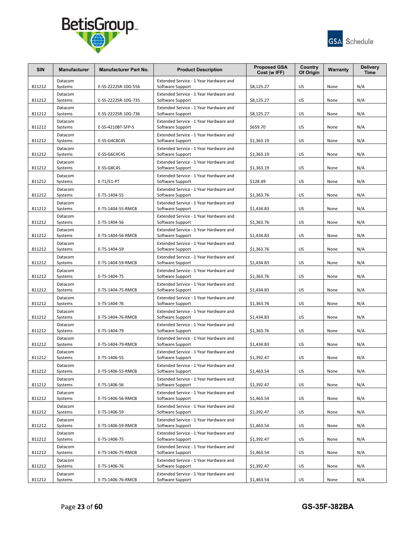



| <b>SIN</b>       | <b>Manufacturer</b>           | <b>Manufacturer Part No.</b>      | <b>Product Description</b>                                                     | <b>Proposed GSA</b><br>Cost (w IFF) | Country<br>Of Origin | Warranty     | <b>Delivery</b><br><b>Time</b> |
|------------------|-------------------------------|-----------------------------------|--------------------------------------------------------------------------------|-------------------------------------|----------------------|--------------|--------------------------------|
| 811212           | Datacom<br>Systems            | E-SS-2222SR-10G-556               | Extended Service - 1 Year Hardware and<br>Software Support                     | \$8,125.27                          | US                   | None         | N/A                            |
| 811212           | Datacom<br>Systems            | E-SS-2222SR-10G-735               | Extended Service - 1 Year Hardware and<br>Software Support                     | \$8,125.27                          | US                   | None         | N/A                            |
| 811212           | Datacom<br>Systems            | E-SS-2222SR-10G-736               | Extended Service - 1 Year Hardware and<br>Software Support                     | \$8,125.27                          | US                   | None         | N/A                            |
| 811212           | Datacom<br>Systems            | E-SS-4210BT-SFP-S                 | Extended Service - 1 Year Hardware and<br>Software Support                     | \$659.70                            | US                   | None         | N/A                            |
| 811212           | Datacom<br>Systems            | E-SS-G4C8C4S                      | Extended Service - 1 Year Hardware and<br>Software Support                     | \$1,363.19                          | US                   | None         | N/A                            |
| 811212           | Datacom<br>Systems            | E-SS-G6C4C4S                      | Extended Service - 1 Year Hardware and<br>Software Support                     | \$1,363.19                          | US                   | None         | N/A                            |
| 811212           | Datacom<br>Systems            | E-SS-G8C4S                        | Extended Service - 1 Year Hardware and<br>Software Support                     | \$1,363.19                          | US                   | None         | N/A                            |
| 811212           | Datacom<br>Systems            | $E-T1/E1-PT$                      | Extended Service - 1 Year Hardware and<br>Software Support                     | \$128.49                            | US                   | None         | N/A                            |
| 811212           | Datacom<br>Systems            | E-TS-1404-55                      | Extended Service - 1 Year Hardware and<br>Software Support                     | \$1,363.76                          | US                   | None         | N/A                            |
| 811212           | Datacom<br>Systems            | E-TS-1404-55-RMCB                 | Extended Service - 1 Year Hardware and<br>Software Support                     | \$1,434.83                          | US                   | None         | N/A                            |
| 811212           | Datacom<br>Systems            | E-TS-1404-56                      | Extended Service - 1 Year Hardware and<br>Software Support                     | \$1,363.76                          | US                   | None         | N/A                            |
| 811212           | Datacom<br>Systems            | E-TS-1404-56-RMCB                 | Extended Service - 1 Year Hardware and<br>Software Support                     | \$1,434.83                          | US                   | None         | N/A                            |
| 811212           | Datacom<br>Systems            | E-TS-1404-59                      | Extended Service - 1 Year Hardware and<br>Software Support                     | \$1.363.76                          | US                   | None         | N/A                            |
| 811212           | Datacom<br>Systems            | E-TS-1404-59-RMCB                 | Extended Service - 1 Year Hardware and<br>Software Support                     | \$1,434.83                          | US                   | None         | N/A                            |
| 811212           | Datacom<br>Systems            | E-TS-1404-75                      | Extended Service - 1 Year Hardware and<br>Software Support                     | \$1,363.76                          | US                   | None         | N/A                            |
| 811212           | Datacom<br>Systems            | E-TS-1404-75-RMCB                 | Extended Service - 1 Year Hardware and<br>Software Support                     | \$1,434.83                          | US                   | None         | N/A                            |
| 811212           | Datacom<br>Systems            | E-TS-1404-76                      | Extended Service - 1 Year Hardware and<br>Software Support                     | \$1,363.76                          | US                   | None         | N/A                            |
| 811212           | Datacom<br>Systems            | E-TS-1404-76-RMCB                 | Extended Service - 1 Year Hardware and<br>Software Support                     | \$1,434.83                          | US                   | None         | N/A                            |
| 811212           | Datacom<br>Systems            | E-TS-1404-79                      | Extended Service - 1 Year Hardware and<br>Software Support                     | \$1,363.76                          | US                   | None         | N/A                            |
| 811212           | Datacom                       | E-TS-1404-79-RMCB                 | Extended Service - 1 Year Hardware and<br>Software Support                     | \$1,434.83                          | US                   |              | N/A                            |
| 811212           | Systems<br>Datacom<br>Systems | E-TS-1406-55                      | Extended Service - 1 Year Hardware and<br>Software Support                     | \$1,392.47                          | US                   | None<br>None | N/A                            |
| 811212           | Datacom                       |                                   | Extended Service - 1 Year Hardware and<br>Software Support                     | \$1,463.54                          | US                   | None         | N/A                            |
|                  | Systems<br>Datacom            | E-TS-1406-55-RMCB<br>E-TS-1406-56 | Extended Service - 1 Year Hardware and                                         | \$1,392.47                          | US                   |              | N/A                            |
| 811212<br>811212 | Systems<br>Datacom            | E-TS-1406-56-RMCB                 | Software Support<br>Extended Service - 1 Year Hardware and                     |                                     |                      | None         |                                |
|                  | Systems<br>Datacom            |                                   | Software Support<br>Extended Service - 1 Year Hardware and                     | \$1,463.54                          | US                   | None         | N/A                            |
| 811212           | Systems<br>Datacom            | E-TS-1406-59                      | Software Support<br>Extended Service - 1 Year Hardware and                     | \$1,392.47                          | US                   | None         | N/A                            |
| 811212           | Systems<br>Datacom            | E-TS-1406-59-RMCB                 | Software Support<br>Extended Service - 1 Year Hardware and                     | \$1,463.54                          | US                   | None         | N/A                            |
| 811212           | Systems<br>Datacom            | E-TS-1406-75                      | Software Support<br>Extended Service - 1 Year Hardware and                     | \$1,392.47                          | US                   | None         | N/A                            |
| 811212           | Systems<br>Datacom            | E-TS-1406-75-RMCB                 | Software Support<br>Extended Service - 1 Year Hardware and                     | \$1,463.54                          | US                   | None         | N/A                            |
| 811212<br>811212 | Systems<br>Datacom<br>Systems | E-TS-1406-76<br>E-TS-1406-76-RMCB | Software Support<br>Extended Service - 1 Year Hardware and<br>Software Support | \$1,392.47<br>\$1,463.54            | US<br>US             | None<br>None | N/A<br>N/A                     |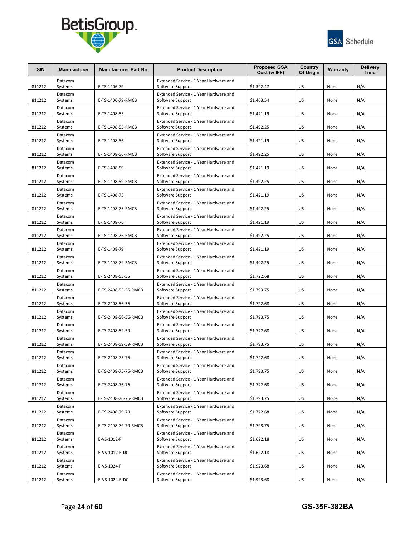



| <b>SIN</b> | <b>Manufacturer</b> | <b>Manufacturer Part No.</b> | <b>Product Description</b>                                 | <b>Proposed GSA</b><br>Cost (w IFF) | Country<br>Of Origin | Warranty | <b>Delivery</b><br><b>Time</b> |
|------------|---------------------|------------------------------|------------------------------------------------------------|-------------------------------------|----------------------|----------|--------------------------------|
| 811212     | Datacom<br>Systems  | E-TS-1406-79                 | Extended Service - 1 Year Hardware and<br>Software Support | \$1,392.47                          | US                   | None     | N/A                            |
| 811212     | Datacom<br>Systems  | E-TS-1406-79-RMCB            | Extended Service - 1 Year Hardware and<br>Software Support | \$1.463.54                          | US                   | None     | N/A                            |
| 811212     | Datacom<br>Systems  | E-TS-1408-55                 | Extended Service - 1 Year Hardware and<br>Software Support | \$1,421.19                          | US                   | None     | N/A                            |
| 811212     | Datacom<br>Systems  | E-TS-1408-55-RMCB            | Extended Service - 1 Year Hardware and<br>Software Support | \$1,492.25                          | US                   | None     | N/A                            |
| 811212     | Datacom<br>Systems  | E-TS-1408-56                 | Extended Service - 1 Year Hardware and<br>Software Support | \$1,421.19                          | US                   | None     | N/A                            |
| 811212     | Datacom<br>Systems  | E-TS-1408-56-RMCB            | Extended Service - 1 Year Hardware and<br>Software Support | \$1,492.25                          | US                   | None     | N/A                            |
| 811212     | Datacom<br>Systems  | E-TS-1408-59                 | Extended Service - 1 Year Hardware and<br>Software Support | \$1,421.19                          | US                   | None     | N/A                            |
| 811212     | Datacom<br>Systems  | E-TS-1408-59-RMCB            | Extended Service - 1 Year Hardware and<br>Software Support | \$1,492.25                          | US                   | None     | N/A                            |
| 811212     | Datacom<br>Systems  | E-TS-1408-75                 | Extended Service - 1 Year Hardware and<br>Software Support | \$1,421.19                          | US                   | None     | N/A                            |
| 811212     | Datacom<br>Systems  | E-TS-1408-75-RMCB            | Extended Service - 1 Year Hardware and<br>Software Support | \$1,492.25                          | US                   | None     | N/A                            |
| 811212     | Datacom<br>Systems  | E-TS-1408-76                 | Extended Service - 1 Year Hardware and<br>Software Support | \$1,421.19                          | US                   | None     | N/A                            |
| 811212     | Datacom<br>Systems  | E-TS-1408-76-RMCB            | Extended Service - 1 Year Hardware and<br>Software Support | \$1,492.25                          | US                   | None     | N/A                            |
| 811212     | Datacom<br>Systems  | E-TS-1408-79                 | Extended Service - 1 Year Hardware and<br>Software Support | \$1,421.19                          | US                   | None     | N/A                            |
| 811212     | Datacom<br>Systems  | E-TS-1408-79-RMCB            | Extended Service - 1 Year Hardware and<br>Software Support | \$1,492.25                          | US                   | None     | N/A                            |
| 811212     | Datacom<br>Systems  | E-TS-2408-55-55              | Extended Service - 1 Year Hardware and<br>Software Support | \$1,722.68                          | US                   | None     | N/A                            |
| 811212     | Datacom<br>Systems  | E-TS-2408-55-55-RMCB         | Extended Service - 1 Year Hardware and<br>Software Support | \$1,793.75                          | US                   | None     | N/A                            |
| 811212     | Datacom<br>Systems  | E-TS-2408-56-56              | Extended Service - 1 Year Hardware and<br>Software Support | \$1,722.68                          | US                   | None     | N/A                            |
| 811212     | Datacom<br>Systems  | E-TS-2408-56-56-RMCB         | Extended Service - 1 Year Hardware and<br>Software Support | \$1,793.75                          | US                   | None     | N/A                            |
| 811212     | Datacom<br>Systems  | E-TS-2408-59-59              | Extended Service - 1 Year Hardware and<br>Software Support | \$1,722.68                          | US                   | None     | N/A                            |
| 811212     | Datacom<br>Systems  | E-TS-2408-59-59-RMCB         | Extended Service - 1 Year Hardware and<br>Software Support | \$1,793.75                          | US                   | None     | N/A                            |
| 811212     | Datacom<br>Systems  | E-TS-2408-75-75              | Extended Service - 1 Year Hardware and<br>Software Support | \$1,722.68                          | US                   | None     | N/A                            |
| 811212     | Datacom<br>Systems  | E-TS-2408-75-75-RMCB         | Extended Service - 1 Year Hardware and<br>Software Support | \$1,793.75                          | US                   | None     | N/A                            |
| 811212     | Datacom<br>Systems  | E-TS-2408-76-76              | Extended Service - 1 Year Hardware and<br>Software Support | \$1,722.68                          | US                   | None     | N/A                            |
| 811212     | Datacom<br>Systems  | E-TS-2408-76-76-RMCB         | Extended Service - 1 Year Hardware and<br>Software Support | \$1,793.75                          | US                   | None     | N/A                            |
| 811212     | Datacom<br>Systems  | E-TS-2408-79-79              | Extended Service - 1 Year Hardware and<br>Software Support | \$1,722.68                          | US                   | None     | N/A                            |
| 811212     | Datacom<br>Systems  | E-TS-2408-79-79-RMCB         | Extended Service - 1 Year Hardware and<br>Software Support | \$1,793.75                          | US                   | None     | N/A                            |
| 811212     | Datacom<br>Systems  | E-VS-1012-F                  | Extended Service - 1 Year Hardware and<br>Software Support | \$1,622.18                          | US                   | None     | N/A                            |
| 811212     | Datacom<br>Systems  | E-VS-1012-F-DC               | Extended Service - 1 Year Hardware and<br>Software Support | \$1,622.18                          | US                   | None     | N/A                            |
| 811212     | Datacom<br>Systems  | E-VS-1024-F                  | Extended Service - 1 Year Hardware and<br>Software Support | \$1,923.68                          | US                   | None     | N/A                            |
| 811212     | Datacom<br>Systems  | E-VS-1024-F-DC               | Extended Service - 1 Year Hardware and<br>Software Support | \$1,923.68                          | US                   | None     | N/A                            |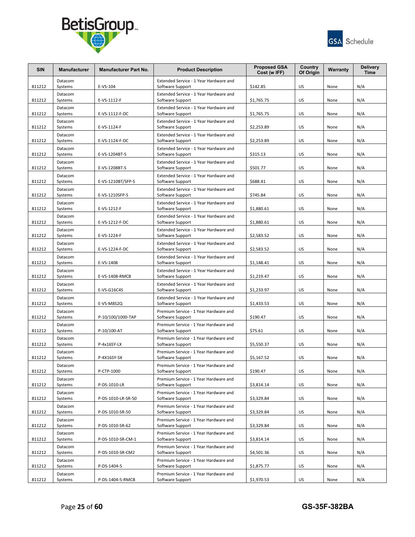



| <b>SIN</b>       | <b>Manufacturer</b> | <b>Manufacturer Part No.</b> | <b>Product Description</b>                                 | <b>Proposed GSA</b><br>Cost (w IFF) | Country<br>Of Origin | Warranty     | <b>Delivery</b><br><b>Time</b> |
|------------------|---------------------|------------------------------|------------------------------------------------------------|-------------------------------------|----------------------|--------------|--------------------------------|
| 811212           | Datacom<br>Systems  | E-VS-104                     | Extended Service - 1 Year Hardware and<br>Software Support | \$142.85                            | US                   | None         | N/A                            |
| 811212           | Datacom<br>Systems  | E-VS-1112-F                  | Extended Service - 1 Year Hardware and<br>Software Support | \$1,765.75                          | US                   | None         | N/A                            |
| 811212           | Datacom<br>Systems  | E-VS-1112-F-DC               | Extended Service - 1 Year Hardware and<br>Software Support | \$1,765.75                          | US                   | None         | N/A                            |
| 811212           | Datacom<br>Systems  | E-VS-1124-F                  | Extended Service - 1 Year Hardware and<br>Software Support | \$2,253.89                          | US                   | None         | N/A                            |
| 811212           | Datacom<br>Systems  | E-VS-1124-F-DC               | Extended Service - 1 Year Hardware and<br>Software Support | \$2,253.89                          | US                   | None         | N/A                            |
| 811212           | Datacom<br>Systems  | E-VS-1204BT-S                | Extended Service - 1 Year Hardware and<br>Software Support | \$315.13                            | US                   | None         | N/A                            |
| 811212           | Datacom<br>Systems  | E-VS-1208BT-S                | Extended Service - 1 Year Hardware and<br>Software Support | \$501.77                            | US                   | None         | N/A                            |
| 811212           | Datacom<br>Systems  | E-VS-1210BT/SFP-S            | Extended Service - 1 Year Hardware and<br>Software Support | \$688.41                            | US                   | None         | N/A                            |
| 811212           | Datacom<br>Systems  | E-VS-1210SFP-S               | Extended Service - 1 Year Hardware and<br>Software Support | \$745.84                            | US                   | None         | N/A                            |
| 811212           | Datacom<br>Systems  | E-VS-1212-F                  | Extended Service - 1 Year Hardware and<br>Software Support | \$1,880.61                          | US                   | None         | N/A                            |
| 811212           | Datacom<br>Systems  | E-VS-1212-F-DC               | Extended Service - 1 Year Hardware and<br>Software Support | \$1,880.61                          | US                   | None         | N/A                            |
| 811212           | Datacom<br>Systems  | E-VS-1224-F                  | Extended Service - 1 Year Hardware and<br>Software Support | \$2,583.52                          | US                   | None         | N/A                            |
| 811212           | Datacom             | E-VS-1224-F-DC               | Extended Service - 1 Year Hardware and<br>Software Support | \$2,583.52                          | US                   | None         | N/A                            |
|                  | Systems<br>Datacom  |                              | Extended Service - 1 Year Hardware and                     |                                     | US                   |              | N/A                            |
| 811212           | Systems<br>Datacom  | E-VS-1408                    | Software Support<br>Extended Service - 1 Year Hardware and | \$1,148.41                          |                      | None         |                                |
| 811212           | Systems<br>Datacom  | E-VS-1408-RMCB               | Software Support<br>Extended Service - 1 Year Hardware and | \$1,219.47                          | US                   | None         | N/A                            |
| 811212           | Systems<br>Datacom  | E-VS-G16C4S                  | Software Support<br>Extended Service - 1 Year Hardware and | \$1,233.97                          | US                   | None         | N/A                            |
| 811212           | Systems<br>Datacom  | E-VS-M8S2Q                   | Software Support<br>Premium Service - 1 Year Hardware and  | \$1,433.53                          | US                   | None         | N/A                            |
| 811212           | Systems<br>Datacom  | P-10/100/1000-TAP            | Software Support<br>Premium Service - 1 Year Hardware and  | \$190.47                            | US                   | None         | N/A                            |
| 811212           | Systems<br>Datacom  | P-10/100-AT                  | Software Support<br>Premium Service - 1 Year Hardware and  | \$75.61                             | US                   | None         | N/A                            |
| 811212           | Systems<br>Datacom  | P-4x16SY-LX                  | Software Support<br>Premium Service - 1 Year Hardware and  | \$5,550.37                          | US                   | None         | N/A                            |
| 811212           | Systems             | P-4X16SY-SX                  | Software Support                                           | \$5,167.52                          | US                   | None         | N/A                            |
| 811212           | Datacom<br>Systems  | P-CTP-1000                   | Premium Service - 1 Year Hardware and<br>Software Support  | \$190.47                            | US                   | None         | N/A                            |
| 811212           | Datacom<br>Systems  | P-DS-1010-LR                 | Premium Service - 1 Year Hardware and<br>Software Support  | \$3,814.14                          | US                   | None         | N/A                            |
| 811212           | Datacom<br>Systems  | P-DS-1010-LR-SR-50           | Premium Service - 1 Year Hardware and<br>Software Support  | \$3,329.84                          | US                   | None         | N/A                            |
| 811212           | Datacom<br>Systems  | P-DS-1010-SR-50              | Premium Service - 1 Year Hardware and<br>Software Support  | \$3,329.84                          | US                   | None         | N/A                            |
| 811212           | Datacom<br>Systems  | P-DS-1010-SR-62              | Premium Service - 1 Year Hardware and<br>Software Support  | \$3,329.84                          | US                   | None         | N/A                            |
| 811212           | Datacom<br>Systems  | P-DS-1010-SR-CM-1            | Premium Service - 1 Year Hardware and<br>Software Support  | \$3,814.14                          | US                   | None         | N/A                            |
|                  | Datacom             | P-DS-1010-SR-CM2             | Premium Service - 1 Year Hardware and                      |                                     |                      |              |                                |
| 811212<br>811212 | Systems<br>Datacom  | P-DS-1404-5                  | Software Support<br>Premium Service - 1 Year Hardware and  | \$4,501.36                          | US<br>US             | None<br>None | N/A<br>N/A                     |
|                  | Systems<br>Datacom  |                              | Software Support<br>Premium Service - 1 Year Hardware and  | \$1,875.77                          |                      |              |                                |
| 811212           | Systems             | P-DS-1404-5-RMCB             | Software Support                                           | \$1,970.53                          | US                   | None         | N/A                            |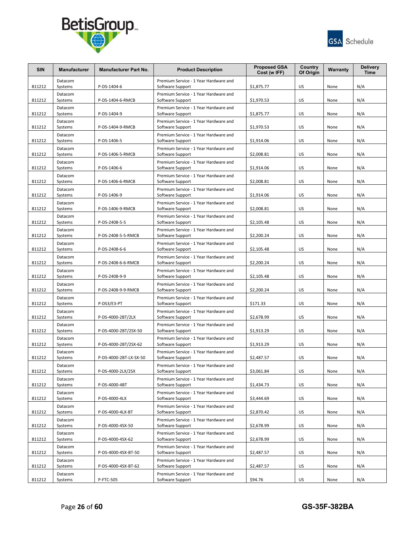



| <b>SIN</b> | <b>Manufacturer</b> | <b>Manufacturer Part No.</b> | <b>Product Description</b>                                | <b>Proposed GSA</b><br>Cost (w IFF) | Country<br>Of Origin | Warranty | <b>Delivery</b><br><b>Time</b> |
|------------|---------------------|------------------------------|-----------------------------------------------------------|-------------------------------------|----------------------|----------|--------------------------------|
| 811212     | Datacom<br>Systems  | P-DS-1404-6                  | Premium Service - 1 Year Hardware and<br>Software Support | \$1,875.77                          | US                   | None     | N/A                            |
| 811212     | Datacom<br>Systems  | P-DS-1404-6-RMCB             | Premium Service - 1 Year Hardware and<br>Software Support | \$1,970.53                          | US                   | None     | N/A                            |
| 811212     | Datacom<br>Systems  | P-DS-1404-9                  | Premium Service - 1 Year Hardware and<br>Software Support | \$1,875.77                          | US                   | None     | N/A                            |
| 811212     | Datacom<br>Systems  | P-DS-1404-9-RMCB             | Premium Service - 1 Year Hardware and<br>Software Support | \$1,970.53                          | US                   | None     | N/A                            |
| 811212     | Datacom<br>Systems  | P-DS-1406-5                  | Premium Service - 1 Year Hardware and<br>Software Support | \$1,914.06                          | US                   | None     | N/A                            |
| 811212     | Datacom<br>Systems  | P-DS-1406-5-RMCB             | Premium Service - 1 Year Hardware and<br>Software Support | \$2,008.81                          | US                   | None     | N/A                            |
| 811212     | Datacom<br>Systems  | P-DS-1406-6                  | Premium Service - 1 Year Hardware and<br>Software Support | \$1,914.06                          | US                   | None     | N/A                            |
| 811212     | Datacom<br>Systems  | P-DS-1406-6-RMCB             | Premium Service - 1 Year Hardware and<br>Software Support | \$2,008.81                          | US                   | None     | N/A                            |
| 811212     | Datacom<br>Systems  | P-DS-1406-9                  | Premium Service - 1 Year Hardware and<br>Software Support | \$1,914.06                          | US                   | None     | N/A                            |
| 811212     | Datacom<br>Systems  | P-DS-1406-9-RMCB             | Premium Service - 1 Year Hardware and<br>Software Support | \$2,008.81                          | US                   | None     | N/A                            |
| 811212     | Datacom<br>Systems  | P-DS-2408-5-5                | Premium Service - 1 Year Hardware and<br>Software Support | \$2,105.48                          | US                   | None     | N/A                            |
| 811212     | Datacom<br>Systems  | P-DS-2408-5-5-RMCB           | Premium Service - 1 Year Hardware and<br>Software Support | \$2,200.24                          | US                   | None     | N/A                            |
| 811212     | Datacom             | P-DS-2408-6-6                | Premium Service - 1 Year Hardware and<br>Software Support | \$2,105.48                          | US                   | None     | N/A                            |
|            | Systems<br>Datacom  |                              | Premium Service - 1 Year Hardware and                     |                                     | US                   |          | N/A                            |
| 811212     | Systems<br>Datacom  | P-DS-2408-6-6-RMCB           | Software Support<br>Premium Service - 1 Year Hardware and | \$2,200.24                          |                      | None     |                                |
| 811212     | Systems<br>Datacom  | P-DS-2408-9-9                | Software Support<br>Premium Service - 1 Year Hardware and | \$2,105.48                          | US                   | None     | N/A                            |
| 811212     | Systems<br>Datacom  | P-DS-2408-9-9-RMCB           | Software Support<br>Premium Service - 1 Year Hardware and | \$2,200.24                          | US                   | None     | N/A                            |
| 811212     | Systems<br>Datacom  | P-DS3/E3-PT                  | Software Support<br>Premium Service - 1 Year Hardware and | \$171.33                            | US                   | None     | N/A                            |
| 811212     | Systems<br>Datacom  | P-DS-4000-2BT/2LX            | Software Support<br>Premium Service - 1 Year Hardware and | \$2,678.99                          | US                   | None     | N/A                            |
| 811212     | Systems<br>Datacom  | P-DS-4000-2BT/2SX-50         | Software Support<br>Premium Service - 1 Year Hardware and | \$1,913.29                          | US                   | None     | N/A                            |
| 811212     | Systems<br>Datacom  | P-DS-4000-2BT/2SX-62         | Software Support<br>Premium Service - 1 Year Hardware and | \$1,913.29                          | US                   | None     | N/A                            |
| 811212     | Systems<br>Datacom  | P-DS-4000-2BT-LX-SX-50       | Software Support<br>Premium Service - 1 Year Hardware and | \$2,487.57                          | US                   | None     | N/A                            |
| 811212     | Systems<br>Datacom  | P-DS-4000-2LX/2SX            | Software Support<br>Premium Service - 1 Year Hardware and | \$3,061.84                          | US                   | None     | N/A                            |
| 811212     | Systems<br>Datacom  | P-DS-4000-4BT                | Software Support<br>Premium Service - 1 Year Hardware and | \$1,434.73                          | US                   | None     | N/A                            |
| 811212     | Systems<br>Datacom  | P-DS-4000-4LX                | Software Support<br>Premium Service - 1 Year Hardware and | \$3,444.69                          | US                   | None     | N/A                            |
| 811212     | Systems<br>Datacom  | P-DS-4000-4LX-BT             | Software Support<br>Premium Service - 1 Year Hardware and | \$2,870.42                          | US                   | None     | N/A                            |
| 811212     | Systems             | P-DS-4000-4SX-50             | Software Support                                          | \$2,678.99                          | US                   | None     | N/A                            |
| 811212     | Datacom<br>Systems  | P-DS-4000-4SX-62             | Premium Service - 1 Year Hardware and<br>Software Support | \$2,678.99                          | US                   | None     | N/A                            |
| 811212     | Datacom<br>Systems  | P-DS-4000-4SX-BT-50          | Premium Service - 1 Year Hardware and<br>Software Support | \$2,487.57                          | US                   | None     | N/A                            |
| 811212     | Datacom<br>Systems  | P-DS-4000-4SX-BT-62          | Premium Service - 1 Year Hardware and<br>Software Support | \$2,487.57                          | US                   | None     | N/A                            |
| 811212     | Datacom<br>Systems  | P-FTC-505                    | Premium Service - 1 Year Hardware and<br>Software Support | \$94.76                             | US                   | None     | N/A                            |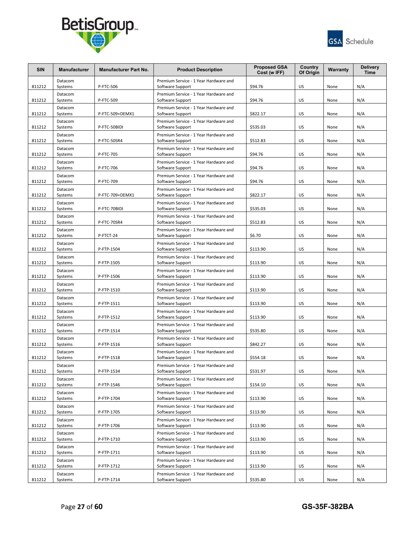



| <b>SIN</b> | <b>Manufacturer</b> | <b>Manufacturer Part No.</b> | <b>Product Description</b>                                | <b>Proposed GSA</b><br>Cost (w IFF) | Country<br>Of Origin | Warranty | <b>Delivery</b><br><b>Time</b> |
|------------|---------------------|------------------------------|-----------------------------------------------------------|-------------------------------------|----------------------|----------|--------------------------------|
| 811212     | Datacom<br>Systems  | P-FTC-506                    | Premium Service - 1 Year Hardware and<br>Software Support | \$94.76                             | US                   | None     | N/A                            |
| 811212     | Datacom<br>Systems  | P-FTC-509                    | Premium Service - 1 Year Hardware and<br>Software Support | \$94.76                             | US                   | None     | N/A                            |
| 811212     | Datacom<br>Systems  | P-FTC-509+DEMX1              | Premium Service - 1 Year Hardware and<br>Software Support | \$822.17                            | US                   | None     | N/A                            |
| 811212     | Datacom<br>Systems  | P-FTC-50BIDI                 | Premium Service - 1 Year Hardware and<br>Software Support | \$535.03                            | US                   | None     | N/A                            |
| 811212     | Datacom<br>Systems  | P-FTC-50SR4                  | Premium Service - 1 Year Hardware and<br>Software Support | \$512.83                            | US                   | None     | N/A                            |
| 811212     | Datacom<br>Systems  | P-FTC-705                    | Premium Service - 1 Year Hardware and<br>Software Support | \$94.76                             | US                   | None     | N/A                            |
| 811212     | Datacom<br>Systems  | P-FTC-706                    | Premium Service - 1 Year Hardware and<br>Software Support | \$94.76                             | US                   | None     | N/A                            |
| 811212     | Datacom<br>Systems  | P-FTC-709                    | Premium Service - 1 Year Hardware and<br>Software Support | \$94.76                             | US                   | None     | N/A                            |
| 811212     | Datacom<br>Systems  | P-FTC-709+DEMX1              | Premium Service - 1 Year Hardware and<br>Software Support | \$822.17                            | US                   | None     | N/A                            |
| 811212     | Datacom<br>Systems  | P-FTC-70BIDI                 | Premium Service - 1 Year Hardware and<br>Software Support | \$535.03                            | US                   | None     | N/A                            |
| 811212     | Datacom<br>Systems  | P-FTC-70SR4                  | Premium Service - 1 Year Hardware and<br>Software Support | \$512.83                            | US                   | None     | N/A                            |
| 811212     | Datacom<br>Systems  | P-FTCT-24                    | Premium Service - 1 Year Hardware and<br>Software Support | \$6.70                              | US                   | None     | N/A                            |
| 811212     | Datacom<br>Systems  | P-FTP-1504                   | Premium Service - 1 Year Hardware and<br>Software Support | \$113.90                            | US                   | None     | N/A                            |
| 811212     | Datacom<br>Systems  | P-FTP-1505                   | Premium Service - 1 Year Hardware and<br>Software Support | \$113.90                            | US                   | None     | N/A                            |
| 811212     | Datacom<br>Systems  | P-FTP-1506                   | Premium Service - 1 Year Hardware and<br>Software Support | \$113.90                            | US                   | None     | N/A                            |
| 811212     | Datacom<br>Systems  | P-FTP-1510                   | Premium Service - 1 Year Hardware and<br>Software Support | \$113.90                            | US                   | None     | N/A                            |
| 811212     | Datacom<br>Systems  | P-FTP-1511                   | Premium Service - 1 Year Hardware and<br>Software Support | \$113.90                            | US                   | None     | N/A                            |
| 811212     | Datacom<br>Systems  | P-FTP-1512                   | Premium Service - 1 Year Hardware and<br>Software Support | \$113.90                            | US                   | None     | N/A                            |
| 811212     | Datacom<br>Systems  | P-FTP-1514                   | Premium Service - 1 Year Hardware and<br>Software Support | \$535.80                            | US                   | None     | N/A                            |
| 811212     | Datacom<br>Systems  | P-FTP-1516                   | Premium Service - 1 Year Hardware and<br>Software Support | \$842.27                            | US                   | None     | N/A                            |
| 811212     | Datacom<br>Systems  | P-FTP-1518                   | Premium Service - 1 Year Hardware and<br>Software Support | \$554.18                            | US                   | None     | N/A                            |
| 811212     | Datacom<br>Systems  | P-FTP-1534                   | Premium Service - 1 Year Hardware and<br>Software Support | \$531.97                            | US                   | None     | N/A                            |
| 811212     | Datacom<br>Systems  | P-FTP-1546                   | Premium Service - 1 Year Hardware and<br>Software Support | \$154.10                            | US                   | None     | N/A                            |
| 811212     | Datacom<br>Systems  | P-FTP-1704                   | Premium Service - 1 Year Hardware and<br>Software Support | \$113.90                            | US                   | None     | N/A                            |
| 811212     | Datacom             | P-FTP-1705                   | Premium Service - 1 Year Hardware and                     | \$113.90                            | US                   |          |                                |
|            | Systems<br>Datacom  |                              | Software Support<br>Premium Service - 1 Year Hardware and |                                     |                      | None     | N/A                            |
| 811212     | Systems<br>Datacom  | P-FTP-1706                   | Software Support<br>Premium Service - 1 Year Hardware and | \$113.90                            | US                   | None     | N/A                            |
| 811212     | Systems<br>Datacom  | P-FTP-1710                   | Software Support<br>Premium Service - 1 Year Hardware and | \$113.90                            | US                   | None     | N/A                            |
| 811212     | Systems<br>Datacom  | P-FTP-1711                   | Software Support<br>Premium Service - 1 Year Hardware and | \$113.90                            | US                   | None     | N/A                            |
| 811212     | Systems<br>Datacom  | P-FTP-1712                   | Software Support<br>Premium Service - 1 Year Hardware and | \$113.90                            | US                   | None     | N/A                            |
| 811212     | Systems             | P-FTP-1714                   | Software Support                                          | \$535.80                            | US                   | None     | N/A                            |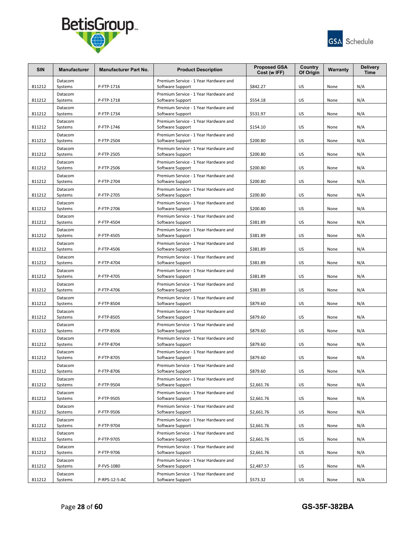



| <b>SIN</b> | <b>Manufacturer</b> | <b>Manufacturer Part No.</b> | <b>Product Description</b>                                | <b>Proposed GSA</b><br>Cost (w IFF) | Country<br>Of Origin | Warranty | <b>Delivery</b><br><b>Time</b> |
|------------|---------------------|------------------------------|-----------------------------------------------------------|-------------------------------------|----------------------|----------|--------------------------------|
| 811212     | Datacom<br>Systems  | P-FTP-1716                   | Premium Service - 1 Year Hardware and<br>Software Support | \$842.27                            | US                   | None     | N/A                            |
| 811212     | Datacom<br>Systems  | P-FTP-1718                   | Premium Service - 1 Year Hardware and<br>Software Support | \$554.18                            | US                   | None     | N/A                            |
| 811212     | Datacom<br>Systems  | P-FTP-1734                   | Premium Service - 1 Year Hardware and<br>Software Support | \$531.97                            | US                   | None     | N/A                            |
| 811212     | Datacom<br>Systems  | P-FTP-1746                   | Premium Service - 1 Year Hardware and<br>Software Support | \$154.10                            | US                   | None     | N/A                            |
| 811212     | Datacom<br>Systems  | P-FTP-2504                   | Premium Service - 1 Year Hardware and<br>Software Support | \$200.80                            | US                   | None     | N/A                            |
| 811212     | Datacom<br>Systems  | P-FTP-2505                   | Premium Service - 1 Year Hardware and<br>Software Support | \$200.80                            | US                   | None     | N/A                            |
| 811212     | Datacom<br>Systems  | P-FTP-2506                   | Premium Service - 1 Year Hardware and<br>Software Support | \$200.80                            | US                   | None     | N/A                            |
| 811212     | Datacom<br>Systems  | P-FTP-2704                   | Premium Service - 1 Year Hardware and<br>Software Support | \$200.80                            | US                   | None     | N/A                            |
| 811212     | Datacom<br>Systems  | P-FTP-2705                   | Premium Service - 1 Year Hardware and<br>Software Support | \$200.80                            | US                   | None     | N/A                            |
| 811212     | Datacom<br>Systems  | P-FTP-2706                   | Premium Service - 1 Year Hardware and<br>Software Support | \$200.80                            | US                   | None     | N/A                            |
| 811212     | Datacom<br>Systems  | P-FTP-4504                   | Premium Service - 1 Year Hardware and<br>Software Support | \$381.89                            | US                   | None     | N/A                            |
| 811212     | Datacom<br>Systems  | P-FTP-4505                   | Premium Service - 1 Year Hardware and<br>Software Support | \$381.89                            | US                   | None     | N/A                            |
| 811212     | Datacom<br>Systems  | P-FTP-4506                   | Premium Service - 1 Year Hardware and<br>Software Support | \$381.89                            | US                   | None     | N/A                            |
| 811212     | Datacom<br>Systems  | P-FTP-4704                   | Premium Service - 1 Year Hardware and<br>Software Support | \$381.89                            | US                   | None     | N/A                            |
| 811212     | Datacom<br>Systems  | P-FTP-4705                   | Premium Service - 1 Year Hardware and<br>Software Support | \$381.89                            | US                   | None     | N/A                            |
| 811212     | Datacom<br>Systems  | P-FTP-4706                   | Premium Service - 1 Year Hardware and<br>Software Support | \$381.89                            | US                   | None     | N/A                            |
| 811212     | Datacom<br>Systems  | P-FTP-8504                   | Premium Service - 1 Year Hardware and<br>Software Support | \$879.60                            | US                   | None     | N/A                            |
| 811212     | Datacom<br>Systems  | P-FTP-8505                   | Premium Service - 1 Year Hardware and<br>Software Support | \$879.60                            | US                   | None     | N/A                            |
| 811212     | Datacom<br>Systems  | P-FTP-8506                   | Premium Service - 1 Year Hardware and<br>Software Support | \$879.60                            | US                   | None     | N/A                            |
| 811212     | Datacom<br>Systems  | P-FTP-8704                   | Premium Service - 1 Year Hardware and<br>Software Support | \$879.60                            | US                   | None     | N/A                            |
| 811212     | Datacom<br>Systems  | P-FTP-8705                   | Premium Service - 1 Year Hardware and<br>Software Support | \$879.60                            | US                   | None     | N/A                            |
| 811212     | Datacom<br>Systems  | P-FTP-8706                   | Premium Service - 1 Year Hardware and<br>Software Support | \$879.60                            | US                   | None     | N/A                            |
| 811212     | Datacom<br>Systems  | P-FTP-9504                   | Premium Service - 1 Year Hardware and<br>Software Support | \$2,661.76                          | US                   | None     | N/A                            |
| 811212     | Datacom<br>Systems  | P-FTP-9505                   | Premium Service - 1 Year Hardware and<br>Software Support | \$2,661.76                          | US                   | None     | N/A                            |
| 811212     | Datacom<br>Systems  | P-FTP-9506                   | Premium Service - 1 Year Hardware and<br>Software Support | \$2,661.76                          | US                   | None     | N/A                            |
| 811212     | Datacom<br>Systems  | P-FTP-9704                   | Premium Service - 1 Year Hardware and<br>Software Support | \$2,661.76                          | US                   | None     | N/A                            |
| 811212     | Datacom<br>Systems  | P-FTP-9705                   | Premium Service - 1 Year Hardware and<br>Software Support | \$2,661.76                          | US                   | None     | N/A                            |
| 811212     | Datacom<br>Systems  | P-FTP-9706                   | Premium Service - 1 Year Hardware and<br>Software Support | \$2,661.76                          | US                   | None     | N/A                            |
| 811212     | Datacom<br>Systems  | P-FVS-1080                   | Premium Service - 1 Year Hardware and<br>Software Support | \$2,487.57                          | US                   | None     | N/A                            |
| 811212     | Datacom<br>Systems  | P-RPS-12-5-AC                | Premium Service - 1 Year Hardware and<br>Software Support | \$573.32                            | US                   | None     | N/A                            |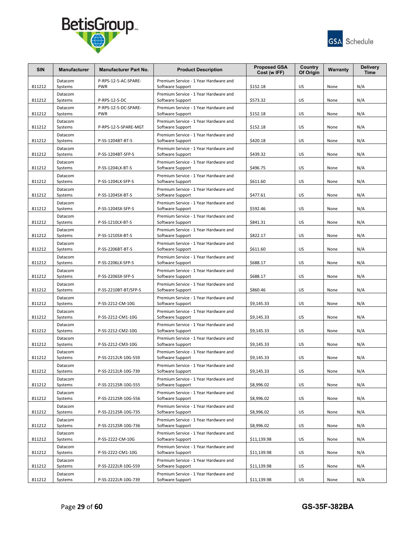



| <b>SIN</b> | <b>Manufacturer</b> | <b>Manufacturer Part No.</b>       | <b>Product Description</b>                                | <b>Proposed GSA</b><br>Cost (w IFF) | Country<br>Of Origin | Warranty | <b>Delivery</b><br><b>Time</b> |
|------------|---------------------|------------------------------------|-----------------------------------------------------------|-------------------------------------|----------------------|----------|--------------------------------|
| 811212     | Datacom<br>Systems  | P-RPS-12-5-AC-SPARE-<br><b>PWR</b> | Premium Service - 1 Year Hardware and<br>Software Support | \$152.18                            | US                   | None     | N/A                            |
| 811212     | Datacom<br>Systems  | P-RPS-12-5-DC                      | Premium Service - 1 Year Hardware and<br>Software Support | \$573.32                            | US                   | None     | N/A                            |
| 811212     | Datacom<br>Systems  | P-RPS-12-5-DC-SPARE-<br><b>PWR</b> | Premium Service - 1 Year Hardware and<br>Software Support | \$152.18                            | US                   | None     | N/A                            |
| 811212     | Datacom<br>Systems  | P-RPS-12-5-SPARE-MGT               | Premium Service - 1 Year Hardware and<br>Software Support | \$152.18                            | US                   | None     | N/A                            |
| 811212     | Datacom<br>Systems  | P-SS-1204BT-BT-S                   | Premium Service - 1 Year Hardware and<br>Software Support | \$420.18                            | US                   | None     | N/A                            |
| 811212     | Datacom<br>Systems  | P-SS-1204BT-SFP-S                  | Premium Service - 1 Year Hardware and<br>Software Support | \$439.32                            | US                   | None     | N/A                            |
| 811212     | Datacom<br>Systems  | P-SS-1204LX-BT-S                   | Premium Service - 1 Year Hardware and<br>Software Support | \$496.75                            | US                   | None     | N/A                            |
| 811212     | Datacom<br>Systems  | P-SS-1204LX-SFP-S                  | Premium Service - 1 Year Hardware and<br>Software Support | \$611.60                            | US                   | None     | N/A                            |
| 811212     | Datacom<br>Systems  | P-SS-1204SX-BT-S                   | Premium Service - 1 Year Hardware and<br>Software Support | \$477.61                            | US                   | None     | N/A                            |
| 811212     | Datacom<br>Systems  | P-SS-1204SX-SFP-S                  | Premium Service - 1 Year Hardware and<br>Software Support | \$592.46                            | US                   | None     | N/A                            |
| 811212     | Datacom<br>Systems  | P-SS-1210LX-BT-S                   | Premium Service - 1 Year Hardware and<br>Software Support | \$841.31                            | US                   | None     | N/A                            |
| 811212     | Datacom<br>Systems  | P-SS-1210SX-BT-S                   | Premium Service - 1 Year Hardware and<br>Software Support | \$822.17                            | US                   | None     | N/A                            |
| 811212     | Datacom<br>Systems  | P-SS-2206BT-BT-S                   | Premium Service - 1 Year Hardware and<br>Software Support | \$611.60                            | US                   | None     | N/A                            |
| 811212     | Datacom<br>Systems  | P-SS-2206LX-SFP-S                  | Premium Service - 1 Year Hardware and<br>Software Support | \$688.17                            | US                   | None     | N/A                            |
| 811212     | Datacom<br>Systems  | P-SS-2206SX-SFP-S                  | Premium Service - 1 Year Hardware and<br>Software Support | \$688.17                            | US                   | None     | N/A                            |
| 811212     | Datacom<br>Systems  | P-SS-2210BT-BT/SFP-S               | Premium Service - 1 Year Hardware and<br>Software Support | \$860.46                            | US                   | None     | N/A                            |
| 811212     | Datacom<br>Systems  | P-SS-2212-CM-10G                   | Premium Service - 1 Year Hardware and<br>Software Support | \$9,145.33                          | US                   | None     | N/A                            |
| 811212     | Datacom<br>Systems  | P-SS-2212-CM1-10G                  | Premium Service - 1 Year Hardware and<br>Software Support | \$9,145.33                          | US                   | None     | N/A                            |
| 811212     | Datacom<br>Systems  | P-SS-2212-CM2-10G                  | Premium Service - 1 Year Hardware and<br>Software Support | \$9,145.33                          | US                   | None     | N/A                            |
| 811212     | Datacom<br>Systems  | P-SS-2212-CM3-10G                  | Premium Service - 1 Year Hardware and<br>Software Support | \$9,145.33                          | US                   | None     | N/A                            |
| 811212     | Datacom<br>Systems  | P-SS-2212LR-10G-559                | Premium Service - 1 Year Hardware and<br>Software Support | \$9,145.33                          | US                   | None     | N/A                            |
| 811212     | Datacom<br>Systems  | P-SS-2212LR-10G-739                | Premium Service - 1 Year Hardware and<br>Software Support | \$9,145.33                          | US                   | None     | N/A                            |
| 811212     | Datacom<br>Systems  | P-SS-2212SR-10G-555                | Premium Service - 1 Year Hardware and<br>Software Support | \$8,996.02                          | US                   | None     | N/A                            |
| 811212     | Datacom<br>Systems  | P-SS-2212SR-10G-556                | Premium Service - 1 Year Hardware and<br>Software Support | \$8,996.02                          | US                   | None     | N/A                            |
| 811212     | Datacom<br>Systems  | P-SS-2212SR-10G-735                | Premium Service - 1 Year Hardware and<br>Software Support | \$8,996.02                          | US                   | None     | N/A                            |
| 811212     | Datacom<br>Systems  | P-SS-2212SR-10G-736                | Premium Service - 1 Year Hardware and<br>Software Support | \$8,996.02                          | US                   | None     | N/A                            |
| 811212     | Datacom<br>Systems  | P-SS-2222-CM-10G                   | Premium Service - 1 Year Hardware and<br>Software Support | \$11,139.98                         | US                   | None     | N/A                            |
| 811212     | Datacom<br>Systems  | P-SS-2222-CM1-10G                  | Premium Service - 1 Year Hardware and<br>Software Support | \$11,139.98                         | US                   | None     | N/A                            |
| 811212     | Datacom<br>Systems  | P-SS-2222LR-10G-559                | Premium Service - 1 Year Hardware and<br>Software Support | \$11,139.98                         | US                   | None     | N/A                            |
| 811212     | Datacom<br>Systems  | P-SS-2222LR-10G-739                | Premium Service - 1 Year Hardware and<br>Software Support | \$11,139.98                         | US                   | None     | N/A                            |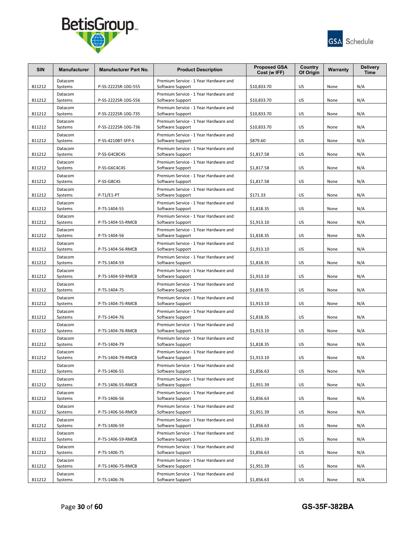



| <b>SIN</b> | <b>Manufacturer</b> | <b>Manufacturer Part No.</b> | <b>Product Description</b>                                | <b>Proposed GSA</b><br>Cost (w IFF) | Country<br>Of Origin | Warranty     | <b>Delivery</b><br><b>Time</b> |
|------------|---------------------|------------------------------|-----------------------------------------------------------|-------------------------------------|----------------------|--------------|--------------------------------|
| 811212     | Datacom<br>Systems  | P-SS-2222SR-10G-555          | Premium Service - 1 Year Hardware and<br>Software Support | \$10,833.70                         | US                   | None         | N/A                            |
| 811212     | Datacom<br>Systems  | P-SS-2222SR-10G-556          | Premium Service - 1 Year Hardware and<br>Software Support | \$10,833.70                         | US                   | None         | N/A                            |
| 811212     | Datacom<br>Systems  | P-SS-2222SR-10G-735          | Premium Service - 1 Year Hardware and<br>Software Support | \$10,833.70                         | US                   | None         | N/A                            |
| 811212     | Datacom<br>Systems  | P-SS-2222SR-10G-736          | Premium Service - 1 Year Hardware and<br>Software Support | \$10,833.70                         | US                   | None         | N/A                            |
| 811212     | Datacom<br>Systems  | P-SS-4210BT-SFP-S            | Premium Service - 1 Year Hardware and<br>Software Support | \$879.60                            | US                   | None         | N/A                            |
| 811212     | Datacom<br>Systems  | P-SS-G4C8C4S                 | Premium Service - 1 Year Hardware and<br>Software Support | \$1,817.58                          | US                   | None         | N/A                            |
| 811212     | Datacom<br>Systems  | P-SS-G6C4C4S                 | Premium Service - 1 Year Hardware and<br>Software Support | \$1,817.58                          | US                   | None         | N/A                            |
| 811212     | Datacom<br>Systems  | P-SS-G8C4S                   | Premium Service - 1 Year Hardware and<br>Software Support | \$1,817.58                          | US                   | None         | N/A                            |
| 811212     | Datacom<br>Systems  | P-T1/E1-PT                   | Premium Service - 1 Year Hardware and<br>Software Support | \$171.33                            | US                   | None         | N/A                            |
| 811212     | Datacom<br>Systems  | P-TS-1404-55                 | Premium Service - 1 Year Hardware and<br>Software Support | \$1,818.35                          | US                   | None         | N/A                            |
| 811212     | Datacom<br>Systems  | P-TS-1404-55-RMCB            | Premium Service - 1 Year Hardware and<br>Software Support | \$1,913.10                          | US                   | None         | N/A                            |
| 811212     | Datacom<br>Systems  | P-TS-1404-56                 | Premium Service - 1 Year Hardware and<br>Software Support | \$1,818.35                          | US                   | None         | N/A                            |
| 811212     | Datacom<br>Systems  | P-TS-1404-56-RMCB            | Premium Service - 1 Year Hardware and<br>Software Support | \$1,913.10                          | US                   | None         | N/A                            |
| 811212     | Datacom<br>Systems  | P-TS-1404-59                 | Premium Service - 1 Year Hardware and<br>Software Support | \$1,818.35                          | US                   | None         | N/A                            |
| 811212     | Datacom<br>Systems  | P-TS-1404-59-RMCB            | Premium Service - 1 Year Hardware and<br>Software Support | \$1,913.10                          | US                   | None         | N/A                            |
| 811212     | Datacom             | P-TS-1404-75                 | Premium Service - 1 Year Hardware and<br>Software Support | \$1,818.35                          | US                   |              | N/A                            |
| 811212     | Systems<br>Datacom  |                              | Premium Service - 1 Year Hardware and                     | \$1,913.10                          | US                   | None<br>None | N/A                            |
| 811212     | Systems<br>Datacom  | P-TS-1404-75-RMCB            | Software Support<br>Premium Service - 1 Year Hardware and |                                     | US                   |              |                                |
|            | Systems<br>Datacom  | P-TS-1404-76                 | Software Support<br>Premium Service - 1 Year Hardware and | \$1,818.35                          |                      | None         | N/A                            |
| 811212     | Systems<br>Datacom  | P-TS-1404-76-RMCB            | Software Support<br>Premium Service - 1 Year Hardware and | \$1,913.10                          | US                   | None         | N/A                            |
| 811212     | Systems<br>Datacom  | P-TS-1404-79                 | Software Support<br>Premium Service - 1 Year Hardware and | \$1,818.35                          | US                   | None         | N/A                            |
| 811212     | Systems<br>Datacom  | P-TS-1404-79-RMCB            | Software Support<br>Premium Service - 1 Year Hardware and | \$1,913.10                          | US                   | None         | N/A                            |
| 811212     | Systems<br>Datacom  | P-TS-1406-55                 | Software Support<br>Premium Service - 1 Year Hardware and | \$1,856.63                          | US                   | None         | N/A                            |
| 811212     | Systems<br>Datacom  | P-TS-1406-55-RMCB            | Software Support<br>Premium Service - 1 Year Hardware and | \$1,951.39                          | US                   | None         | N/A                            |
| 811212     | Systems<br>Datacom  | P-TS-1406-56                 | Software Support<br>Premium Service - 1 Year Hardware and | \$1,856.63                          | US                   | None         | N/A                            |
| 811212     | Systems<br>Datacom  | P-TS-1406-56-RMCB            | Software Support<br>Premium Service - 1 Year Hardware and | \$1,951.39                          | US                   | None         | N/A                            |
| 811212     | Systems<br>Datacom  | P-TS-1406-59                 | Software Support<br>Premium Service - 1 Year Hardware and | \$1,856.63                          | US                   | None         | N/A                            |
| 811212     | Systems<br>Datacom  | P-TS-1406-59-RMCB            | Software Support<br>Premium Service - 1 Year Hardware and | \$1,951.39                          | US                   | None         | N/A                            |
| 811212     | Systems<br>Datacom  | P-TS-1406-75                 | Software Support<br>Premium Service - 1 Year Hardware and | \$1,856.63                          | US                   | None         | N/A                            |
| 811212     | Systems<br>Datacom  | P-TS-1406-75-RMCB            | Software Support<br>Premium Service - 1 Year Hardware and | \$1,951.39                          | US                   | None         | N/A                            |
| 811212     | Systems             | P-TS-1406-76                 | Software Support                                          | \$1,856.63                          | US                   | None         | N/A                            |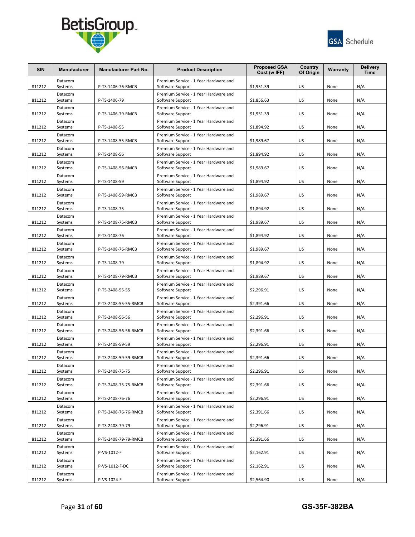



| <b>SIN</b> | <b>Manufacturer</b> | <b>Manufacturer Part No.</b> | <b>Product Description</b>                                | <b>Proposed GSA</b><br>Cost (w IFF) | Country<br>Of Origin | Warranty | <b>Delivery</b><br><b>Time</b> |
|------------|---------------------|------------------------------|-----------------------------------------------------------|-------------------------------------|----------------------|----------|--------------------------------|
| 811212     | Datacom<br>Systems  | P-TS-1406-76-RMCB            | Premium Service - 1 Year Hardware and<br>Software Support | \$1,951.39                          | US                   | None     | N/A                            |
| 811212     | Datacom<br>Systems  | P-TS-1406-79                 | Premium Service - 1 Year Hardware and<br>Software Support | \$1,856.63                          | US                   | None     | N/A                            |
| 811212     | Datacom<br>Systems  | P-TS-1406-79-RMCB            | Premium Service - 1 Year Hardware and<br>Software Support | \$1,951.39                          | US                   | None     | N/A                            |
| 811212     | Datacom<br>Systems  | P-TS-1408-55                 | Premium Service - 1 Year Hardware and<br>Software Support | \$1,894.92                          | US                   | None     | N/A                            |
| 811212     | Datacom<br>Systems  | P-TS-1408-55-RMCB            | Premium Service - 1 Year Hardware and<br>Software Support | \$1,989.67                          | US                   | None     | N/A                            |
| 811212     | Datacom<br>Systems  | P-TS-1408-56                 | Premium Service - 1 Year Hardware and<br>Software Support | \$1,894.92                          | US                   | None     | N/A                            |
| 811212     | Datacom<br>Systems  | P-TS-1408-56-RMCB            | Premium Service - 1 Year Hardware and<br>Software Support | \$1,989.67                          | US                   | None     | N/A                            |
| 811212     | Datacom<br>Systems  | P-TS-1408-59                 | Premium Service - 1 Year Hardware and<br>Software Support | \$1,894.92                          | US                   | None     | N/A                            |
| 811212     | Datacom<br>Systems  | P-TS-1408-59-RMCB            | Premium Service - 1 Year Hardware and<br>Software Support | \$1,989.67                          | US                   | None     | N/A                            |
| 811212     | Datacom<br>Systems  | P-TS-1408-75                 | Premium Service - 1 Year Hardware and<br>Software Support | \$1,894.92                          | US                   | None     | N/A                            |
| 811212     | Datacom<br>Systems  | P-TS-1408-75-RMCB            | Premium Service - 1 Year Hardware and<br>Software Support | \$1,989.67                          | US                   | None     | N/A                            |
| 811212     | Datacom<br>Systems  | P-TS-1408-76                 | Premium Service - 1 Year Hardware and<br>Software Support | \$1,894.92                          | US                   | None     | N/A                            |
| 811212     | Datacom<br>Systems  | P-TS-1408-76-RMCB            | Premium Service - 1 Year Hardware and<br>Software Support | \$1,989.67                          | US                   | None     | N/A                            |
| 811212     | Datacom             |                              | Premium Service - 1 Year Hardware and                     | \$1,894.92                          | US                   | None     | N/A                            |
| 811212     | Systems<br>Datacom  | P-TS-1408-79                 | Software Support<br>Premium Service - 1 Year Hardware and |                                     | US                   |          |                                |
|            | Systems<br>Datacom  | P-TS-1408-79-RMCB            | Software Support<br>Premium Service - 1 Year Hardware and | \$1,989.67                          |                      | None     | N/A                            |
| 811212     | Systems<br>Datacom  | P-TS-2408-55-55              | Software Support<br>Premium Service - 1 Year Hardware and | \$2,296.91                          | US                   | None     | N/A                            |
| 811212     | Systems<br>Datacom  | P-TS-2408-55-55-RMCB         | Software Support<br>Premium Service - 1 Year Hardware and | \$2,391.66                          | US                   | None     | N/A                            |
| 811212     | Systems<br>Datacom  | P-TS-2408-56-56              | Software Support<br>Premium Service - 1 Year Hardware and | \$2,296.91                          | US                   | None     | N/A                            |
| 811212     | Systems<br>Datacom  | P-TS-2408-56-56-RMCB         | Software Support<br>Premium Service - 1 Year Hardware and | \$2,391.66                          | US                   | None     | N/A                            |
| 811212     | Systems<br>Datacom  | P-TS-2408-59-59              | Software Support<br>Premium Service - 1 Year Hardware and | \$2,296.91                          | US                   | None     | N/A                            |
| 811212     | Systems<br>Datacom  | P-TS-2408-59-59-RMCB         | Software Support<br>Premium Service - 1 Year Hardware and | \$2,391.66                          | US                   | None     | N/A                            |
| 811212     | Systems<br>Datacom  | P-TS-2408-75-75              | Software Support<br>Premium Service - 1 Year Hardware and | \$2,296.91                          | US                   | None     | N/A                            |
| 811212     | Systems<br>Datacom  | P-TS-2408-75-75-RMCB         | Software Support<br>Premium Service - 1 Year Hardware and | \$2,391.66                          | US                   | None     | N/A                            |
| 811212     | Systems<br>Datacom  | P-TS-2408-76-76              | Software Support<br>Premium Service - 1 Year Hardware and | \$2,296.91                          | US                   | None     | N/A                            |
| 811212     | Systems             | P-TS-2408-76-76-RMCB         | Software Support                                          | \$2,391.66                          | US                   | None     | N/A                            |
| 811212     | Datacom<br>Systems  | P-TS-2408-79-79              | Premium Service - 1 Year Hardware and<br>Software Support | \$2,296.91                          | US                   | None     | N/A                            |
| 811212     | Datacom<br>Systems  | P-TS-2408-79-79-RMCB         | Premium Service - 1 Year Hardware and<br>Software Support | \$2,391.66                          | US                   | None     | N/A                            |
| 811212     | Datacom<br>Systems  | P-VS-1012-F                  | Premium Service - 1 Year Hardware and<br>Software Support | \$2,162.91                          | US                   | None     | N/A                            |
| 811212     | Datacom<br>Systems  | P-VS-1012-F-DC               | Premium Service - 1 Year Hardware and<br>Software Support | \$2,162.91                          | US                   | None     | N/A                            |
| 811212     | Datacom<br>Systems  | P-VS-1024-F                  | Premium Service - 1 Year Hardware and<br>Software Support | \$2,564.90                          | US                   | None     | N/A                            |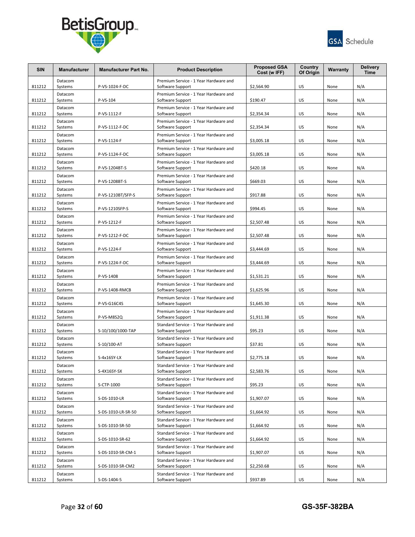



| <b>SIN</b> | <b>Manufacturer</b> | <b>Manufacturer Part No.</b> | <b>Product Description</b>                                 | <b>Proposed GSA</b><br>Cost (w IFF) | Country<br>Of Origin | Warranty | <b>Delivery</b><br><b>Time</b> |
|------------|---------------------|------------------------------|------------------------------------------------------------|-------------------------------------|----------------------|----------|--------------------------------|
| 811212     | Datacom<br>Systems  | P-VS-1024-F-DC               | Premium Service - 1 Year Hardware and<br>Software Support  | \$2,564.90                          | US                   | None     | N/A                            |
| 811212     | Datacom<br>Systems  | P-VS-104                     | Premium Service - 1 Year Hardware and<br>Software Support  | \$190.47                            | US                   | None     | N/A                            |
| 811212     | Datacom<br>Systems  | P-VS-1112-F                  | Premium Service - 1 Year Hardware and<br>Software Support  | \$2,354.34                          | US                   | None     | N/A                            |
| 811212     | Datacom<br>Systems  | P-VS-1112-F-DC               | Premium Service - 1 Year Hardware and<br>Software Support  | \$2,354.34                          | US                   | None     | N/A                            |
| 811212     | Datacom<br>Systems  | P-VS-1124-F                  | Premium Service - 1 Year Hardware and<br>Software Support  | \$3,005.18                          | US                   | None     | N/A                            |
| 811212     | Datacom<br>Systems  | P-VS-1124-F-DC               | Premium Service - 1 Year Hardware and<br>Software Support  | \$3,005.18                          | US                   | None     | N/A                            |
| 811212     | Datacom<br>Systems  | P-VS-1204BT-S                | Premium Service - 1 Year Hardware and<br>Software Support  | \$420.18                            | US                   | None     | N/A                            |
| 811212     | Datacom<br>Systems  | P-VS-1208BT-S                | Premium Service - 1 Year Hardware and<br>Software Support  | \$669.03                            | US                   | None     | N/A                            |
| 811212     | Datacom<br>Systems  | P-VS-1210BT/SFP-S            | Premium Service - 1 Year Hardware and<br>Software Support  | \$917.88                            | US                   | None     | N/A                            |
| 811212     | Datacom<br>Systems  | P-VS-1210SFP-S               | Premium Service - 1 Year Hardware and<br>Software Support  | \$994.45                            | US                   | None     | N/A                            |
| 811212     | Datacom<br>Systems  | P-VS-1212-F                  | Premium Service - 1 Year Hardware and<br>Software Support  | \$2,507.48                          | US                   | None     | N/A                            |
| 811212     | Datacom<br>Systems  | P-VS-1212-F-DC               | Premium Service - 1 Year Hardware and<br>Software Support  | \$2,507.48                          | US                   | None     | N/A                            |
| 811212     | Datacom             | P-VS-1224-F                  | Premium Service - 1 Year Hardware and<br>Software Support  | \$3,444.69                          | US                   | None     | N/A                            |
|            | Systems<br>Datacom  |                              | Premium Service - 1 Year Hardware and                      |                                     | US                   |          | N/A                            |
| 811212     | Systems<br>Datacom  | P-VS-1224-F-DC               | Software Support<br>Premium Service - 1 Year Hardware and  | \$3,444.69                          |                      | None     |                                |
| 811212     | Systems<br>Datacom  | P-VS-1408                    | Software Support<br>Premium Service - 1 Year Hardware and  | \$1,531.21                          | US                   | None     | N/A                            |
| 811212     | Systems<br>Datacom  | P-VS-1408-RMCB               | Software Support<br>Premium Service - 1 Year Hardware and  | \$1,625.96                          | US                   | None     | N/A                            |
| 811212     | Systems<br>Datacom  | P-VS-G16C4S                  | Software Support<br>Premium Service - 1 Year Hardware and  | \$1,645.30                          | US                   | None     | N/A                            |
| 811212     | Systems<br>Datacom  | P-VS-M8S2Q                   | Software Support<br>Standard Service - 1 Year Hardware and | \$1,911.38                          | US                   | None     | N/A                            |
| 811212     | Systems<br>Datacom  | S-10/100/1000-TAP            | Software Support<br>Standard Service - 1 Year Hardware and | \$95.23                             | US                   | None     | N/A                            |
| 811212     | Systems             | S-10/100-AT                  | Software Support<br>Standard Service - 1 Year Hardware and | \$37.81                             | US                   | None     | N/A                            |
| 811212     | Datacom<br>Systems  | S-4x16SY-LX                  | Software Support                                           | \$2,775.18                          | US                   | None     | N/A                            |
| 811212     | Datacom<br>Systems  | S-4X16SY-SX                  | Standard Service - 1 Year Hardware and<br>Software Support | \$2,583.76                          | US                   | None     | N/A                            |
| 811212     | Datacom<br>Systems  | S-CTP-1000                   | Standard Service - 1 Year Hardware and<br>Software Support | \$95.23                             | US                   | None     | N/A                            |
| 811212     | Datacom<br>Systems  | S-DS-1010-LR                 | Standard Service - 1 Year Hardware and<br>Software Support | \$1,907.07                          | US                   | None     | N/A                            |
| 811212     | Datacom<br>Systems  | S-DS-1010-LR-SR-50           | Standard Service - 1 Year Hardware and<br>Software Support | \$1,664.92                          | US                   | None     | N/A                            |
| 811212     | Datacom<br>Systems  | S-DS-1010-SR-50              | Standard Service - 1 Year Hardware and<br>Software Support | \$1,664.92                          | US                   | None     | N/A                            |
| 811212     | Datacom<br>Systems  | S-DS-1010-SR-62              | Standard Service - 1 Year Hardware and<br>Software Support | \$1,664.92                          | US                   | None     | N/A                            |
|            | Datacom             |                              | Standard Service - 1 Year Hardware and                     |                                     |                      |          |                                |
| 811212     | Systems<br>Datacom  | S-DS-1010-SR-CM-1            | Software Support<br>Standard Service - 1 Year Hardware and | \$1,907.07                          | US                   | None     | N/A                            |
| 811212     | Systems<br>Datacom  | S-DS-1010-SR-CM2             | Software Support<br>Standard Service - 1 Year Hardware and | \$2,250.68                          | US                   | None     | N/A                            |
| 811212     | Systems             | S-DS-1404-5                  | Software Support                                           | \$937.89                            | US                   | None     | N/A                            |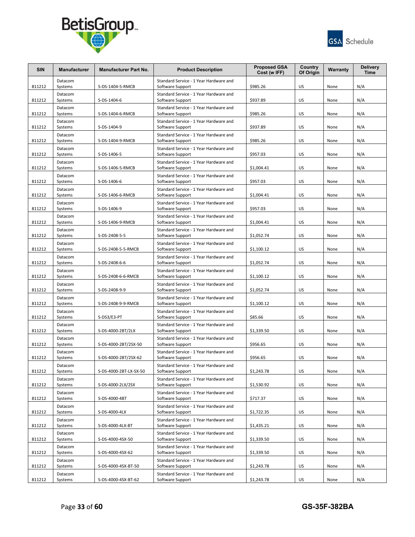



| <b>SIN</b> | <b>Manufacturer</b> | <b>Manufacturer Part No.</b> | <b>Product Description</b>                                 | <b>Proposed GSA</b><br>Cost (w IFF) | Country<br>Of Origin | Warranty | <b>Delivery</b><br><b>Time</b> |
|------------|---------------------|------------------------------|------------------------------------------------------------|-------------------------------------|----------------------|----------|--------------------------------|
| 811212     | Datacom<br>Systems  | S-DS-1404-5-RMCB             | Standard Service - 1 Year Hardware and<br>Software Support | \$985.26                            | US                   | None     | N/A                            |
| 811212     | Datacom<br>Systems  | S-DS-1404-6                  | Standard Service - 1 Year Hardware and<br>Software Support | \$937.89                            | US                   | None     | N/A                            |
| 811212     | Datacom<br>Systems  | S-DS-1404-6-RMCB             | Standard Service - 1 Year Hardware and<br>Software Support | \$985.26                            | US                   | None     | N/A                            |
| 811212     | Datacom<br>Systems  | S-DS-1404-9                  | Standard Service - 1 Year Hardware and<br>Software Support | \$937.89                            | US                   | None     | N/A                            |
| 811212     | Datacom<br>Systems  | S-DS-1404-9-RMCB             | Standard Service - 1 Year Hardware and<br>Software Support | \$985.26                            | US                   | None     | N/A                            |
| 811212     | Datacom<br>Systems  | S-DS-1406-5                  | Standard Service - 1 Year Hardware and<br>Software Support | \$957.03                            | US                   | None     | N/A                            |
| 811212     | Datacom<br>Systems  | S-DS-1406-5-RMCB             | Standard Service - 1 Year Hardware and<br>Software Support | \$1,004.41                          | US                   | None     | N/A                            |
| 811212     | Datacom<br>Systems  | S-DS-1406-6                  | Standard Service - 1 Year Hardware and<br>Software Support | \$957.03                            | US                   | None     | N/A                            |
| 811212     | Datacom<br>Systems  | S-DS-1406-6-RMCB             | Standard Service - 1 Year Hardware and<br>Software Support | \$1,004.41                          | US                   | None     | N/A                            |
| 811212     | Datacom<br>Systems  | S-DS-1406-9                  | Standard Service - 1 Year Hardware and<br>Software Support | \$957.03                            | US                   | None     | N/A                            |
| 811212     | Datacom<br>Systems  | S-DS-1406-9-RMCB             | Standard Service - 1 Year Hardware and<br>Software Support | \$1,004.41                          | US                   | None     | N/A                            |
| 811212     | Datacom<br>Systems  | S-DS-2408-5-5                | Standard Service - 1 Year Hardware and<br>Software Support | \$1,052.74                          | US                   | None     | N/A                            |
| 811212     | Datacom<br>Systems  | S-DS-2408-5-5-RMCB           | Standard Service - 1 Year Hardware and<br>Software Support | \$1,100.12                          | US                   | None     | N/A                            |
| 811212     | Datacom<br>Systems  | S-DS-2408-6-6                | Standard Service - 1 Year Hardware and<br>Software Support | \$1,052.74                          | US                   | None     | N/A                            |
| 811212     | Datacom<br>Systems  | S-DS-2408-6-6-RMCB           | Standard Service - 1 Year Hardware and<br>Software Support | \$1,100.12                          | US                   | None     | N/A                            |
| 811212     | Datacom<br>Systems  | S-DS-2408-9-9                | Standard Service - 1 Year Hardware and<br>Software Support | \$1,052.74                          | US                   | None     | N/A                            |
| 811212     | Datacom<br>Systems  | S-DS-2408-9-9-RMCB           | Standard Service - 1 Year Hardware and<br>Software Support | \$1,100.12                          | US                   | None     | N/A                            |
| 811212     | Datacom<br>Systems  | S-DS3/E3-PT                  | Standard Service - 1 Year Hardware and<br>Software Support | \$85.66                             | US                   | None     | N/A                            |
| 811212     | Datacom<br>Systems  | S-DS-4000-2BT/2LX            | Standard Service - 1 Year Hardware and<br>Software Support | \$1,339.50                          | US                   | None     | N/A                            |
| 811212     | Datacom<br>Systems  | S-DS-4000-2BT/2SX-50         | Standard Service - 1 Year Hardware and<br>Software Support | \$956.65                            | US                   | None     | N/A                            |
| 811212     | Datacom<br>Systems  | S-DS-4000-2BT/2SX-62         | Standard Service - 1 Year Hardware and<br>Software Support | \$956.65                            | US                   | None     | N/A                            |
| 811212     | Datacom<br>Systems  | S-DS-4000-2BT-LX-SX-50       | Standard Service - 1 Year Hardware and<br>Software Support | \$1,243.78                          | US                   | None     | N/A                            |
| 811212     | Datacom<br>Systems  | S-DS-4000-2LX/2SX            | Standard Service - 1 Year Hardware and<br>Software Support | \$1,530.92                          | US                   | None     | N/A                            |
| 811212     | Datacom<br>Systems  | S-DS-4000-4BT                | Standard Service - 1 Year Hardware and<br>Software Support | \$717.37                            | US                   | None     | N/A                            |
| 811212     | Datacom<br>Systems  | S-DS-4000-4LX                | Standard Service - 1 Year Hardware and<br>Software Support | \$1,722.35                          | US                   | None     | N/A                            |
| 811212     | Datacom<br>Systems  | S-DS-4000-4LX-BT             | Standard Service - 1 Year Hardware and<br>Software Support | \$1,435.21                          | US                   | None     | N/A                            |
| 811212     | Datacom<br>Systems  | S-DS-4000-4SX-50             | Standard Service - 1 Year Hardware and<br>Software Support | \$1,339.50                          | US                   | None     | N/A                            |
| 811212     | Datacom<br>Systems  | S-DS-4000-4SX-62             | Standard Service - 1 Year Hardware and<br>Software Support | \$1,339.50                          | US                   | None     | N/A                            |
| 811212     | Datacom<br>Systems  | S-DS-4000-4SX-BT-50          | Standard Service - 1 Year Hardware and<br>Software Support | \$1,243.78                          | US                   | None     | N/A                            |
| 811212     | Datacom<br>Systems  | S-DS-4000-4SX-BT-62          | Standard Service - 1 Year Hardware and<br>Software Support | \$1,243.78                          | US                   | None     | N/A                            |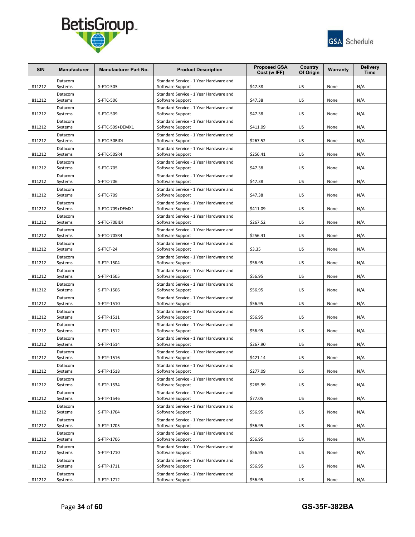



| <b>SIN</b> | <b>Manufacturer</b> | <b>Manufacturer Part No.</b> | <b>Product Description</b>                                 | <b>Proposed GSA</b><br>Cost (w IFF) | Country<br>Of Origin | Warranty | <b>Delivery</b><br><b>Time</b> |
|------------|---------------------|------------------------------|------------------------------------------------------------|-------------------------------------|----------------------|----------|--------------------------------|
| 811212     | Datacom<br>Systems  | S-FTC-505                    | Standard Service - 1 Year Hardware and<br>Software Support | \$47.38                             | US                   | None     | N/A                            |
| 811212     | Datacom<br>Systems  | S-FTC-506                    | Standard Service - 1 Year Hardware and<br>Software Support | \$47.38                             | US                   | None     | N/A                            |
| 811212     | Datacom<br>Systems  | S-FTC-509                    | Standard Service - 1 Year Hardware and<br>Software Support | \$47.38                             | US                   | None     | N/A                            |
| 811212     | Datacom<br>Systems  | S-FTC-509+DEMX1              | Standard Service - 1 Year Hardware and<br>Software Support | \$411.09                            | US                   | None     | N/A                            |
| 811212     | Datacom<br>Systems  | S-FTC-50BIDI                 | Standard Service - 1 Year Hardware and<br>Software Support | \$267.52                            | US                   | None     | N/A                            |
| 811212     | Datacom<br>Systems  | S-FTC-50SR4                  | Standard Service - 1 Year Hardware and<br>Software Support | \$256.41                            | US                   | None     | N/A                            |
| 811212     | Datacom<br>Systems  | S-FTC-705                    | Standard Service - 1 Year Hardware and<br>Software Support | \$47.38                             | US                   | None     | N/A                            |
| 811212     | Datacom<br>Systems  | S-FTC-706                    | Standard Service - 1 Year Hardware and<br>Software Support | \$47.38                             | US                   | None     | N/A                            |
| 811212     | Datacom<br>Systems  | S-FTC-709                    | Standard Service - 1 Year Hardware and<br>Software Support | \$47.38                             | US                   | None     | N/A                            |
| 811212     | Datacom<br>Systems  | S-FTC-709+DEMX1              | Standard Service - 1 Year Hardware and<br>Software Support | \$411.09                            | US                   | None     | N/A                            |
| 811212     | Datacom<br>Systems  | S-FTC-70BIDI                 | Standard Service - 1 Year Hardware and<br>Software Support | \$267.52                            | US                   | None     | N/A                            |
| 811212     | Datacom<br>Systems  | S-FTC-70SR4                  | Standard Service - 1 Year Hardware and<br>Software Support | \$256.41                            | US                   | None     | N/A                            |
| 811212     | Datacom<br>Systems  | S-FTCT-24                    | Standard Service - 1 Year Hardware and<br>Software Support | \$3.35                              | US                   | None     | N/A                            |
| 811212     | Datacom             | S-FTP-1504                   | Standard Service - 1 Year Hardware and                     | \$56.95                             | US                   |          | N/A                            |
| 811212     | Systems<br>Datacom  | S-FTP-1505                   | Software Support<br>Standard Service - 1 Year Hardware and |                                     | US                   | None     |                                |
|            | Systems<br>Datacom  |                              | Software Support<br>Standard Service - 1 Year Hardware and | \$56.95                             |                      | None     | N/A                            |
| 811212     | Systems<br>Datacom  | S-FTP-1506                   | Software Support<br>Standard Service - 1 Year Hardware and | \$56.95                             | US                   | None     | N/A                            |
| 811212     | Systems<br>Datacom  | S-FTP-1510                   | Software Support<br>Standard Service - 1 Year Hardware and | \$56.95                             | US                   | None     | N/A                            |
| 811212     | Systems<br>Datacom  | S-FTP-1511                   | Software Support<br>Standard Service - 1 Year Hardware and | \$56.95                             | US                   | None     | N/A                            |
| 811212     | Systems<br>Datacom  | S-FTP-1512                   | Software Support<br>Standard Service - 1 Year Hardware and | \$56.95                             | US                   | None     | N/A                            |
| 811212     | Systems<br>Datacom  | S-FTP-1514                   | Software Support<br>Standard Service - 1 Year Hardware and | \$267.90                            | US                   | None     | N/A                            |
| 811212     | Systems<br>Datacom  | S-FTP-1516                   | Software Support<br>Standard Service - 1 Year Hardware and | \$421.14                            | US                   | None     | N/A                            |
| 811212     | Systems<br>Datacom  | S-FTP-1518                   | Software Support<br>Standard Service - 1 Year Hardware and | \$277.09                            | US                   | None     | N/A                            |
| 811212     | Systems<br>Datacom  | S-FTP-1534                   | Software Support<br>Standard Service - 1 Year Hardware and | \$265.99                            | US                   | None     | N/A                            |
| 811212     | Systems<br>Datacom  | S-FTP-1546                   | Software Support<br>Standard Service - 1 Year Hardware and | \$77.05                             | US                   | None     | N/A                            |
| 811212     | Systems<br>Datacom  | S-FTP-1704                   | Software Support<br>Standard Service - 1 Year Hardware and | \$56.95                             | US                   | None     | N/A                            |
| 811212     | Systems             | S-FTP-1705                   | Software Support                                           | \$56.95                             | US                   | None     | N/A                            |
| 811212     | Datacom<br>Systems  | S-FTP-1706                   | Standard Service - 1 Year Hardware and<br>Software Support | \$56.95                             | US                   | None     | N/A                            |
| 811212     | Datacom<br>Systems  | S-FTP-1710                   | Standard Service - 1 Year Hardware and<br>Software Support | \$56.95                             | US                   | None     | N/A                            |
| 811212     | Datacom<br>Systems  | S-FTP-1711                   | Standard Service - 1 Year Hardware and<br>Software Support | \$56.95                             | US                   | None     | N/A                            |
| 811212     | Datacom<br>Systems  | S-FTP-1712                   | Standard Service - 1 Year Hardware and<br>Software Support | \$56.95                             | US                   | None     | N/A                            |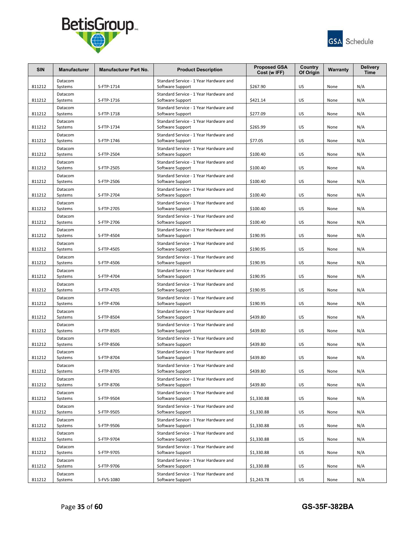



| <b>SIN</b>       | <b>Manufacturer</b>           | <b>Manufacturer Part No.</b> | <b>Product Description</b>                                                     | <b>Proposed GSA</b><br>Cost (w IFF) | Country<br>Of Origin | Warranty | <b>Delivery</b><br><b>Time</b> |
|------------------|-------------------------------|------------------------------|--------------------------------------------------------------------------------|-------------------------------------|----------------------|----------|--------------------------------|
| 811212           | Datacom<br>Systems            | S-FTP-1714                   | Standard Service - 1 Year Hardware and<br>Software Support                     | \$267.90                            | US                   | None     | N/A                            |
| 811212           | Datacom<br>Systems            | S-FTP-1716                   | Standard Service - 1 Year Hardware and<br>Software Support                     | \$421.14                            | US                   | None     | N/A                            |
| 811212           | Datacom<br>Systems            | S-FTP-1718                   | Standard Service - 1 Year Hardware and<br>Software Support                     | \$277.09                            | US                   | None     | N/A                            |
| 811212           | Datacom<br>Systems            | S-FTP-1734                   | Standard Service - 1 Year Hardware and<br>Software Support                     | \$265.99                            | US                   | None     | N/A                            |
| 811212           | Datacom<br>Systems            | S-FTP-1746                   | Standard Service - 1 Year Hardware and<br>Software Support                     | \$77.05                             | US                   | None     | N/A                            |
| 811212           | Datacom<br>Systems            | S-FTP-2504                   | Standard Service - 1 Year Hardware and<br>Software Support                     | \$100.40                            | US                   | None     | N/A                            |
| 811212           | Datacom<br>Systems            | S-FTP-2505                   | Standard Service - 1 Year Hardware and<br>Software Support                     | \$100.40                            | US                   | None     | N/A                            |
| 811212           | Datacom<br>Systems            | S-FTP-2506                   | Standard Service - 1 Year Hardware and<br>Software Support                     | \$100.40                            | US                   | None     | N/A                            |
| 811212           | Datacom<br>Systems            | S-FTP-2704                   | Standard Service - 1 Year Hardware and<br>Software Support                     | \$100.40                            | US                   | None     | N/A                            |
| 811212           | Datacom<br>Systems            | S-FTP-2705                   | Standard Service - 1 Year Hardware and<br>Software Support                     | \$100.40                            | US                   | None     | N/A                            |
| 811212           | Datacom<br>Systems            | S-FTP-2706                   | Standard Service - 1 Year Hardware and<br>Software Support                     | \$100.40                            | US                   | None     | N/A                            |
| 811212           | Datacom<br>Systems            | S-FTP-4504                   | Standard Service - 1 Year Hardware and<br>Software Support                     | \$190.95                            | US                   | None     | N/A                            |
| 811212           | Datacom<br>Systems            | S-FTP-4505                   | Standard Service - 1 Year Hardware and<br>Software Support                     | \$190.95                            | US                   | None     | N/A                            |
| 811212           | Datacom<br>Systems            | S-FTP-4506                   | Standard Service - 1 Year Hardware and<br>Software Support                     | \$190.95                            | US                   | None     | N/A                            |
| 811212           | Datacom<br>Systems            | S-FTP-4704                   | Standard Service - 1 Year Hardware and<br>Software Support                     | \$190.95                            | US                   | None     | N/A                            |
| 811212           | Datacom<br>Systems            | S-FTP-4705                   | Standard Service - 1 Year Hardware and<br>Software Support                     | \$190.95                            | US                   | None     | N/A                            |
| 811212           | Datacom<br>Systems            | S-FTP-4706                   | Standard Service - 1 Year Hardware and<br>Software Support                     | \$190.95                            | US                   | None     | N/A                            |
| 811212           | Datacom<br>Systems            | S-FTP-8504                   | Standard Service - 1 Year Hardware and<br>Software Support                     | \$439.80                            | US                   | None     | N/A                            |
| 811212           | Datacom<br>Systems            | S-FTP-8505                   | Standard Service - 1 Year Hardware and<br>Software Support                     | \$439.80                            | US                   | None     | N/A                            |
|                  | Datacom                       | S-FTP-8506                   | Standard Service - 1 Year Hardware and                                         | \$439.80                            | US                   | None     | N/A                            |
| 811212<br>811212 | Systems<br>Datacom<br>Systems | S-FTP-8704                   | Software Support<br>Standard Service - 1 Year Hardware and<br>Software Support | \$439.80                            | US                   | None     | N/A                            |
| 811212           | Datacom                       | S-FTP-8705                   | Standard Service - 1 Year Hardware and<br>Software Support                     | \$439.80                            | US                   | None     | N/A                            |
| 811212           | Systems<br>Datacom            | S-FTP-8706                   | Standard Service - 1 Year Hardware and                                         | \$439.80                            | US                   | None     | N/A                            |
|                  | Systems<br>Datacom            |                              | Software Support<br>Standard Service - 1 Year Hardware and                     |                                     | US                   |          |                                |
| 811212           | Systems<br>Datacom            | S-FTP-9504                   | Software Support<br>Standard Service - 1 Year Hardware and                     | \$1,330.88                          |                      | None     | N/A                            |
| 811212           | Systems<br>Datacom            | S-FTP-9505                   | Software Support<br>Standard Service - 1 Year Hardware and                     | \$1,330.88                          | US                   | None     | N/A                            |
| 811212           | Systems<br>Datacom            | S-FTP-9506                   | Software Support<br>Standard Service - 1 Year Hardware and                     | \$1,330.88                          | US                   | None     | N/A                            |
| 811212           | Systems<br>Datacom            | S-FTP-9704                   | Software Support<br>Standard Service - 1 Year Hardware and                     | \$1,330.88                          | US                   | None     | N/A                            |
| 811212           | Systems<br>Datacom            | S-FTP-9705                   | Software Support<br>Standard Service - 1 Year Hardware and                     | \$1,330.88                          | US                   | None     | N/A                            |
| 811212           | Systems<br>Datacom            | S-FTP-9706                   | Software Support<br>Standard Service - 1 Year Hardware and                     | \$1,330.88                          | US                   | None     | N/A                            |
| 811212           | Systems                       | S-FVS-1080                   | Software Support                                                               | \$1,243.78                          | US                   | None     | N/A                            |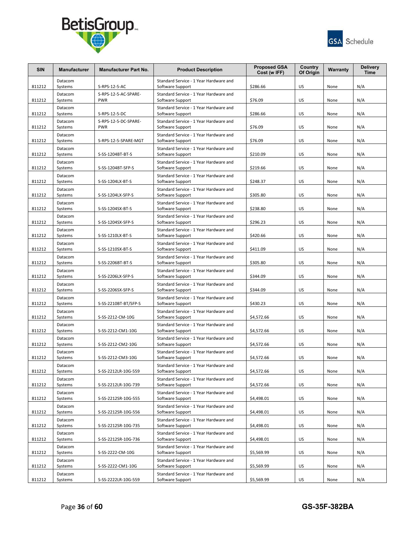



| <b>SIN</b>       | <b>Manufacturer</b>           | <b>Manufacturer Part No.</b>       | <b>Product Description</b>                                                     | <b>Proposed GSA</b><br>Cost (w IFF) | Country<br>Of Origin | Warranty | <b>Delivery</b><br><b>Time</b> |
|------------------|-------------------------------|------------------------------------|--------------------------------------------------------------------------------|-------------------------------------|----------------------|----------|--------------------------------|
| 811212           | Datacom<br>Systems            | S-RPS-12-5-AC                      | Standard Service - 1 Year Hardware and<br>Software Support                     | \$286.66                            | US                   | None     | N/A                            |
| 811212           | Datacom<br>Systems            | S-RPS-12-5-AC-SPARE-<br><b>PWR</b> | Standard Service - 1 Year Hardware and<br>Software Support                     | \$76.09                             | US                   | None     | N/A                            |
| 811212           | Datacom<br>Systems            | S-RPS-12-5-DC                      | Standard Service - 1 Year Hardware and<br>Software Support                     | \$286.66                            | US                   | None     | N/A                            |
| 811212           | Datacom<br>Systems            | S-RPS-12-5-DC-SPARE-<br><b>PWR</b> | Standard Service - 1 Year Hardware and<br>Software Support                     | \$76.09                             | US                   | None     | N/A                            |
| 811212           | Datacom<br>Systems            | S-RPS-12-5-SPARE-MGT               | Standard Service - 1 Year Hardware and<br>Software Support                     | \$76.09                             | US                   | None     | N/A                            |
| 811212           | Datacom<br>Systems            | S-SS-1204BT-BT-S                   | Standard Service - 1 Year Hardware and<br>Software Support                     | \$210.09                            | US                   | None     | N/A                            |
| 811212           | Datacom<br>Systems            | S-SS-1204BT-SFP-S                  | Standard Service - 1 Year Hardware and<br>Software Support                     | \$219.66                            | US                   | None     | N/A                            |
| 811212           | Datacom<br>Systems            | S-SS-1204LX-BT-S                   | Standard Service - 1 Year Hardware and<br>Software Support                     | \$248.37                            | US                   | None     | N/A                            |
| 811212           | Datacom<br>Systems            | S-SS-1204LX-SFP-S                  | Standard Service - 1 Year Hardware and<br>Software Support                     | \$305.80                            | US                   | None     | N/A                            |
| 811212           | Datacom<br>Systems            | S-SS-1204SX-BT-S                   | Standard Service - 1 Year Hardware and<br>Software Support                     | \$238.80                            | US                   | None     | N/A                            |
|                  | Datacom                       | S-SS-1204SX-SFP-S                  | Standard Service - 1 Year Hardware and                                         | \$296.23                            | US                   | None     | N/A                            |
| 811212<br>811212 | Systems<br>Datacom<br>Systems | S-SS-1210LX-BT-S                   | Software Support<br>Standard Service - 1 Year Hardware and<br>Software Support | \$420.66                            | US                   | None     | N/A                            |
|                  | Datacom                       |                                    | Standard Service - 1 Year Hardware and                                         |                                     |                      |          |                                |
| 811212           | Systems<br>Datacom            | S-SS-1210SX-BT-S                   | Software Support<br>Standard Service - 1 Year Hardware and                     | \$411.09                            | US                   | None     | N/A                            |
| 811212           | Systems<br>Datacom            | S-SS-2206BT-BT-S                   | Software Support<br>Standard Service - 1 Year Hardware and                     | \$305.80                            | US                   | None     | N/A                            |
| 811212           | Systems<br>Datacom            | S-SS-2206LX-SFP-S                  | Software Support<br>Standard Service - 1 Year Hardware and                     | \$344.09                            | US                   | None     | N/A                            |
| 811212           | Systems<br>Datacom            | S-SS-2206SX-SFP-S                  | Software Support<br>Standard Service - 1 Year Hardware and                     | \$344.09                            | US                   | None     | N/A                            |
| 811212           | Systems<br>Datacom            | S-SS-2210BT-BT/SFP-S               | Software Support<br>Standard Service - 1 Year Hardware and                     | \$430.23                            | US                   | None     | N/A                            |
| 811212           | Systems<br>Datacom            | S-SS-2212-CM-10G                   | Software Support<br>Standard Service - 1 Year Hardware and                     | \$4,572.66                          | US                   | None     | N/A                            |
| 811212           | Systems                       | S-SS-2212-CM1-10G                  | Software Support                                                               | \$4,572.66                          | US                   | None     | N/A                            |
| 811212           | Datacom<br>Systems            | S-SS-2212-CM2-10G                  | Standard Service - 1 Year Hardware and<br>Software Support                     | \$4,572.66                          | US                   | None     | N/A                            |
| 811212           | Datacom<br>Systems            | S-SS-2212-CM3-10G                  | Standard Service - 1 Year Hardware and<br>Software Support                     | \$4,572.66                          | US                   | None     | N/A                            |
| 811212           | Datacom<br>Systems            | S-SS-2212LR-10G-559                | Standard Service - 1 Year Hardware and<br>Software Support                     | \$4,572.66                          | US                   | None     | N/A                            |
| 811212           | Datacom<br>Systems            | S-SS-2212LR-10G-739                | Standard Service - 1 Year Hardware and<br>Software Support                     | \$4,572.66                          | US                   | None     | N/A                            |
| 811212           | Datacom<br>Systems            | S-SS-2212SR-10G-555                | Standard Service - 1 Year Hardware and<br>Software Support                     | \$4,498.01                          | US                   | None     | N/A                            |
| 811212           | Datacom<br>Systems            | S-SS-2212SR-10G-556                | Standard Service - 1 Year Hardware and<br>Software Support                     | \$4,498.01                          | US                   | None     | N/A                            |
| 811212           | Datacom<br>Systems            | S-SS-2212SR-10G-735                | Standard Service - 1 Year Hardware and<br>Software Support                     | \$4,498.01                          | US                   | None     | N/A                            |
| 811212           | Datacom<br>Systems            | S-SS-2212SR-10G-736                | Standard Service - 1 Year Hardware and<br>Software Support                     | \$4,498.01                          | US                   | None     | N/A                            |
| 811212           | Datacom<br>Systems            | S-SS-2222-CM-10G                   | Standard Service - 1 Year Hardware and<br>Software Support                     | \$5,569.99                          | US                   | None     | N/A                            |
| 811212           | Datacom<br>Systems            | S-SS-2222-CM1-10G                  | Standard Service - 1 Year Hardware and<br>Software Support                     | \$5,569.99                          | US                   | None     | N/A                            |
| 811212           | Datacom<br>Systems            | S-SS-2222LR-10G-559                | Standard Service - 1 Year Hardware and<br>Software Support                     | \$5,569.99                          | US                   | None     | N/A                            |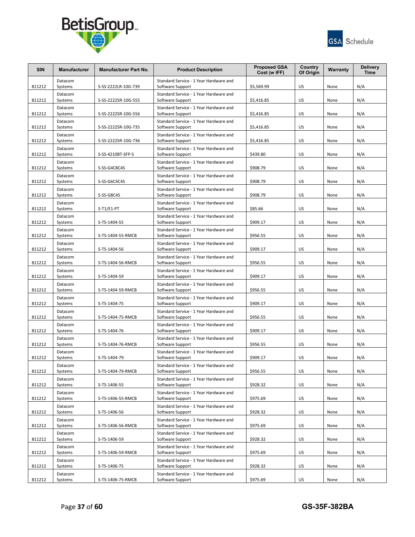



| <b>SIN</b> | <b>Manufacturer</b> | <b>Manufacturer Part No.</b> | <b>Product Description</b>                                             | <b>Proposed GSA</b><br>Cost (w IFF) | Country<br>Of Origin | Warranty | <b>Delivery</b><br><b>Time</b> |
|------------|---------------------|------------------------------|------------------------------------------------------------------------|-------------------------------------|----------------------|----------|--------------------------------|
| 811212     | Datacom<br>Systems  | S-SS-2222LR-10G-739          | Standard Service - 1 Year Hardware and<br>Software Support             | \$5,569.99                          | US                   | None     | N/A                            |
| 811212     | Datacom<br>Systems  | S-SS-2222SR-10G-555          | Standard Service - 1 Year Hardware and<br>Software Support             | \$5,416.85                          | US                   | None     | N/A                            |
| 811212     | Datacom<br>Systems  | S-SS-2222SR-10G-556          | Standard Service - 1 Year Hardware and<br>Software Support             | \$5,416.85                          | US                   | None     | N/A                            |
| 811212     | Datacom<br>Systems  | S-SS-2222SR-10G-735          | Standard Service - 1 Year Hardware and<br>Software Support             | \$5,416.85                          | US                   | None     | N/A                            |
| 811212     | Datacom<br>Systems  | S-SS-2222SR-10G-736          | Standard Service - 1 Year Hardware and<br>Software Support             | \$5,416.85                          | US                   | None     | N/A                            |
| 811212     | Datacom<br>Systems  | S-SS-4210BT-SFP-S            | Standard Service - 1 Year Hardware and<br>Software Support             | \$439.80                            | US                   | None     | N/A                            |
| 811212     | Datacom<br>Systems  | S-SS-G4C8C4S                 | Standard Service - 1 Year Hardware and<br>Software Support             | \$908.79                            | US                   | None     | N/A                            |
| 811212     | Datacom<br>Systems  | S-SS-G6C4C4S                 | Standard Service - 1 Year Hardware and<br>\$908.79<br>Software Support |                                     | US                   | None     | N/A                            |
| 811212     | Datacom<br>Systems  | S-SS-G8C4S                   | Standard Service - 1 Year Hardware and<br>Software Support             | \$908.79                            | US                   | None     | N/A                            |
| 811212     | Datacom<br>Systems  | $S-T1/E1-PT$                 | Standard Service - 1 Year Hardware and<br>Software Support             | \$85.66<br>US                       |                      | None     | N/A                            |
| 811212     | Datacom<br>Systems  | S-TS-1404-55                 | Standard Service - 1 Year Hardware and<br>Software Support             | \$909.17                            | US                   | None     | N/A                            |
| 811212     | Datacom<br>Systems  | S-TS-1404-55-RMCB            | Standard Service - 1 Year Hardware and<br>\$956.55<br>Software Support |                                     | US                   | None     | N/A                            |
| 811212     | Datacom<br>Systems  | S-TS-1404-56                 | Standard Service - 1 Year Hardware and<br>Software Support             | \$909.17                            | US                   | None     | N/A                            |
| 811212     | Datacom<br>Systems  | S-TS-1404-56-RMCB            | Standard Service - 1 Year Hardware and<br>Software Support             | \$956.55                            | US                   | None     | N/A                            |
| 811212     | Datacom<br>Systems  | S-TS-1404-59                 | Standard Service - 1 Year Hardware and<br>Software Support             | \$909.17                            | US                   | None     | N/A                            |
| 811212     | Datacom<br>Systems  | S-TS-1404-59-RMCB            | Standard Service - 1 Year Hardware and<br>Software Support             | \$956.55                            | US                   | None     | N/A                            |
| 811212     | Datacom<br>Systems  | S-TS-1404-75                 | Standard Service - 1 Year Hardware and<br>Software Support             | \$909.17                            | US                   | None     | N/A                            |
| 811212     | Datacom<br>Systems  | S-TS-1404-75-RMCB            | Standard Service - 1 Year Hardware and<br>Software Support             | \$956.55                            | US                   | None     | N/A                            |
|            | Datacom             | S-TS-1404-76                 | Standard Service - 1 Year Hardware and                                 | \$909.17                            | US                   |          | N/A                            |
| 811212     | Systems<br>Datacom  |                              | Software Support<br>Standard Service - 1 Year Hardware and             |                                     |                      | None     |                                |
| 811212     | Systems<br>Datacom  | S-TS-1404-76-RMCB            | Software Support<br>Standard Service - 1 Year Hardware and             | \$956.55                            | US                   | None     | N/A                            |
| 811212     | Systems<br>Datacom  | S-TS-1404-79                 | Software Support<br>Standard Service - 1 Year Hardware and             | \$909.17                            | US                   | None     | N/A                            |
| 811212     | Systems<br>Datacom  | S-TS-1404-79-RMCB            | Software Support<br>Standard Service - 1 Year Hardware and             | \$956.55                            | US                   | None     | N/A                            |
| 811212     | Systems<br>Datacom  | S-TS-1406-55                 | Software Support<br>Standard Service - 1 Year Hardware and             | \$928.32                            | US                   | None     | N/A                            |
| 811212     | Systems<br>Datacom  | S-TS-1406-55-RMCB            | Software Support<br>Standard Service - 1 Year Hardware and             | \$975.69                            | US                   | None     | N/A                            |
| 811212     | Systems<br>Datacom  | S-TS-1406-56                 | Software Support<br>Standard Service - 1 Year Hardware and             | \$928.32                            | US                   | None     | N/A                            |
| 811212     | Systems<br>Datacom  | S-TS-1406-56-RMCB            | Software Support<br>Standard Service - 1 Year Hardware and             | \$975.69                            | US                   | None     | N/A                            |
| 811212     | Systems<br>Datacom  | S-TS-1406-59                 | Software Support<br>Standard Service - 1 Year Hardware and             | \$928.32                            | US                   | None     | N/A                            |
| 811212     | Systems<br>Datacom  | S-TS-1406-59-RMCB            | Software Support<br>Standard Service - 1 Year Hardware and             | \$975.69                            | US                   | None     | N/A                            |
| 811212     | Systems<br>Datacom  | S-TS-1406-75                 | Software Support<br>Standard Service - 1 Year Hardware and             | \$928.32                            | US                   | None     | N/A                            |
| 811212     | Systems             | S-TS-1406-75-RMCB            | Software Support                                                       | \$975.69                            | US                   | None     | N/A                            |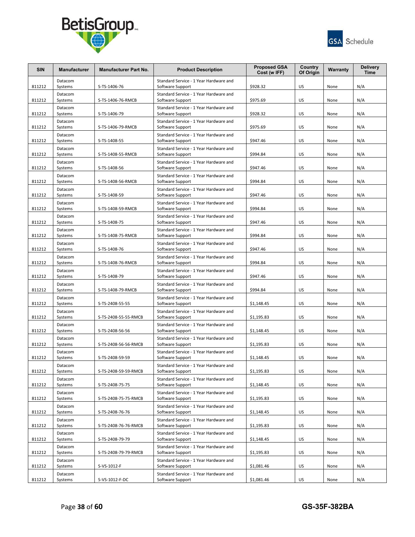



| <b>SIN</b> | <b>Manufacturer</b> | <b>Manufacturer Part No.</b> | <b>Product Description</b>                                             | <b>Proposed GSA</b><br>Cost (w IFF) | Country<br>Of Origin | Warranty | <b>Delivery</b><br><b>Time</b> |
|------------|---------------------|------------------------------|------------------------------------------------------------------------|-------------------------------------|----------------------|----------|--------------------------------|
| 811212     | Datacom<br>Systems  | S-TS-1406-76                 | Standard Service - 1 Year Hardware and<br>Software Support             | \$928.32                            | US                   | None     | N/A                            |
| 811212     | Datacom<br>Systems  | S-TS-1406-76-RMCB            | Standard Service - 1 Year Hardware and<br>Software Support             | \$975.69                            | US                   | None     | N/A                            |
| 811212     | Datacom<br>Systems  | S-TS-1406-79                 | Standard Service - 1 Year Hardware and<br>Software Support             | \$928.32                            | US                   | None     | N/A                            |
| 811212     | Datacom<br>Systems  | S-TS-1406-79-RMCB            | Standard Service - 1 Year Hardware and<br>Software Support             | \$975.69                            | US                   | None     | N/A                            |
| 811212     | Datacom<br>Systems  | S-TS-1408-55                 | Standard Service - 1 Year Hardware and<br>Software Support             | \$947.46                            | US                   | None     | N/A                            |
| 811212     | Datacom<br>Systems  | S-TS-1408-55-RMCB            | Standard Service - 1 Year Hardware and<br>Software Support             | \$994.84                            | US                   | None     | N/A                            |
| 811212     | Datacom<br>Systems  | S-TS-1408-56                 | Standard Service - 1 Year Hardware and<br>Software Support             | \$947.46                            | US                   | None     | N/A                            |
| 811212     | Datacom<br>Systems  | S-TS-1408-56-RMCB            | Standard Service - 1 Year Hardware and<br>Software Support             | \$994.84                            |                      | None     | N/A                            |
| 811212     | Datacom<br>Systems  | S-TS-1408-59                 | Standard Service - 1 Year Hardware and<br>Software Support             | \$947.46                            | US<br>US             | None     | N/A                            |
| 811212     | Datacom<br>Systems  | S-TS-1408-59-RMCB            | Standard Service - 1 Year Hardware and<br>Software Support             | \$994.84                            | US                   | None     | N/A                            |
| 811212     | Datacom             | S-TS-1408-75                 | Standard Service - 1 Year Hardware and                                 |                                     | US                   | None     | N/A                            |
| 811212     | Systems<br>Datacom  |                              | \$947.46<br>Software Support<br>Standard Service - 1 Year Hardware and |                                     | US                   | None     |                                |
|            | Systems<br>Datacom  | S-TS-1408-75-RMCB            | Software Support<br>\$994.84<br>Standard Service - 1 Year Hardware and |                                     |                      |          | N/A                            |
| 811212     | Systems<br>Datacom  | S-TS-1408-76                 | Software Support<br>Standard Service - 1 Year Hardware and             | \$947.46                            | US                   | None     | N/A                            |
| 811212     | Systems<br>Datacom  | S-TS-1408-76-RMCB            | Software Support<br>Standard Service - 1 Year Hardware and             | \$994.84                            | US                   | None     | N/A                            |
| 811212     | Systems<br>Datacom  | S-TS-1408-79                 | Software Support<br>Standard Service - 1 Year Hardware and             | \$947.46                            | US                   | None     | N/A                            |
| 811212     | Systems<br>Datacom  | S-TS-1408-79-RMCB            | Software Support<br>Standard Service - 1 Year Hardware and             | \$994.84                            | US                   | None     | N/A                            |
| 811212     | Systems<br>Datacom  | S-TS-2408-55-55              | Software Support<br>Standard Service - 1 Year Hardware and             | \$1,148.45                          | US                   | None     | N/A                            |
| 811212     | Systems<br>Datacom  | S-TS-2408-55-55-RMCB         | Software Support<br>Standard Service - 1 Year Hardware and             | \$1,195.83                          | US                   | None     | N/A                            |
| 811212     | Systems             | S-TS-2408-56-56              | Software Support                                                       | \$1,148.45                          | US                   | None     | N/A                            |
| 811212     | Datacom<br>Systems  | S-TS-2408-56-56-RMCB         | Standard Service - 1 Year Hardware and<br>Software Support             | \$1,195.83                          | US                   | None     | N/A                            |
| 811212     | Datacom<br>Systems  | S-TS-2408-59-59              | Standard Service - 1 Year Hardware and<br>Software Support             | \$1,148.45                          | US                   | None     | N/A                            |
| 811212     | Datacom<br>Systems  | S-TS-2408-59-59-RMCB         | Standard Service - 1 Year Hardware and<br>Software Support             | \$1,195.83                          | US                   | None     | N/A                            |
| 811212     | Datacom<br>Systems  | S-TS-2408-75-75              | Standard Service - 1 Year Hardware and<br>Software Support             | \$1,148.45                          | US                   | None     | N/A                            |
| 811212     | Datacom<br>Systems  | S-TS-2408-75-75-RMCB         | Standard Service - 1 Year Hardware and<br>Software Support             | \$1,195.83                          | US                   | None     | N/A                            |
| 811212     | Datacom<br>Systems  | S-TS-2408-76-76              | Standard Service - 1 Year Hardware and<br>Software Support             | \$1,148.45                          | US                   | None     | N/A                            |
| 811212     | Datacom<br>Systems  | S-TS-2408-76-76-RMCB         | Standard Service - 1 Year Hardware and<br>Software Support             | \$1,195.83                          | US                   | None     | N/A                            |
| 811212     | Datacom<br>Systems  | S-TS-2408-79-79              | Standard Service - 1 Year Hardware and<br>Software Support             | \$1,148.45                          | US                   | None     | N/A                            |
| 811212     | Datacom<br>Systems  | S-TS-2408-79-79-RMCB         | Standard Service - 1 Year Hardware and<br>Software Support             | \$1,195.83                          | US                   | None     | N/A                            |
| 811212     | Datacom<br>Systems  | S-VS-1012-F                  | Standard Service - 1 Year Hardware and<br>Software Support             | \$1,081.46                          | US                   | None     | N/A                            |
| 811212     | Datacom<br>Systems  | S-VS-1012-F-DC               | Standard Service - 1 Year Hardware and<br>Software Support             | \$1,081.46                          | US                   | None     | N/A                            |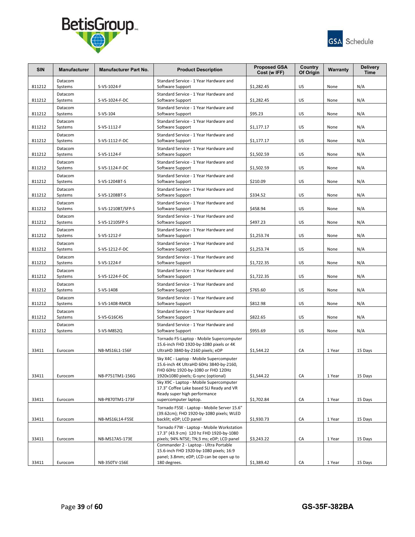



| <b>SIN</b> | <b>Manufacturer</b> | <b>Manufacturer Part No.</b> | <b>Proposed GSA</b><br><b>Product Description</b><br>Cost (w IFF)                                                                 |            | Country<br>Of Origin | Warranty | <b>Delivery</b><br><b>Time</b> |
|------------|---------------------|------------------------------|-----------------------------------------------------------------------------------------------------------------------------------|------------|----------------------|----------|--------------------------------|
| 811212     | Datacom<br>Systems  | S-VS-1024-F                  | Standard Service - 1 Year Hardware and<br>Software Support                                                                        | \$1.282.45 | US                   | None     | N/A                            |
| 811212     | Datacom<br>Systems  | S-VS-1024-F-DC               | Standard Service - 1 Year Hardware and<br>Software Support                                                                        | \$1,282.45 | US                   | None     | N/A                            |
| 811212     | Datacom<br>Systems  | S-VS-104                     | Standard Service - 1 Year Hardware and<br>Software Support                                                                        | \$95.23    | US                   | None     | N/A                            |
| 811212     | Datacom<br>Systems  | S-VS-1112-F                  | Standard Service - 1 Year Hardware and<br>Software Support                                                                        | \$1,177.17 | US                   | None     | N/A                            |
| 811212     | Datacom<br>Systems  | S-VS-1112-F-DC               | Standard Service - 1 Year Hardware and<br>Software Support                                                                        | \$1,177.17 | US                   | None     | N/A                            |
| 811212     | Datacom<br>Systems  | S-VS-1124-F                  | Standard Service - 1 Year Hardware and<br>Software Support                                                                        | \$1,502.59 | US                   | None     | N/A                            |
| 811212     | Datacom<br>Systems  | S-VS-1124-F-DC               | Standard Service - 1 Year Hardware and<br>Software Support                                                                        | \$1,502.59 | US                   | None     | N/A                            |
| 811212     | Datacom<br>Systems  | S-VS-1204BT-S                | Standard Service - 1 Year Hardware and<br>Software Support                                                                        | \$210.09   | US                   | None     | N/A                            |
| 811212     | Datacom<br>Systems  | S-VS-1208BT-S                | Standard Service - 1 Year Hardware and<br>Software Support                                                                        | \$334.52   | US                   | None     | N/A                            |
| 811212     | Datacom<br>Systems  | S-VS-1210BT/SFP-S            | Standard Service - 1 Year Hardware and<br>Software Support                                                                        | \$458.94   | US                   | None     | N/A                            |
| 811212     | Datacom<br>Systems  | S-VS-1210SFP-S               | Standard Service - 1 Year Hardware and<br>Software Support                                                                        | \$497.23   | US                   | None     | N/A                            |
| 811212     | Datacom<br>Systems  | S-VS-1212-F                  | Standard Service - 1 Year Hardware and<br>Software Support                                                                        | \$1,253.74 | US                   | None     | N/A                            |
| 811212     | Datacom<br>Systems  | S-VS-1212-F-DC               | Standard Service - 1 Year Hardware and<br>Software Support                                                                        | \$1,253.74 | US                   | None     | N/A                            |
| 811212     | Datacom<br>Systems  | S-VS-1224-F                  | Standard Service - 1 Year Hardware and<br>Software Support                                                                        | \$1,722.35 | US                   | None     | N/A                            |
| 811212     | Datacom<br>Systems  | S-VS-1224-F-DC               | Standard Service - 1 Year Hardware and<br>Software Support                                                                        | \$1,722.35 | US                   | None     | N/A                            |
| 811212     | Datacom<br>Systems  | S-VS-1408                    | Standard Service - 1 Year Hardware and<br>Software Support                                                                        | \$765.60   | US                   | None     | N/A                            |
| 811212     | Datacom<br>Systems  | S-VS-1408-RMCB               | Standard Service - 1 Year Hardware and<br>Software Support                                                                        | \$812.98   | US                   | None     | N/A                            |
| 811212     | Datacom<br>Systems  | S-VS-G16C4S                  | Standard Service - 1 Year Hardware and<br>Software Support                                                                        | \$822.65   | US                   | None     | N/A                            |
| 811212     | Datacom<br>Systems  | S-VS-M8S2Q                   | Standard Service - 1 Year Hardware and<br>Software Support                                                                        | \$955.69   | US                   | None     | N/A                            |
|            |                     |                              | Tornado F5-Laptop - Mobile Supercomputer<br>15.6-inch FHD 1920-by-1080 pixels or 4K                                               |            |                      |          |                                |
| 33411      | Eurocom             | NB-MS16L1-156F               | UltraHD 3840-by-2160 pixels; eDP<br>Sky X4C - Laptop - Mobile Supercomputer                                                       | \$1,544.22 | CA                   | 1 Year   | 15 Days                        |
|            |                     |                              | 15.6-inch 4K UltraHD 60Hz 3840-by-2160,<br>FHD 60Hz 1920-by-1080 or FHD 120Hz                                                     |            |                      |          |                                |
| 33411      | Eurocom             | NB-P751TM1-156G              | 1920x1080 pixels; G-sync (optional)<br>Sky X9C - Laptop - Mobile Supercomputer                                                    | \$1,544.22 | CA                   | 1 Year   | 15 Days                        |
| 33411      | Eurocom             | NB-P870TM1-173F              | 17.3" Coffee Lake based SLI Ready and VR<br>Ready super high performance<br>supercomputer laptop.                                 | \$1,702.84 | CA                   | 1 Year   | 15 Days                        |
|            |                     |                              | Tornado F5SE - Laptop - Mobile Server 15.6"<br>(39.62cm); FHD 1920-by-1080 pixels; WLED                                           |            |                      |          |                                |
| 33411      | Eurocom             | NB-MS16L14-F5SE              | backlit; eDP; LCD panel                                                                                                           | \$1,930.73 | CA                   | 1 Year   | 15 Days                        |
| 33411      | Eurocom             | NB-MS17A5-173E               | Tornado F7W - Laptop - Mobile Workstation<br>17.3" (43.9 cm) 120 hz FHD 1920-by-1080<br>pixels; 94% NTSE; TN;3 ms; eDP; LCD panel | \$3,243.22 | CA                   | 1 Year   | 15 Days                        |
|            |                     |                              | Commander 2 - Laptop - Ultra Portable<br>15.6-inch FHD 1920-by-1080 pixels; 16:9                                                  |            |                      |          |                                |
| 33411      | Eurocom             | NB-350TV-156E                | panel; 3.8mm; eDP; LCD can be open up to<br>180 degrees.                                                                          | \$1,389.42 | CA                   | 1 Year   | 15 Days                        |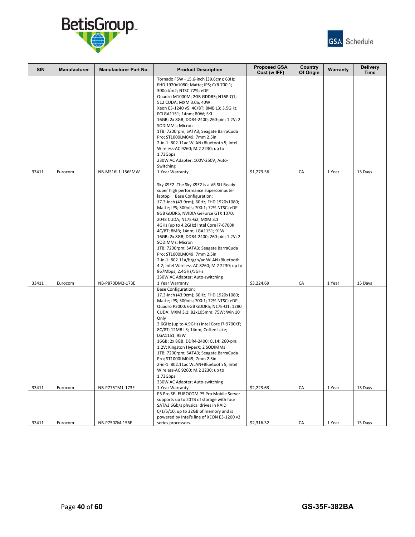



| <b>SIN</b> | <b>Manufacturer</b> | <b>Manufacturer Part No.</b> | <b>Product Description</b>                                                                                                                                                                                                                                                                                                                                                                                                                                                                                                                                                                                                                                                     | <b>Proposed GSA</b><br>Cost (w IFF) | Country<br>Of Origin | Warranty | <b>Delivery</b><br><b>Time</b> |
|------------|---------------------|------------------------------|--------------------------------------------------------------------------------------------------------------------------------------------------------------------------------------------------------------------------------------------------------------------------------------------------------------------------------------------------------------------------------------------------------------------------------------------------------------------------------------------------------------------------------------------------------------------------------------------------------------------------------------------------------------------------------|-------------------------------------|----------------------|----------|--------------------------------|
|            |                     |                              | Tornado F5W - 15.6-inch (39.6cm); 60Hz<br>FHD 1920x1080; Matte; IPS; C/R 700:1;<br>300cd/m2; NTSC 72%; eDP<br>Quadro M1000M; 2GB GDDR5; N16P-Q1;<br>512 CUDA; MXM 3.0a; 40W<br>Xeon E3-1240 v5; 4C/8T; 8MB L3; 3.5GHz;<br>FCLGA1151; 14nm; 80W; SKL<br>16GB; 2x 8GB; DDR4-2400; 260-pin; 1.2V; 2<br>SODIMMs; Micron                                                                                                                                                                                                                                                                                                                                                            |                                     |                      |          |                                |
|            |                     |                              | 1TB; 7200rpm; SATA3; Seagate BarraCuda<br>Pro; ST1000LM049; 7mm 2.5in<br>2-in-1: 802.11ac WLAN+Bluetooth 5; Intel<br>Wireless-AC 9260; M.2 2230; up to<br>1.73Gbps<br>230W AC Adapter; 100V-250V; Auto-                                                                                                                                                                                                                                                                                                                                                                                                                                                                        |                                     |                      |          |                                |
| 33411      | Eurocom             | NB-MS16L1-156FMW             | Switching<br>1 Year Warranty"                                                                                                                                                                                                                                                                                                                                                                                                                                                                                                                                                                                                                                                  | \$1,273.56                          | CA                   | 1 Year   | 15 Days                        |
| 33411      | Eurocom             | NB-P870DM2-173E              | Sky X9E2 - The Sky X9E2 is a VR SLI Ready<br>super high performance supercomputer<br>laptop. Base Configuration:<br>17.3-inch (43.9cm); 60Hz; FHD 1920x1080;<br>Matte; IPS; 300nts; 700:1; 72% NTSC; eDP<br>8GB GDDR5; NVIDIA GeForce GTX 1070;<br>2048 CUDA; N17E-G2; MXM 3.1<br>4GHz (up to 4.2GHz) Intel Core i7-6700K;<br>4C/8T; 8MB; 14nm; LGA1151; 91W<br>16GB; 2x 8GB; DDR4-2400; 260-pin; 1.2V; 2<br>SODIMMs; Micron<br>1TB; 7200rpm; SATA3; Seagate BarraCuda<br>Pro; ST1000LM049; 7mm 2.5in<br>2-in-1: 802.11a/b/g/n/ac WLAN+Bluetooth<br>4.2; Intel Wireless-AC 8260; M.2 2230; up to<br>867Mbps; 2.4GHz/5GHz<br>330W AC Adapter; Auto-switching<br>1 Year Warranty | \$3,224.69                          | CA                   | 1 Year   | 15 Days                        |
| 33411      | Eurocom             | NB-P775TM1-173F              | <b>Base Configuration:</b><br>17.3-inch (43.9cm); 60Hz; FHD 1920x1080;<br>Matte; IPS; 300nts; 700:1; 72% NTSC; eDP<br>Quadro P3000; 6GB GDDR5; N17E-Q1; 1280<br>CUDA; MXM 3.1; 82x105mm; 75W; Win 10<br>Only<br>3.6GHz (up to 4.9GHz) Intel Core i7-9700KF;<br>8C/8T; 12MB L3; 14nm; Coffee Lake;<br>LGA1151; 95W<br>16GB; 2x 8GB; DDR4-2400; CL14; 260-pin;<br>1.2V; Kingston HyperX; 2 SODIMMs<br>1TB; 7200rpm; SATA3; Seagate BarraCuda<br>Pro; ST1000LM049; 7mm 2.5in<br>2-in-1: 802.11ac WLAN+Bluetooth 5; Intel<br>Wireless-AC 9260; M.2 2230; up to<br>1.73Gbps<br>330W AC Adapter; Auto-switching<br>1 Year Warranty                                                   | \$2,223.63                          | CA                   | 1 Year   | 15 Days                        |
|            |                     |                              | P5 Pro SE- EUROCOM P5 Pro Mobile Server<br>supports up to 20TB of storage with four<br>SATA3 6Gb/s physical drives in RAID<br>$0/1/5/10$ , up to 32GB of memory and is<br>powered by Intel's line of XEON E3-1200 v3                                                                                                                                                                                                                                                                                                                                                                                                                                                           |                                     |                      |          |                                |
| 33411      | Eurocom             | NB-P750ZM-156F               | series processors.                                                                                                                                                                                                                                                                                                                                                                                                                                                                                                                                                                                                                                                             | \$2,316.32                          | CA                   | 1 Year   | 15 Days                        |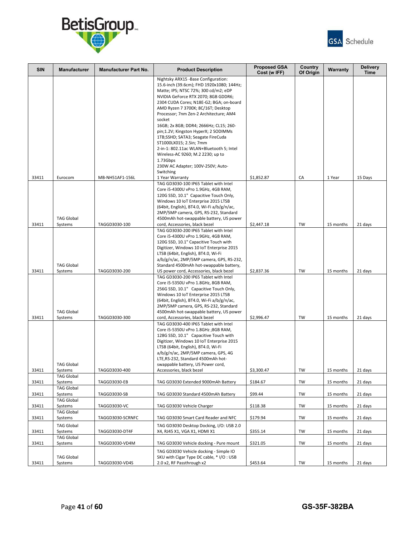



| <b>SIN</b> | <b>Manufacturer</b>          | <b>Manufacturer Part No.</b> | <b>Product Description</b>                                                          | <b>Proposed GSA</b><br>Cost (w IFF) | Country<br>Of Origin | Warranty  | <b>Delivery</b><br><b>Time</b> |
|------------|------------------------------|------------------------------|-------------------------------------------------------------------------------------|-------------------------------------|----------------------|-----------|--------------------------------|
|            |                              |                              | Nightsky ARX15 - Base Configuration:<br>15.6-inch (39.6cm); FHD 1920x1080; 144Hz;   |                                     |                      |           |                                |
|            |                              |                              | Matte; IPS; NTSC 72%; 300 cd/m2; eDP                                                |                                     |                      |           |                                |
|            |                              |                              | NVIDIA GeForce RTX 2070; 8GB GDDR6;                                                 |                                     |                      |           |                                |
|            |                              |                              | 2304 CUDA Cores; N18E-G2; BGA; on-board                                             |                                     |                      |           |                                |
|            |                              |                              | AMD Ryzen 7 3700X; 8C/16T; Desktop<br>Processor; 7nm Zen-2 Architecture; AM4        |                                     |                      |           |                                |
|            |                              |                              | socket                                                                              |                                     |                      |           |                                |
|            |                              |                              | 16GB; 2x 8GB; DDR4; 2666Hz; CL15; 260-                                              |                                     |                      |           |                                |
|            |                              |                              | pin;1.2V; Kingston HyperX; 2 SODIMMs                                                |                                     |                      |           |                                |
|            |                              |                              | 1TB;SSHD; SATA3; Seagate FireCuda<br>ST1000LX015; 2.5in; 7mm                        |                                     |                      |           |                                |
|            |                              |                              | 2-in-1: 802.11ac WLAN+Bluetooth 5; Intel                                            |                                     |                      |           |                                |
|            |                              |                              | Wireless-AC 9260; M.2 2230; up to                                                   |                                     |                      |           |                                |
|            |                              |                              | 1.73Gbps<br>230W AC Adapter; 100V-250V; Auto-                                       |                                     |                      |           |                                |
|            |                              |                              | Switching                                                                           |                                     |                      |           |                                |
| 33411      | Eurocom                      | MB-NH51AF1-156L              | 1 Year Warranty                                                                     | \$1,852.87                          | CA                   | 1 Year    | 15 Days                        |
|            |                              |                              | TAG GD3030-100 IP65 Tablet with Intel                                               |                                     |                      |           |                                |
|            |                              |                              | Core i5-4300U vPro 1.9GHz, 4GB RAM,<br>120G SSD, 10.1" Capacitive Touch Only,       |                                     |                      |           |                                |
|            |                              |                              | Windows 10 IoT Enterprise 2015 LTSB                                                 |                                     |                      |           |                                |
|            |                              |                              | (64bit, English), BT4.0, Wi-Fi a/b/g/n/ac,                                          |                                     |                      |           |                                |
|            |                              |                              | 2MP/5MP camera, GPS, RS-232, Standard                                               |                                     |                      |           |                                |
| 33411      | <b>TAG Global</b><br>Systems | TAGGD3030-100                | 4500mAh hot-swappable battery, US power<br>cord, Accessories, black bezel           | \$2,447.18                          | TW                   | 15 months | 21 days                        |
|            |                              |                              | TAG GD3030-200 IP65 Tablet with Intel                                               |                                     |                      |           |                                |
|            |                              |                              | Core i5-4300U vPro 1.9GHz, 4GB RAM,                                                 |                                     |                      |           |                                |
|            |                              |                              | 120G SSD, 10.1" Capacitive Touch with                                               |                                     |                      |           |                                |
|            |                              |                              | Digitizer, Windows 10 IoT Enterprise 2015<br>LTSB (64bit, English), BT4.0, Wi-Fi    |                                     |                      |           |                                |
|            |                              |                              | a/b/g/n/ac, 2MP/5MP camera, GPS, RS-232,                                            |                                     |                      |           |                                |
|            | <b>TAG Global</b>            |                              | Standard 4500mAh hot-swappable battery,                                             |                                     |                      |           |                                |
| 33411      | Systems                      | TAGGD3030-200                | US power cord, Accessories, black bezel<br>TAG GD3030-200 IP65 Tablet with Intel    | \$2,837.36                          | TW                   | 15 months | 21 days                        |
|            |                              |                              | Core i5-5350U vPro 1.8GHz, 8GB RAM,                                                 |                                     |                      |           |                                |
|            |                              |                              | 256G SSD, 10.1" Capacitive Touch Only,                                              |                                     |                      |           |                                |
|            |                              |                              | Windows 10 IoT Enterprise 2015 LTSB                                                 |                                     |                      |           |                                |
|            |                              |                              | (64bit, English), BT4.0, Wi-Fi a/b/g/n/ac,<br>2MP/5MP camera, GPS, RS-232, Standard |                                     |                      |           |                                |
|            | <b>TAG Global</b>            |                              | 4500mAh hot-swappable battery, US power                                             |                                     |                      |           |                                |
| 33411      | Systems                      | TAGGD3030-300                | cord, Accessories, black bezel                                                      | \$2,996.47                          | TW                   | 15 months | 21 days                        |
|            |                              |                              | TAG GD3030-400 IP65 Tablet with Intel                                               |                                     |                      |           |                                |
|            |                              |                              | Core i5-5350U vPro 1.8GHz ;8GB RAM,<br>128G SSD, 10.1" Capacitive Touch with        |                                     |                      |           |                                |
|            |                              |                              | Digitizer, Windows 10 IoT Enterprise 2015                                           |                                     |                      |           |                                |
|            |                              |                              | LTSB (64bit, English), BT4.0, Wi-Fi                                                 |                                     |                      |           |                                |
|            |                              |                              | a/b/g/n/ac, 2MP/5MP camera, GPS, 4G<br>LTE, RS-232, Standard 4500mAh hot-           |                                     |                      |           |                                |
|            | <b>TAG Global</b>            |                              | swappable battery, US Power cord,                                                   |                                     |                      |           |                                |
| 33411      | Systems                      | TAGGD3030-400                | Accessories, black bezel                                                            | \$3,300.47                          | TW                   | 15 months | 21 days                        |
| 33411      | <b>TAG Global</b><br>Systems | TAGGD3030-EB                 | TAG GD3030 Extended 9000mAh Battery                                                 | \$184.67                            | TW                   | 15 months | 21 days                        |
|            | <b>TAG Global</b>            |                              |                                                                                     |                                     |                      |           |                                |
| 33411      | Systems                      | TAGGD3030-SB                 | TAG GD3030 Standard 4500mAh Battery                                                 | \$99.44                             | TW                   | 15 months | 21 days                        |
|            | <b>TAG Global</b>            |                              |                                                                                     |                                     |                      |           |                                |
| 33411      | Systems<br><b>TAG Global</b> | TAGGD3030-VC                 | TAG GD3030 Vehicle Charger                                                          | \$118.38                            | TW                   | 15 months | 21 days                        |
| 33411      | Systems                      | TAGGD3030-SCRNFC             | TAG GD3030 Smart Card Reader and NFC                                                | \$179.94                            | TW                   | 15 months | 21 days                        |
|            | <b>TAG Global</b>            |                              | TAG GD3030 Desktop Docking, I/O: USB 2.0                                            |                                     |                      |           |                                |
| 33411      | Systems                      | TAGGD3030-DT4F               | X4, RJ45 X1, VGA X1, HDMI X1                                                        | \$355.14                            | TW                   | 15 months | 21 days                        |
|            | <b>TAG Global</b>            |                              |                                                                                     |                                     |                      |           |                                |
| 33411      | Systems                      | TAGGD3030-VD4M               | TAG GD3030 Vehicle docking - Pure mount                                             | \$321.05                            | TW                   | 15 months | 21 days                        |
|            | <b>TAG Global</b>            |                              | TAG GD3030 Vehicle docking - Simple IO<br>SKU with Cigar Type DC cable, * I/O: USB  |                                     |                      |           |                                |
| 33411      | Systems                      | TAGGD3030-VD4S               | 2.0 x2, RF Passthrough x2                                                           | \$453.64                            | TW                   | 15 months | 21 days                        |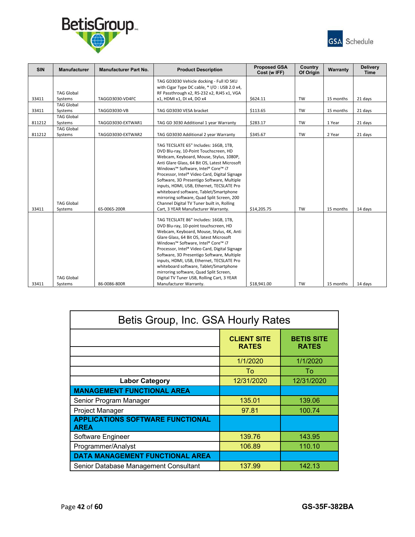



| <b>SIN</b> | <b>Manufacturer</b>          | <b>Manufacturer Part No.</b> | <b>Product Description</b>                                                                                                                                                                                                                                                                                                                                                                                                                                                                                                                | <b>Proposed GSA</b><br>Cost (w IFF) | Country<br>Of Origin | Warranty  | <b>Delivery</b><br><b>Time</b> |
|------------|------------------------------|------------------------------|-------------------------------------------------------------------------------------------------------------------------------------------------------------------------------------------------------------------------------------------------------------------------------------------------------------------------------------------------------------------------------------------------------------------------------------------------------------------------------------------------------------------------------------------|-------------------------------------|----------------------|-----------|--------------------------------|
| 33411      | <b>TAG Global</b>            | TAGGD3030-VD4FC              | TAG GD3030 Vehicle docking - Full IO SKU<br>with Cigar Type DC cable, * I/O: USB 2.0 x4,<br>RF Passthrough x2, RS-232 x2, RJ45 x1, VGA<br>x1, HDMI x1, DI x4, DO x4                                                                                                                                                                                                                                                                                                                                                                       | \$624.11                            | <b>TW</b>            | 15 months |                                |
|            | Systems<br><b>TAG Global</b> |                              |                                                                                                                                                                                                                                                                                                                                                                                                                                                                                                                                           |                                     |                      |           | 21 days                        |
| 33411      | Systems                      | TAGGD3030-VB                 | TAG GD3030 VESA bracket                                                                                                                                                                                                                                                                                                                                                                                                                                                                                                                   | \$113.65                            | <b>TW</b>            | 15 months | 21 days                        |
| 811212     | <b>TAG Global</b><br>Systems | TAGGD3030-EXTWAR1            | TAG GD 3030 Additional 1 year Warranty                                                                                                                                                                                                                                                                                                                                                                                                                                                                                                    | \$283.17                            | TW                   | 1 Year    | 21 days                        |
| 811212     | <b>TAG Global</b><br>Systems | TAGGD3030-EXTWAR2            | \$345.67<br>TAG GD3030 Additional 2 year Warranty                                                                                                                                                                                                                                                                                                                                                                                                                                                                                         |                                     | TW                   | 2 Year    | 21 days                        |
| 33411      | <b>TAG Global</b><br>Systems | 65-0065-200R                 | TAG TECSLATE 65" Includes: 16GB, 1TB,<br>DVD Blu-ray, 10-Point Touchscreen, HD<br>Webcam, Keyboard, Mouse, Stylus, 1080P,<br>Anti Glare Glass, 64 Bit OS, Latest Microsoft<br>Windows™ Software, Intel® Core™ i7<br>Processor, Intel® Video Card, Digital Signage<br>Software, 3D Presentigo Software, Multiple<br>inputs, HDMI, USB, Ethernet, TECSLATE Pro<br>whiteboard software, Tablet/Smartphone<br>mirroring software, Quad Split Screen, 200<br>Channel Digital TV Tuner built in, Rolling<br>Cart, 3 YEAR Manufacturer Warranty. | \$14,205.75                         | <b>TW</b>            | 15 months | 14 days                        |
| 33411      | <b>TAG Global</b><br>Systems | 86-0086-800R                 | TAG TECSLATE 86" Includes: 16GB, 1TB.<br>DVD Blu-ray, 10-point touchscreen, HD<br>Webcam, Keyboard, Mouse, Stylus, 4K, Anti<br>Glare Glass, 64 Bit OS, latest Microsoft<br>Windows™ Software, Intel® Core™ i7<br>Processor, Intel® Video Card, Digital Signage<br>Software, 3D Presentigo Software, Multiple<br>inputs, HDMI, USB, Ethernet, TECSLATE Pro<br>whiteboard software, Tablet/Smartphone<br>mirroring software, Quad Split Screen,<br>Digital TV Tuner USB, Rolling Cart, 3 YEAR<br>Manufacturer Warranty.                     | \$18,941.00                         | TW                   | 15 months | 14 days                        |

| Betis Group, Inc. GSA Hourly Rates                     |                                    |                                   |  |  |  |
|--------------------------------------------------------|------------------------------------|-----------------------------------|--|--|--|
|                                                        | <b>CLIENT SITE</b><br><b>RATES</b> | <b>BETIS SITE</b><br><b>RATES</b> |  |  |  |
|                                                        | 1/1/2020                           | 1/1/2020                          |  |  |  |
|                                                        | To                                 | To                                |  |  |  |
| <b>Labor Category</b>                                  | 12/31/2020                         | 12/31/2020                        |  |  |  |
| <b>MANAGEMENT FUNCTIONAL AREA</b>                      |                                    |                                   |  |  |  |
| Senior Program Manager                                 | 135.01                             | 139.06                            |  |  |  |
| Project Manager                                        | 97.81                              | 100.74                            |  |  |  |
| <b>APPLICATIONS SOFTWARE FUNCTIONAL</b><br><b>AREA</b> |                                    |                                   |  |  |  |
| Software Engineer                                      | 139.76                             | 143.95                            |  |  |  |
| Programmer/Analyst                                     | 106.89                             | 110.10                            |  |  |  |
| <b>DATA MANAGEMENT FUNCTIONAL AREA</b>                 |                                    |                                   |  |  |  |
| Senior Database Management Consultant                  | 137.99                             | 142.13                            |  |  |  |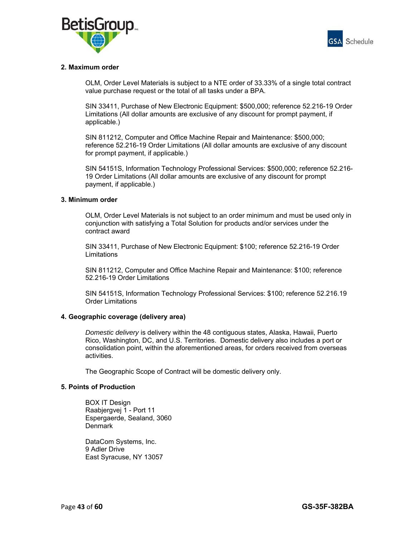



# **2. Maximum order**

OLM, Order Level Materials is subject to a NTE order of 33.33% of a single total contract value purchase request or the total of all tasks under a BPA.

SIN 33411, Purchase of New Electronic Equipment: \$500,000; reference 52.216-19 Order Limitations (All dollar amounts are exclusive of any discount for prompt payment, if applicable.)

SIN 811212, Computer and Office Machine Repair and Maintenance: \$500,000; reference 52.216-19 Order Limitations (All dollar amounts are exclusive of any discount for prompt payment, if applicable.)

SIN 54151S, Information Technology Professional Services: \$500,000; reference 52.216- 19 Order Limitations (All dollar amounts are exclusive of any discount for prompt payment, if applicable.)

### **3. Minimum order**

OLM, Order Level Materials is not subject to an order minimum and must be used only in conjunction with satisfying a Total Solution for products and/or services under the contract award

SIN 33411, Purchase of New Electronic Equipment: \$100; reference 52.216-19 Order Limitations

SIN 811212, Computer and Office Machine Repair and Maintenance: \$100; reference 52.216-19 Order Limitations

SIN 54151S, Information Technology Professional Services: \$100; reference 52.216.19 Order Limitations

### **4. Geographic coverage (delivery area)**

*Domestic delivery* is delivery within the 48 contiguous states, Alaska, Hawaii, Puerto Rico, Washington, DC, and U.S. Territories. Domestic delivery also includes a port or consolidation point, within the aforementioned areas, for orders received from overseas activities.

The Geographic Scope of Contract will be domestic delivery only.

#### **5. Points of Production**

 BOX IT Design Raabjergvej 1 - Port 11 Espergaerde, Sealand, 3060 **Denmark** 

 DataCom Systems, Inc. 9 Adler Drive East Syracuse, NY 13057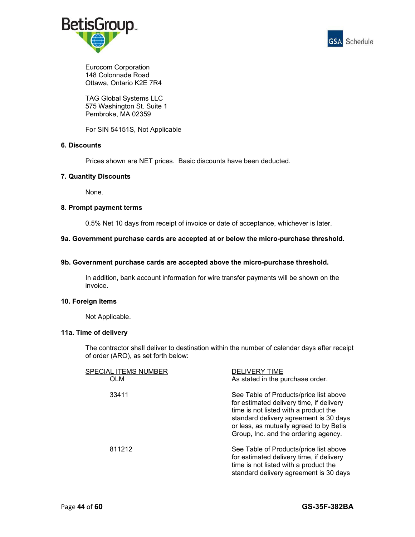



Eurocom Corporation 148 Colonnade Road Ottawa, Ontario K2E 7R4

 TAG Global Systems LLC 575 Washington St. Suite 1 Pembroke, MA 02359

For SIN 54151S, Not Applicable

# **6. Discounts**

Prices shown are NET prices. Basic discounts have been deducted.

# **7. Quantity Discounts**

None.

### **8. Prompt payment terms**

0.5% Net 10 days from receipt of invoice or date of acceptance, whichever is later.

# **9a. Government purchase cards are accepted at or below the micro-purchase threshold.**

### **9b. Government purchase cards are accepted above the micro-purchase threshold.**

In addition, bank account information for wire transfer payments will be shown on the invoice.

### **10. Foreign Items**

Not Applicable.

# **11a. Time of delivery**

The contractor shall deliver to destination within the number of calendar days after receipt of order (ARO), as set forth below:

| SPECIAL ITEMS NUMBER<br><b>OLM</b> | <b>DELIVERY TIME</b><br>As stated in the purchase order.                                                                                                                                                                                                 |
|------------------------------------|----------------------------------------------------------------------------------------------------------------------------------------------------------------------------------------------------------------------------------------------------------|
| 33411                              | See Table of Products/price list above<br>for estimated delivery time, if delivery<br>time is not listed with a product the<br>standard delivery agreement is 30 days<br>or less, as mutually agreed to by Betis<br>Group, Inc. and the ordering agency. |
| 811212                             | See Table of Products/price list above<br>for estimated delivery time, if delivery<br>time is not listed with a product the<br>standard delivery agreement is 30 days                                                                                    |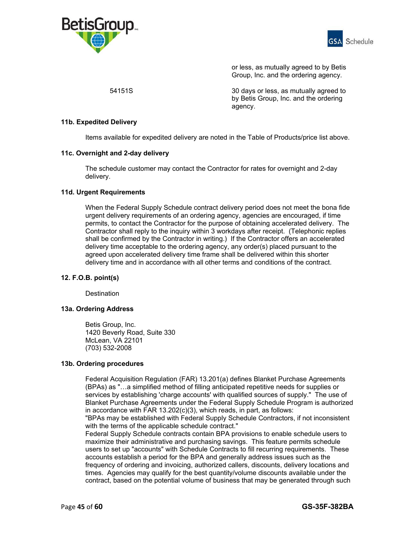



or less, as mutually agreed to by Betis Group, Inc. and the ordering agency.

 54151S 30 days or less, as mutually agreed to by Betis Group, Inc. and the ordering agency.

### **11b. Expedited Delivery**

Items available for expedited delivery are noted in the Table of Products/price list above.

### **11c. Overnight and 2-day delivery**

The schedule customer may contact the Contractor for rates for overnight and 2-day delivery.

### **11d. Urgent Requirements**

When the Federal Supply Schedule contract delivery period does not meet the bona fide urgent delivery requirements of an ordering agency, agencies are encouraged, if time permits, to contact the Contractor for the purpose of obtaining accelerated delivery. The Contractor shall reply to the inquiry within 3 workdays after receipt. (Telephonic replies shall be confirmed by the Contractor in writing.) If the Contractor offers an accelerated delivery time acceptable to the ordering agency, any order(s) placed pursuant to the agreed upon accelerated delivery time frame shall be delivered within this shorter delivery time and in accordance with all other terms and conditions of the contract.

### **12. F.O.B. point(s)**

**Destination** 

#### **13a. Ordering Address**

Betis Group, Inc. 1420 Beverly Road, Suite 330 McLean, VA 22101 (703) 532-2008

#### **13b. Ordering procedures**

Federal Acquisition Regulation (FAR) 13.201(a) defines Blanket Purchase Agreements (BPAs) as "…a simplified method of filling anticipated repetitive needs for supplies or services by establishing 'charge accounts' with qualified sources of supply." The use of Blanket Purchase Agreements under the Federal Supply Schedule Program is authorized in accordance with FAR 13.202(c)(3), which reads, in part, as follows:

"BPAs may be established with Federal Supply Schedule Contractors, if not inconsistent with the terms of the applicable schedule contract."

Federal Supply Schedule contracts contain BPA provisions to enable schedule users to maximize their administrative and purchasing savings. This feature permits schedule users to set up "accounts" with Schedule Contracts to fill recurring requirements. These accounts establish a period for the BPA and generally address issues such as the frequency of ordering and invoicing, authorized callers, discounts, delivery locations and times. Agencies may qualify for the best quantity/volume discounts available under the contract, based on the potential volume of business that may be generated through such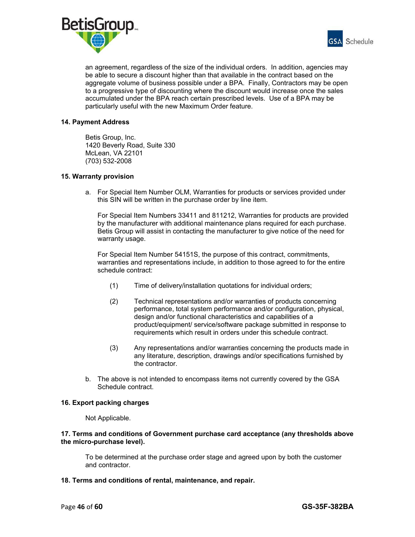



an agreement, regardless of the size of the individual orders. In addition, agencies may be able to secure a discount higher than that available in the contract based on the aggregate volume of business possible under a BPA. Finally, Contractors may be open to a progressive type of discounting where the discount would increase once the sales accumulated under the BPA reach certain prescribed levels. Use of a BPA may be particularly useful with the new Maximum Order feature.

### **14. Payment Address**

Betis Group, Inc. 1420 Beverly Road, Suite 330 McLean, VA 22101 (703) 532-2008

### **15. Warranty provision**

a. For Special Item Number OLM, Warranties for products or services provided under this SIN will be written in the purchase order by line item.

 For Special Item Numbers 33411 and 811212, Warranties for products are provided by the manufacturer with additional maintenance plans required for each purchase. Betis Group will assist in contacting the manufacturer to give notice of the need for warranty usage.

 For Special Item Number 54151S, the purpose of this contract, commitments, warranties and representations include, in addition to those agreed to for the entire schedule contract:

- (1) Time of delivery/installation quotations for individual orders;
- (2) Technical representations and/or warranties of products concerning performance, total system performance and/or configuration, physical, design and/or functional characteristics and capabilities of a product/equipment/ service/software package submitted in response to requirements which result in orders under this schedule contract.
- (3) Any representations and/or warranties concerning the products made in any literature, description, drawings and/or specifications furnished by the contractor.
- b. The above is not intended to encompass items not currently covered by the GSA Schedule contract.

#### **16. Export packing charges**

Not Applicable.

### **17. Terms and conditions of Government purchase card acceptance (any thresholds above the micro-purchase level).**

To be determined at the purchase order stage and agreed upon by both the customer and contractor.

**18. Terms and conditions of rental, maintenance, and repair.**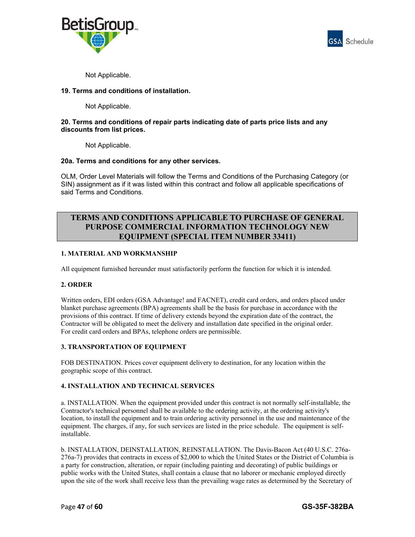



Not Applicable.

## **19. Terms and conditions of installation.**

Not Applicable.

# **20. Terms and conditions of repair parts indicating date of parts price lists and any discounts from list prices.**

Not Applicable.

# **20a. Terms and conditions for any other services.**

OLM, Order Level Materials will follow the Terms and Conditions of the Purchasing Category (or SIN) assignment as if it was listed within this contract and follow all applicable specifications of said Terms and Conditions.

# **TERMS AND CONDITIONS APPLICABLE TO PURCHASE OF GENERAL PURPOSE COMMERCIAL INFORMATION TECHNOLOGY NEW EQUIPMENT (SPECIAL ITEM NUMBER 33411)**

# **1. MATERIAL AND WORKMANSHIP**

All equipment furnished hereunder must satisfactorily perform the function for which it is intended.

### **2. ORDER**

Written orders, EDI orders (GSA Advantage! and FACNET), credit card orders, and orders placed under blanket purchase agreements (BPA) agreements shall be the basis for purchase in accordance with the provisions of this contract. If time of delivery extends beyond the expiration date of the contract, the Contractor will be obligated to meet the delivery and installation date specified in the original order. For credit card orders and BPAs, telephone orders are permissible.

### **3. TRANSPORTATION OF EQUIPMENT**

FOB DESTINATION. Prices cover equipment delivery to destination, for any location within the geographic scope of this contract.

## **4. INSTALLATION AND TECHNICAL SERVICES**

a. INSTALLATION. When the equipment provided under this contract is not normally self-installable, the Contractor's technical personnel shall be available to the ordering activity, at the ordering activity's location, to install the equipment and to train ordering activity personnel in the use and maintenance of the equipment. The charges, if any, for such services are listed in the price schedule. The equipment is selfinstallable.

b. INSTALLATION, DEINSTALLATION, REINSTALLATION. The Davis-Bacon Act (40 U.S.C. 276a-276a-7) provides that contracts in excess of \$2,000 to which the United States or the District of Columbia is a party for construction, alteration, or repair (including painting and decorating) of public buildings or public works with the United States, shall contain a clause that no laborer or mechanic employed directly upon the site of the work shall receive less than the prevailing wage rates as determined by the Secretary of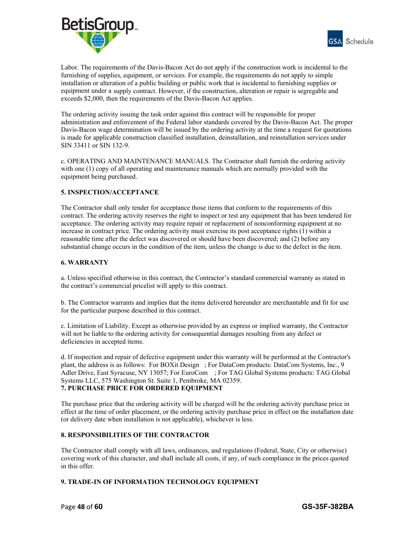



Labor. The requirements of the Davis-Bacon Act do not apply if the construction work is incidental to the furnishing of supplies, equipment, or services. For example, the requirements do not apply to simple installation or alteration of a public building or public work that is incidental to furnishing supplies or equipment under a supply contract. However, if the construction, alteration or repair is segregable and exceeds \$2,000, then the requirements of the Davis-Bacon Act applies.

The ordering activity issuing the task order against this contract will be responsible for proper administration and enforcement of the Federal labor standards covered by the Davis-Bacon Act. The proper Davis-Bacon wage determination will be issued by the ordering activity at the time a request for quotations is made for applicable construction classified installation, deinstallation, and reinstallation services under SIN 33411 or SIN 132-9.

c. OPERATING AND MAINTENANCE MANUALS. The Contractor shall furnish the ordering activity with one (1) copy of all operating and maintenance manuals which are normally provided with the equipment being purchased.

### **5. INSPECTION/ACCEPTANCE**

The Contractor shall only tender for acceptance those items that conform to the requirements of this contract. The ordering activity reserves the right to inspect or test any equipment that has been tendered for acceptance. The ordering activity may require repair or replacement of nonconforming equipment at no increase in contract price. The ordering activity must exercise its post acceptance rights (1) within a reasonable time after the defect was discovered or should have been discovered; and (2) before any substantial change occurs in the condition of the item, unless the change is due to the defect in the item.

### **6. WARRANTY**

a. Unless specified otherwise in this contract, the Contractor's standard commercial warranty as stated in the contract's commercial pricelist will apply to this contract.

b. The Contractor warrants and implies that the items delivered hereunder are merchantable and fit for use for the particular purpose described in this contract.

c. Limitation of Liability. Except as otherwise provided by an express or implied warranty, the Contractor will not be liable to the ordering activity for consequential damages resulting from any defect or deficiencies in accepted items.

d. If inspection and repair of defective equipment under this warranty will be performed at the Contractor's plant, the address is as follows: For BOXit Design ; For DataCom products: DataCom Systems, Inc., 9 Adler Drive, East Syracuse, NY 13057; For EuroCom ; For TAG Global Systems products: TAG Global Systems LLC, 575 Washington St. Suite 1, Pembroke, MA 02359. **7. PURCHASE PRICE FOR ORDERED EQUIPMENT** 

The purchase price that the ordering activity will be charged will be the ordering activity purchase price in effect at the time of order placement, or the ordering activity purchase price in effect on the installation date (or delivery date when installation is not applicable), whichever is less.

### **8. RESPONSIBILITIES OF THE CONTRACTOR**

The Contractor shall comply with all laws, ordinances, and regulations (Federal, State, City or otherwise) covering work of this character, and shall include all costs, if any, of such compliance in the prices quoted in this offer.

# **9. TRADE-IN OF INFORMATION TECHNOLOGY EQUIPMENT**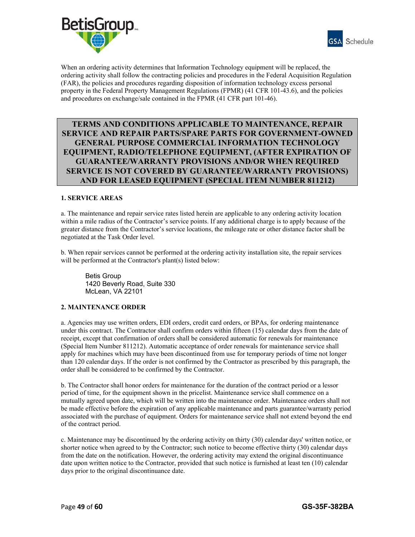



When an ordering activity determines that Information Technology equipment will be replaced, the ordering activity shall follow the contracting policies and procedures in the Federal Acquisition Regulation (FAR), the policies and procedures regarding disposition of information technology excess personal property in the Federal Property Management Regulations (FPMR) (41 CFR 101-43.6), and the policies and procedures on exchange/sale contained in the FPMR (41 CFR part 101-46).

# **TERMS AND CONDITIONS APPLICABLE TO MAINTENANCE, REPAIR SERVICE AND REPAIR PARTS/SPARE PARTS FOR GOVERNMENT-OWNED GENERAL PURPOSE COMMERCIAL INFORMATION TECHNOLOGY EQUIPMENT, RADIO/TELEPHONE EQUIPMENT, (AFTER EXPIRATION OF GUARANTEE/WARRANTY PROVISIONS AND/OR WHEN REQUIRED SERVICE IS NOT COVERED BY GUARANTEE/WARRANTY PROVISIONS) AND FOR LEASED EQUIPMENT (SPECIAL ITEM NUMBER 811212)**

### **1. SERVICE AREAS**

a. The maintenance and repair service rates listed herein are applicable to any ordering activity location within a mile radius of the Contractor's service points. If any additional charge is to apply because of the greater distance from the Contractor's service locations, the mileage rate or other distance factor shall be negotiated at the Task Order level.

b. When repair services cannot be performed at the ordering activity installation site, the repair services will be performed at the Contractor's plant(s) listed below:

Betis Group 1420 Beverly Road, Suite 330 McLean, VA 22101

#### **2. MAINTENANCE ORDER**

a. Agencies may use written orders, EDI orders, credit card orders, or BPAs, for ordering maintenance under this contract. The Contractor shall confirm orders within fifteen (15) calendar days from the date of receipt, except that confirmation of orders shall be considered automatic for renewals for maintenance (Special Item Number 811212). Automatic acceptance of order renewals for maintenance service shall apply for machines which may have been discontinued from use for temporary periods of time not longer than 120 calendar days. If the order is not confirmed by the Contractor as prescribed by this paragraph, the order shall be considered to be confirmed by the Contractor.

b. The Contractor shall honor orders for maintenance for the duration of the contract period or a lessor period of time, for the equipment shown in the pricelist. Maintenance service shall commence on a mutually agreed upon date, which will be written into the maintenance order. Maintenance orders shall not be made effective before the expiration of any applicable maintenance and parts guarantee/warranty period associated with the purchase of equipment. Orders for maintenance service shall not extend beyond the end of the contract period.

c. Maintenance may be discontinued by the ordering activity on thirty (30) calendar days' written notice, or shorter notice when agreed to by the Contractor; such notice to become effective thirty (30) calendar days from the date on the notification. However, the ordering activity may extend the original discontinuance date upon written notice to the Contractor, provided that such notice is furnished at least ten (10) calendar days prior to the original discontinuance date.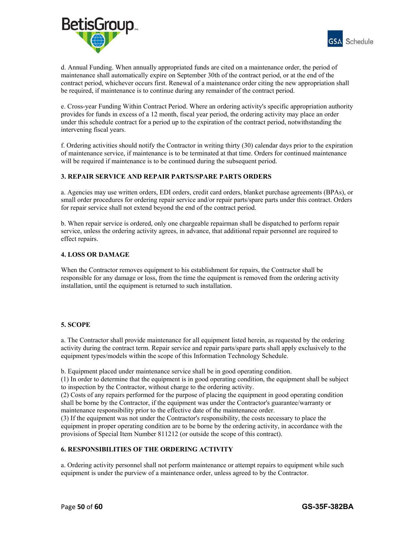



d. Annual Funding. When annually appropriated funds are cited on a maintenance order, the period of maintenance shall automatically expire on September 30th of the contract period, or at the end of the contract period, whichever occurs first. Renewal of a maintenance order citing the new appropriation shall be required, if maintenance is to continue during any remainder of the contract period.

e. Cross-year Funding Within Contract Period. Where an ordering activity's specific appropriation authority provides for funds in excess of a 12 month, fiscal year period, the ordering activity may place an order under this schedule contract for a period up to the expiration of the contract period, notwithstanding the intervening fiscal years.

f. Ordering activities should notify the Contractor in writing thirty (30) calendar days prior to the expiration of maintenance service, if maintenance is to be terminated at that time. Orders for continued maintenance will be required if maintenance is to be continued during the subsequent period.

### **3. REPAIR SERVICE AND REPAIR PARTS/SPARE PARTS ORDERS**

a. Agencies may use written orders, EDI orders, credit card orders, blanket purchase agreements (BPAs), or small order procedures for ordering repair service and/or repair parts/spare parts under this contract. Orders for repair service shall not extend beyond the end of the contract period.

b. When repair service is ordered, only one chargeable repairman shall be dispatched to perform repair service, unless the ordering activity agrees, in advance, that additional repair personnel are required to effect repairs.

### **4. LOSS OR DAMAGE**

When the Contractor removes equipment to his establishment for repairs, the Contractor shall be responsible for any damage or loss, from the time the equipment is removed from the ordering activity installation, until the equipment is returned to such installation.

### **5. SCOPE**

a. The Contractor shall provide maintenance for all equipment listed herein, as requested by the ordering activity during the contract term. Repair service and repair parts/spare parts shall apply exclusively to the equipment types/models within the scope of this Information Technology Schedule.

b. Equipment placed under maintenance service shall be in good operating condition.

(1) In order to determine that the equipment is in good operating condition, the equipment shall be subject to inspection by the Contractor, without charge to the ordering activity.

(2) Costs of any repairs performed for the purpose of placing the equipment in good operating condition shall be borne by the Contractor, if the equipment was under the Contractor's guarantee/warranty or maintenance responsibility prior to the effective date of the maintenance order.

(3) If the equipment was not under the Contractor's responsibility, the costs necessary to place the equipment in proper operating condition are to be borne by the ordering activity, in accordance with the provisions of Special Item Number 811212 (or outside the scope of this contract).

### **6. RESPONSIBILITIES OF THE ORDERING ACTIVITY**

a. Ordering activity personnel shall not perform maintenance or attempt repairs to equipment while such equipment is under the purview of a maintenance order, unless agreed to by the Contractor.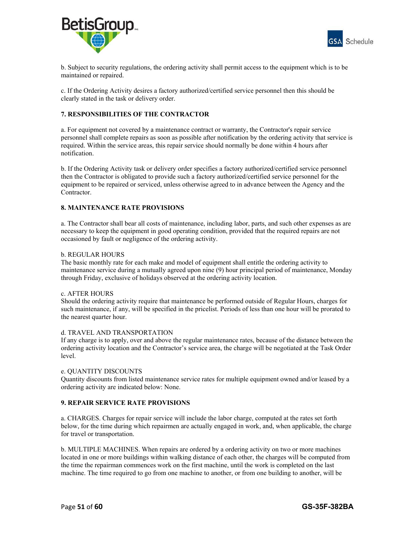



b. Subject to security regulations, the ordering activity shall permit access to the equipment which is to be maintained or repaired.

c. If the Ordering Activity desires a factory authorized/certified service personnel then this should be clearly stated in the task or delivery order.

### **7. RESPONSIBILITIES OF THE CONTRACTOR**

a. For equipment not covered by a maintenance contract or warranty, the Contractor's repair service personnel shall complete repairs as soon as possible after notification by the ordering activity that service is required. Within the service areas, this repair service should normally be done within 4 hours after notification.

b. If the Ordering Activity task or delivery order specifies a factory authorized/certified service personnel then the Contractor is obligated to provide such a factory authorized/certified service personnel for the equipment to be repaired or serviced, unless otherwise agreed to in advance between the Agency and the Contractor.

### **8. MAINTENANCE RATE PROVISIONS**

a. The Contractor shall bear all costs of maintenance, including labor, parts, and such other expenses as are necessary to keep the equipment in good operating condition, provided that the required repairs are not occasioned by fault or negligence of the ordering activity.

#### b. REGULAR HOURS

The basic monthly rate for each make and model of equipment shall entitle the ordering activity to maintenance service during a mutually agreed upon nine (9) hour principal period of maintenance, Monday through Friday, exclusive of holidays observed at the ordering activity location.

#### c. AFTER HOURS

Should the ordering activity require that maintenance be performed outside of Regular Hours, charges for such maintenance, if any, will be specified in the pricelist. Periods of less than one hour will be prorated to the nearest quarter hour.

#### d. TRAVEL AND TRANSPORTATION

If any charge is to apply, over and above the regular maintenance rates, because of the distance between the ordering activity location and the Contractor's service area, the charge will be negotiated at the Task Order level.

#### e. QUANTITY DISCOUNTS

Quantity discounts from listed maintenance service rates for multiple equipment owned and/or leased by a ordering activity are indicated below: None.

#### **9. REPAIR SERVICE RATE PROVISIONS**

a. CHARGES. Charges for repair service will include the labor charge, computed at the rates set forth below, for the time during which repairmen are actually engaged in work, and, when applicable, the charge for travel or transportation.

b. MULTIPLE MACHINES. When repairs are ordered by a ordering activity on two or more machines located in one or more buildings within walking distance of each other, the charges will be computed from the time the repairman commences work on the first machine, until the work is completed on the last machine. The time required to go from one machine to another, or from one building to another, will be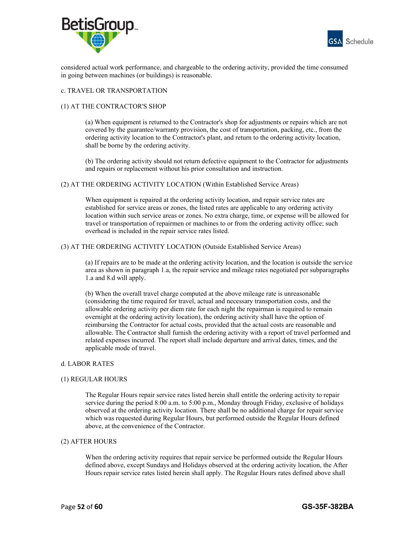



considered actual work performance, and chargeable to the ordering activity, provided the time consumed in going between machines (or buildings) is reasonable.

#### c. TRAVEL OR TRANSPORTATION

### (1) AT THE CONTRACTOR'S SHOP

(a) When equipment is returned to the Contractor's shop for adjustments or repairs which are not covered by the guarantee/warranty provision, the cost of transportation, packing, etc., from the ordering activity location to the Contractor's plant, and return to the ordering activity location, shall be borne by the ordering activity.

(b) The ordering activity should not return defective equipment to the Contractor for adjustments and repairs or replacement without his prior consultation and instruction.

#### (2) AT THE ORDERING ACTIVITY LOCATION (Within Established Service Areas)

When equipment is repaired at the ordering activity location, and repair service rates are established for service areas or zones, the listed rates are applicable to any ordering activity location within such service areas or zones. No extra charge, time, or expense will be allowed for travel or transportation of repairmen or machines to or from the ordering activity office; such overhead is included in the repair service rates listed.

#### (3) AT THE ORDERING ACTIVITY LOCATION (Outside Established Service Areas)

(a) If repairs are to be made at the ordering activity location, and the location is outside the service area as shown in paragraph 1.a, the repair service and mileage rates negotiated per subparagraphs 1.a and 8.d will apply.

(b) When the overall travel charge computed at the above mileage rate is unreasonable (considering the time required for travel, actual and necessary transportation costs, and the allowable ordering activity per diem rate for each night the repairman is required to remain overnight at the ordering activity location), the ordering activity shall have the option of reimbursing the Contractor for actual costs, provided that the actual costs are reasonable and allowable. The Contractor shall furnish the ordering activity with a report of travel performed and related expenses incurred. The report shall include departure and arrival dates, times, and the applicable mode of travel.

#### d. LABOR RATES

#### (1) REGULAR HOURS

The Regular Hours repair service rates listed herein shall entitle the ordering activity to repair service during the period 8:00 a.m. to 5:00 p.m., Monday through Friday, exclusive of holidays observed at the ordering activity location. There shall be no additional charge for repair service which was requested during Regular Hours, but performed outside the Regular Hours defined above, at the convenience of the Contractor.

#### (2) AFTER HOURS

When the ordering activity requires that repair service be performed outside the Regular Hours defined above, except Sundays and Holidays observed at the ordering activity location, the After Hours repair service rates listed herein shall apply. The Regular Hours rates defined above shall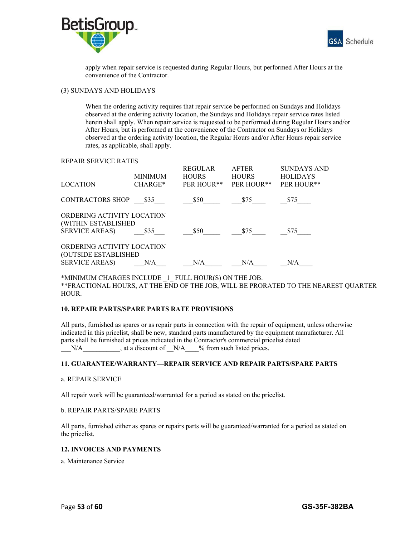



apply when repair service is requested during Regular Hours, but performed After Hours at the convenience of the Contractor.

### (3) SUNDAYS AND HOLIDAYS

When the ordering activity requires that repair service be performed on Sundays and Holidays observed at the ordering activity location, the Sundays and Holidays repair service rates listed herein shall apply. When repair service is requested to be performed during Regular Hours and/or After Hours, but is performed at the convenience of the Contractor on Sundays or Holidays observed at the ordering activity location, the Regular Hours and/or After Hours repair service rates, as applicable, shall apply.

#### REPAIR SERVICE RATES

|                                                    | <b>MINIMUM</b> | <b>REGULAR</b><br><b>HOURS</b> | <b>AFTER</b><br><b>HOURS</b> | <b>SUNDAYS AND</b><br><b>HOLIDAYS</b> |  |
|----------------------------------------------------|----------------|--------------------------------|------------------------------|---------------------------------------|--|
| <b>LOCATION</b>                                    | $CHARGE*$      | PER HOUR**                     | PER HOUR**                   | PER HOUR**                            |  |
| CONTRACTORS SHOP \$35                              |                | \$50                           | \$75                         | \$75                                  |  |
| ORDERING ACTIVITY LOCATION<br>(WITHIN ESTABLISHED  |                |                                |                              |                                       |  |
| <b>SERVICE AREAS</b> )                             | \$35           | \$50                           | \$75                         | \$75                                  |  |
| ORDERING ACTIVITY LOCATION<br>(OUTSIDE ESTABLISHED |                |                                |                              |                                       |  |
| <b>SERVICE AREAS)</b>                              | N/A            | N/A                            | N/A                          | N/A                                   |  |

 \*MINIMUM CHARGES INCLUDE \_1\_ FULL HOUR(S) ON THE JOB. \*\*FRACTIONAL HOURS, AT THE END OF THE JOB, WILL BE PRORATED TO THE NEAREST QUARTER HOUR.

### **10. REPAIR PARTS/SPARE PARTS RATE PROVISIONS**

All parts, furnished as spares or as repair parts in connection with the repair of equipment, unless otherwise indicated in this pricelist, shall be new, standard parts manufactured by the equipment manufacturer. All parts shall be furnished at prices indicated in the Contractor's commercial pricelist dated  $N/A$ , at a discount of  $N/A$  % from such listed prices.

# **11. GUARANTEE/WARRANTY—REPAIR SERVICE AND REPAIR PARTS/SPARE PARTS**

#### a. REPAIR SERVICE

All repair work will be guaranteed/warranted for a period as stated on the pricelist.

#### b. REPAIR PARTS/SPARE PARTS

All parts, furnished either as spares or repairs parts will be guaranteed/warranted for a period as stated on the pricelist.

#### **12. INVOICES AND PAYMENTS**

a. Maintenance Service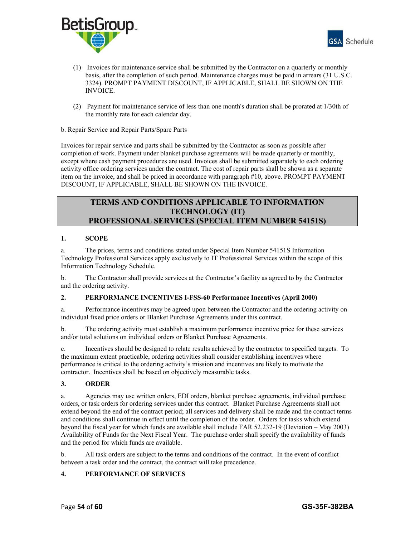



- (1) Invoices for maintenance service shall be submitted by the Contractor on a quarterly or monthly basis, after the completion of such period. Maintenance charges must be paid in arrears (31 U.S.C. 3324). PROMPT PAYMENT DISCOUNT, IF APPLICABLE, SHALL BE SHOWN ON THE INVOICE.
- (2) Payment for maintenance service of less than one month's duration shall be prorated at 1/30th of the monthly rate for each calendar day.

### b. Repair Service and Repair Parts/Spare Parts

Invoices for repair service and parts shall be submitted by the Contractor as soon as possible after completion of work. Payment under blanket purchase agreements will be made quarterly or monthly, except where cash payment procedures are used. Invoices shall be submitted separately to each ordering activity office ordering services under the contract. The cost of repair parts shall be shown as a separate item on the invoice, and shall be priced in accordance with paragraph #10, above. PROMPT PAYMENT DISCOUNT, IF APPLICABLE, SHALL BE SHOWN ON THE INVOICE.

# **TERMS AND CONDITIONS APPLICABLE TO INFORMATION TECHNOLOGY (IT) PROFESSIONAL SERVICES (SPECIAL ITEM NUMBER 54151S)**

### **1. SCOPE**

a. The prices, terms and conditions stated under Special Item Number 54151S Information Technology Professional Services apply exclusively to IT Professional Services within the scope of this Information Technology Schedule.

b. The Contractor shall provide services at the Contractor's facility as agreed to by the Contractor and the ordering activity.

#### **2. PERFORMANCE INCENTIVES I-FSS-60 Performance Incentives (April 2000)**

a. Performance incentives may be agreed upon between the Contractor and the ordering activity on individual fixed price orders or Blanket Purchase Agreements under this contract.

b. The ordering activity must establish a maximum performance incentive price for these services and/or total solutions on individual orders or Blanket Purchase Agreements.

c. Incentives should be designed to relate results achieved by the contractor to specified targets. To the maximum extent practicable, ordering activities shall consider establishing incentives where performance is critical to the ordering activity's mission and incentives are likely to motivate the contractor. Incentives shall be based on objectively measurable tasks.

### **3. ORDER**

a. Agencies may use written orders, EDI orders, blanket purchase agreements, individual purchase orders, or task orders for ordering services under this contract. Blanket Purchase Agreements shall not extend beyond the end of the contract period; all services and delivery shall be made and the contract terms and conditions shall continue in effect until the completion of the order. Orders for tasks which extend beyond the fiscal year for which funds are available shall include FAR 52.232-19 (Deviation – May 2003) Availability of Funds for the Next Fiscal Year. The purchase order shall specify the availability of funds and the period for which funds are available.

b. All task orders are subject to the terms and conditions of the contract. In the event of conflict between a task order and the contract, the contract will take precedence.

### **4. PERFORMANCE OF SERVICES**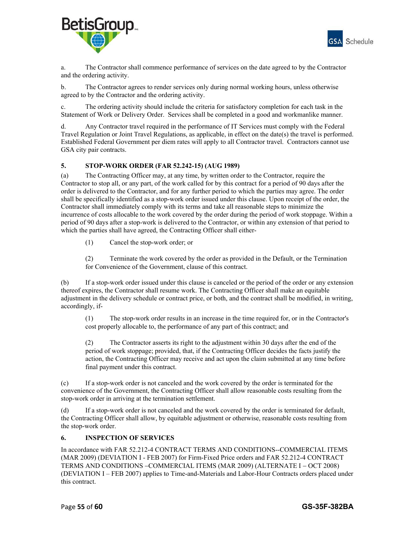



a. The Contractor shall commence performance of services on the date agreed to by the Contractor and the ordering activity.

b. The Contractor agrees to render services only during normal working hours, unless otherwise agreed to by the Contractor and the ordering activity.

c. The ordering activity should include the criteria for satisfactory completion for each task in the Statement of Work or Delivery Order. Services shall be completed in a good and workmanlike manner.

d. Any Contractor travel required in the performance of IT Services must comply with the Federal Travel Regulation or Joint Travel Regulations, as applicable, in effect on the date(s) the travel is performed. Established Federal Government per diem rates will apply to all Contractor travel. Contractors cannot use GSA city pair contracts.

# **5. STOP-WORK ORDER (FAR 52.242-15) (AUG 1989)**

(a) The Contracting Officer may, at any time, by written order to the Contractor, require the Contractor to stop all, or any part, of the work called for by this contract for a period of 90 days after the order is delivered to the Contractor, and for any further period to which the parties may agree. The order shall be specifically identified as a stop-work order issued under this clause. Upon receipt of the order, the Contractor shall immediately comply with its terms and take all reasonable steps to minimize the incurrence of costs allocable to the work covered by the order during the period of work stoppage. Within a period of 90 days after a stop-work is delivered to the Contractor, or within any extension of that period to which the parties shall have agreed, the Contracting Officer shall either-

(1) Cancel the stop-work order; or

(2) Terminate the work covered by the order as provided in the Default, or the Termination for Convenience of the Government, clause of this contract.

(b) If a stop-work order issued under this clause is canceled or the period of the order or any extension thereof expires, the Contractor shall resume work. The Contracting Officer shall make an equitable adjustment in the delivery schedule or contract price, or both, and the contract shall be modified, in writing, accordingly, if-

(1) The stop-work order results in an increase in the time required for, or in the Contractor's cost properly allocable to, the performance of any part of this contract; and

(2) The Contractor asserts its right to the adjustment within 30 days after the end of the period of work stoppage; provided, that, if the Contracting Officer decides the facts justify the action, the Contracting Officer may receive and act upon the claim submitted at any time before final payment under this contract.

(c) If a stop-work order is not canceled and the work covered by the order is terminated for the convenience of the Government, the Contracting Officer shall allow reasonable costs resulting from the stop-work order in arriving at the termination settlement.

(d) If a stop-work order is not canceled and the work covered by the order is terminated for default, the Contracting Officer shall allow, by equitable adjustment or otherwise, reasonable costs resulting from the stop-work order.

### **6. INSPECTION OF SERVICES**

In accordance with FAR 52.212-4 CONTRACT TERMS AND CONDITIONS--COMMERCIAL ITEMS (MAR 2009) (DEVIATION I - FEB 2007) for Firm-Fixed Price orders and FAR 52.212-4 CONTRACT TERMS AND CONDITIONS - COMMERCIAL ITEMS (MAR 2009) (ALTERNATE I - OCT 2008) (DEVIATION I – FEB 2007) applies to Time-and-Materials and Labor-Hour Contracts orders placed under this contract.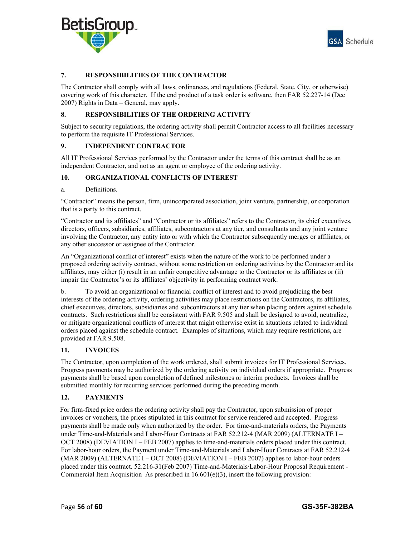



# **7. RESPONSIBILITIES OF THE CONTRACTOR**

The Contractor shall comply with all laws, ordinances, and regulations (Federal, State, City, or otherwise) covering work of this character. If the end product of a task order is software, then FAR 52.227-14 (Dec 2007) Rights in Data – General, may apply.

### **8. RESPONSIBILITIES OF THE ORDERING ACTIVITY**

Subject to security regulations, the ordering activity shall permit Contractor access to all facilities necessary to perform the requisite IT Professional Services.

### **9. INDEPENDENT CONTRACTOR**

All IT Professional Services performed by the Contractor under the terms of this contract shall be as an independent Contractor, and not as an agent or employee of the ordering activity.

### **10. ORGANIZATIONAL CONFLICTS OF INTEREST**

#### a. Definitions.

"Contractor" means the person, firm, unincorporated association, joint venture, partnership, or corporation that is a party to this contract.

"Contractor and its affiliates" and "Contractor or its affiliates" refers to the Contractor, its chief executives, directors, officers, subsidiaries, affiliates, subcontractors at any tier, and consultants and any joint venture involving the Contractor, any entity into or with which the Contractor subsequently merges or affiliates, or any other successor or assignee of the Contractor.

An "Organizational conflict of interest" exists when the nature of the work to be performed under a proposed ordering activity contract, without some restriction on ordering activities by the Contractor and its affiliates, may either (i) result in an unfair competitive advantage to the Contractor or its affiliates or (ii) impair the Contractor's or its affiliates' objectivity in performing contract work.

b. To avoid an organizational or financial conflict of interest and to avoid prejudicing the best interests of the ordering activity, ordering activities may place restrictions on the Contractors, its affiliates, chief executives, directors, subsidiaries and subcontractors at any tier when placing orders against schedule contracts. Such restrictions shall be consistent with FAR 9.505 and shall be designed to avoid, neutralize, or mitigate organizational conflicts of interest that might otherwise exist in situations related to individual orders placed against the schedule contract. Examples of situations, which may require restrictions, are provided at FAR 9.508.

### **11. INVOICES**

The Contractor, upon completion of the work ordered, shall submit invoices for IT Professional Services. Progress payments may be authorized by the ordering activity on individual orders if appropriate. Progress payments shall be based upon completion of defined milestones or interim products. Invoices shall be submitted monthly for recurring services performed during the preceding month.

### **12. PAYMENTS**

 For firm-fixed price orders the ordering activity shall pay the Contractor, upon submission of proper invoices or vouchers, the prices stipulated in this contract for service rendered and accepted. Progress payments shall be made only when authorized by the order. For time-and-materials orders, the Payments under Time-and-Materials and Labor-Hour Contracts at FAR 52.212-4 (MAR 2009) (ALTERNATE I – OCT 2008) (DEVIATION I – FEB 2007) applies to time-and-materials orders placed under this contract. For labor-hour orders, the Payment under Time-and-Materials and Labor-Hour Contracts at FAR 52.212-4 (MAR 2009) (ALTERNATE I – OCT 2008) (DEVIATION I – FEB 2007) applies to labor-hour orders placed under this contract. 52.216-31(Feb 2007) Time-and-Materials/Labor-Hour Proposal Requirement - Commercial Item Acquisition. As prescribed in  $16.601(e)(3)$ , insert the following provision: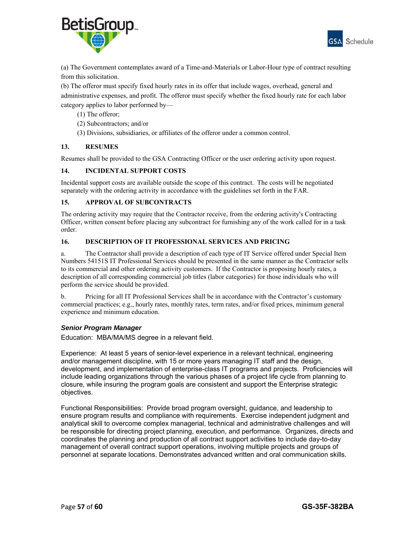



(a) The Government contemplates award of a Time-and-Materials or Labor-Hour type of contract resulting from this solicitation.

(b) The offeror must specify fixed hourly rates in its offer that include wages, overhead, general and administrative expenses, and profit. The offeror must specify whether the fixed hourly rate for each labor category applies to labor performed by—

- (1) The offeror;
- (2) Subcontractors; and/or
- (3) Divisions, subsidiaries, or affiliates of the offeror under a common control.

### **13. RESUMES**

Resumes shall be provided to the GSA Contracting Officer or the user ordering activity upon request.

### **14. INCIDENTAL SUPPORT COSTS**

Incidental support costs are available outside the scope of this contract. The costs will be negotiated separately with the ordering activity in accordance with the guidelines set forth in the FAR.

### **15. APPROVAL OF SUBCONTRACTS**

The ordering activity may require that the Contractor receive, from the ordering activity's Contracting Officer, written consent before placing any subcontract for furnishing any of the work called for in a task order.

### **16. DESCRIPTION OF IT PROFESSIONAL SERVICES AND PRICING**

a. The Contractor shall provide a description of each type of IT Service offered under Special Item Numbers 54151S IT Professional Services should be presented in the same manner as the Contractor sells to its commercial and other ordering activity customers. If the Contractor is proposing hourly rates, a description of all corresponding commercial job titles (labor categories) for those individuals who will perform the service should be provided.

b. Pricing for all IT Professional Services shall be in accordance with the Contractor's customary commercial practices; e.g., hourly rates, monthly rates, term rates, and/or fixed prices, minimum general experience and minimum education.

### *Senior Program Manager*

Education: MBA/MA/MS degree in a relevant field.

Experience: At least 5 years of senior-level experience in a relevant technical, engineering and/or management discipline, with 15 or more years managing IT staff and the design, development, and implementation of enterprise-class IT programs and projects. Proficiencies will include leading organizations through the various phases of a project life cycle from planning to closure, while insuring the program goals are consistent and support the Enterprise strategic objectives.

Functional Responsibilities: Provide broad program oversight, guidance, and leadership to ensure program results and compliance with requirements. Exercise independent judgment and analytical skill to overcome complex managerial, technical and administrative challenges and will be responsible for directing project planning, execution, and performance. Organizes, directs and coordinates the planning and production of all contract support activities to include day-to-day management of overall contract support operations, involving multiple projects and groups of personnel at separate locations. Demonstrates advanced written and oral communication skills.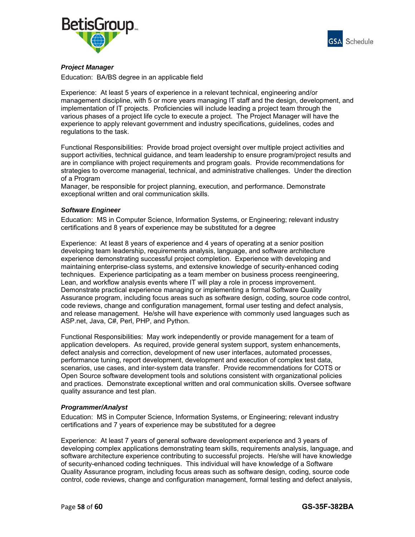



# *Project Manager*

Education: BA/BS degree in an applicable field

Experience: At least 5 years of experience in a relevant technical, engineering and/or management discipline, with 5 or more years managing IT staff and the design, development, and implementation of IT projects. Proficiencies will include leading a project team through the various phases of a project life cycle to execute a project. The Project Manager will have the experience to apply relevant government and industry specifications, guidelines, codes and regulations to the task.

Functional Responsibilities: Provide broad project oversight over multiple project activities and support activities, technical guidance, and team leadership to ensure program/project results and are in compliance with project requirements and program goals. Provide recommendations for strategies to overcome managerial, technical, and administrative challenges. Under the direction of a Program

Manager, be responsible for project planning, execution, and performance. Demonstrate exceptional written and oral communication skills.

### *Software Engineer*

Education: MS in Computer Science, Information Systems, or Engineering; relevant industry certifications and 8 years of experience may be substituted for a degree

Experience: At least 8 years of experience and 4 years of operating at a senior position developing team leadership, requirements analysis, language, and software architecture experience demonstrating successful project completion. Experience with developing and maintaining enterprise-class systems, and extensive knowledge of security-enhanced coding techniques. Experience participating as a team member on business process reengineering, Lean, and workflow analysis events where IT will play a role in process improvement. Demonstrate practical experience managing or implementing a formal Software Quality Assurance program, including focus areas such as software design, coding, source code control, code reviews, change and configuration management, formal user testing and defect analysis, and release management. He/she will have experience with commonly used languages such as ASP.net, Java, C#, Perl, PHP, and Python.

Functional Responsibilities: May work independently or provide management for a team of application developers. As required, provide general system support, system enhancements, defect analysis and correction, development of new user interfaces, automated processes, performance tuning, report development, development and execution of complex test data, scenarios, use cases, and inter-system data transfer. Provide recommendations for COTS or Open Source software development tools and solutions consistent with organizational policies and practices. Demonstrate exceptional written and oral communication skills. Oversee software quality assurance and test plan.

### *Programmer/Analyst*

Education: MS in Computer Science, Information Systems, or Engineering; relevant industry certifications and 7 years of experience may be substituted for a degree

Experience: At least 7 years of general software development experience and 3 years of developing complex applications demonstrating team skills, requirements analysis, language, and software architecture experience contributing to successful projects. He/she will have knowledge of security-enhanced coding techniques. This individual will have knowledge of a Software Quality Assurance program, including focus areas such as software design, coding, source code control, code reviews, change and configuration management, formal testing and defect analysis,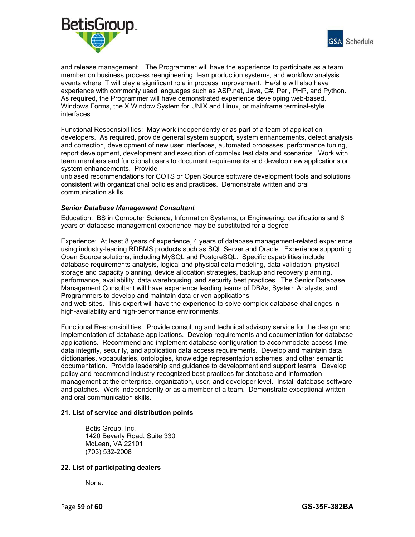



and release management. The Programmer will have the experience to participate as a team member on business process reengineering, lean production systems, and workflow analysis events where IT will play a significant role in process improvement. He/she will also have experience with commonly used languages such as ASP.net, Java, C#, Perl, PHP, and Python. As required, the Programmer will have demonstrated experience developing web-based, Windows Forms, the X Window System for UNIX and Linux, or mainframe terminal-style interfaces.

Functional Responsibilities: May work independently or as part of a team of application developers. As required, provide general system support, system enhancements, defect analysis and correction, development of new user interfaces, automated processes, performance tuning, report development, development and execution of complex test data and scenarios. Work with team members and functional users to document requirements and develop new applications or system enhancements. Provide

unbiased recommendations for COTS or Open Source software development tools and solutions consistent with organizational policies and practices. Demonstrate written and oral communication skills.

### *Senior Database Management Consultant*

Education: BS in Computer Science, Information Systems, or Engineering; certifications and 8 years of database management experience may be substituted for a degree

Experience: At least 8 years of experience, 4 years of database management-related experience using industry-leading RDBMS products such as SQL Server and Oracle. Experience supporting Open Source solutions, including MySQL and PostgreSQL. Specific capabilities include database requirements analysis, logical and physical data modeling, data validation, physical storage and capacity planning, device allocation strategies, backup and recovery planning, performance, availability, data warehousing, and security best practices. The Senior Database Management Consultant will have experience leading teams of DBAs, System Analysts, and Programmers to develop and maintain data-driven applications

and web sites. This expert will have the experience to solve complex database challenges in high-availability and high-performance environments.

Functional Responsibilities: Provide consulting and technical advisory service for the design and implementation of database applications. Develop requirements and documentation for database applications. Recommend and implement database configuration to accommodate access time, data integrity, security, and application data access requirements. Develop and maintain data dictionaries, vocabularies, ontologies, knowledge representation schemes, and other semantic documentation. Provide leadership and guidance to development and support teams. Develop policy and recommend industry-recognized best practices for database and information management at the enterprise, organization, user, and developer level. Install database software and patches. Work independently or as a member of a team. Demonstrate exceptional written and oral communication skills.

# **21. List of service and distribution points**

Betis Group, Inc. 1420 Beverly Road, Suite 330 McLean, VA 22101 (703) 532-2008

### **22. List of participating dealers**

None.